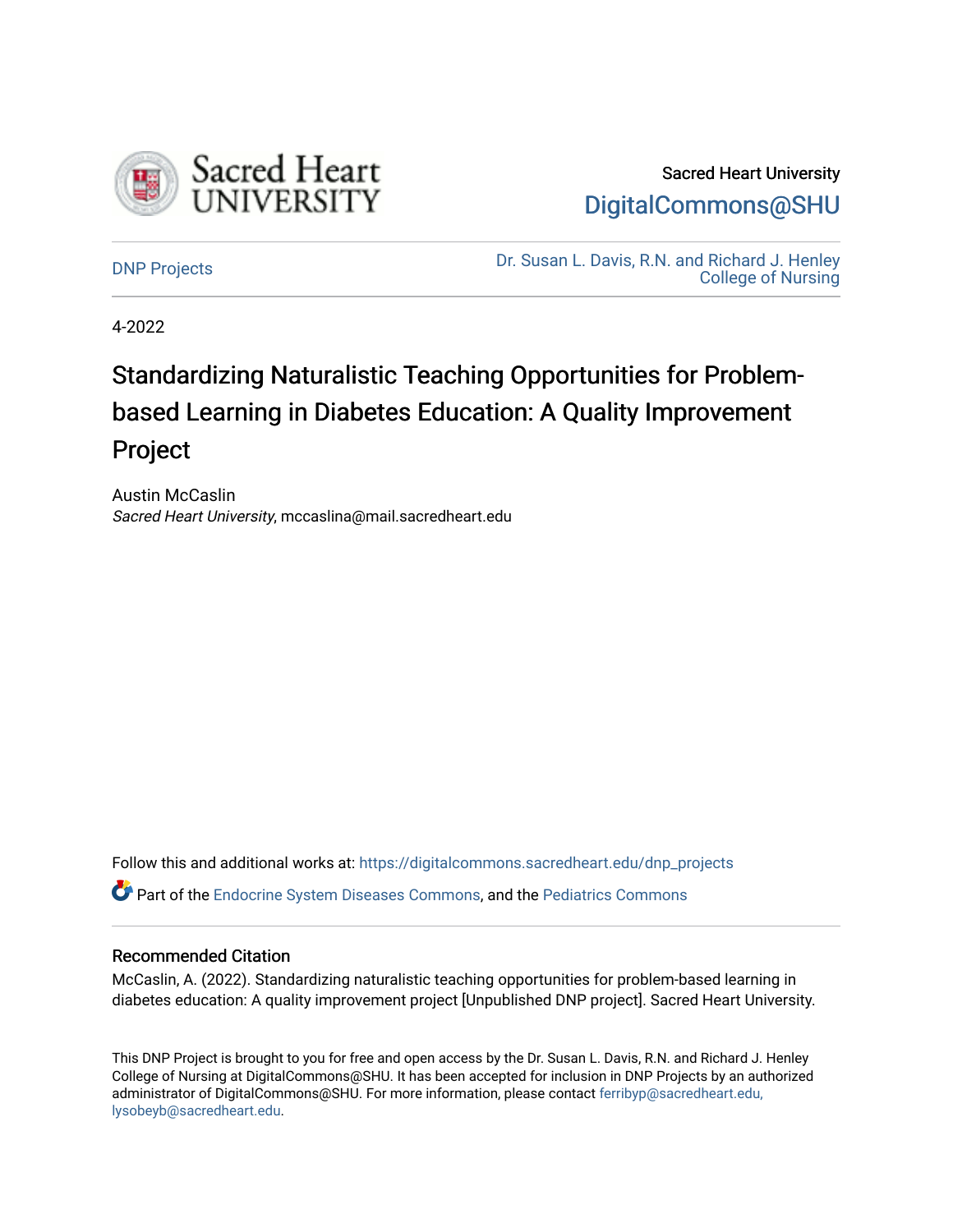

Sacred Heart University [DigitalCommons@SHU](https://digitalcommons.sacredheart.edu/) 

[DNP Projects](https://digitalcommons.sacredheart.edu/dnp_projects) [Dr. Susan L. Davis, R.N. and Richard J. Henley](https://digitalcommons.sacredheart.edu/nurs)  [College of Nursing](https://digitalcommons.sacredheart.edu/nurs) 

4-2022

# Standardizing Naturalistic Teaching Opportunities for Problembased Learning in Diabetes Education: A Quality Improvement Project

Austin McCaslin Sacred Heart University, mccaslina@mail.sacredheart.edu

Follow this and additional works at: [https://digitalcommons.sacredheart.edu/dnp\\_projects](https://digitalcommons.sacredheart.edu/dnp_projects?utm_source=digitalcommons.sacredheart.edu%2Fdnp_projects%2F20&utm_medium=PDF&utm_campaign=PDFCoverPages) 

Part of the [Endocrine System Diseases Commons,](https://network.bepress.com/hgg/discipline/969?utm_source=digitalcommons.sacredheart.edu%2Fdnp_projects%2F20&utm_medium=PDF&utm_campaign=PDFCoverPages) and the [Pediatrics Commons](https://network.bepress.com/hgg/discipline/700?utm_source=digitalcommons.sacredheart.edu%2Fdnp_projects%2F20&utm_medium=PDF&utm_campaign=PDFCoverPages) 

#### Recommended Citation

McCaslin, A. (2022). Standardizing naturalistic teaching opportunities for problem-based learning in diabetes education: A quality improvement project [Unpublished DNP project]. Sacred Heart University.

This DNP Project is brought to you for free and open access by the Dr. Susan L. Davis, R.N. and Richard J. Henley College of Nursing at DigitalCommons@SHU. It has been accepted for inclusion in DNP Projects by an authorized administrator of DigitalCommons@SHU. For more information, please contact [ferribyp@sacredheart.edu,](mailto:ferribyp@sacredheart.edu,%20lysobeyb@sacredheart.edu) [lysobeyb@sacredheart.edu](mailto:ferribyp@sacredheart.edu,%20lysobeyb@sacredheart.edu).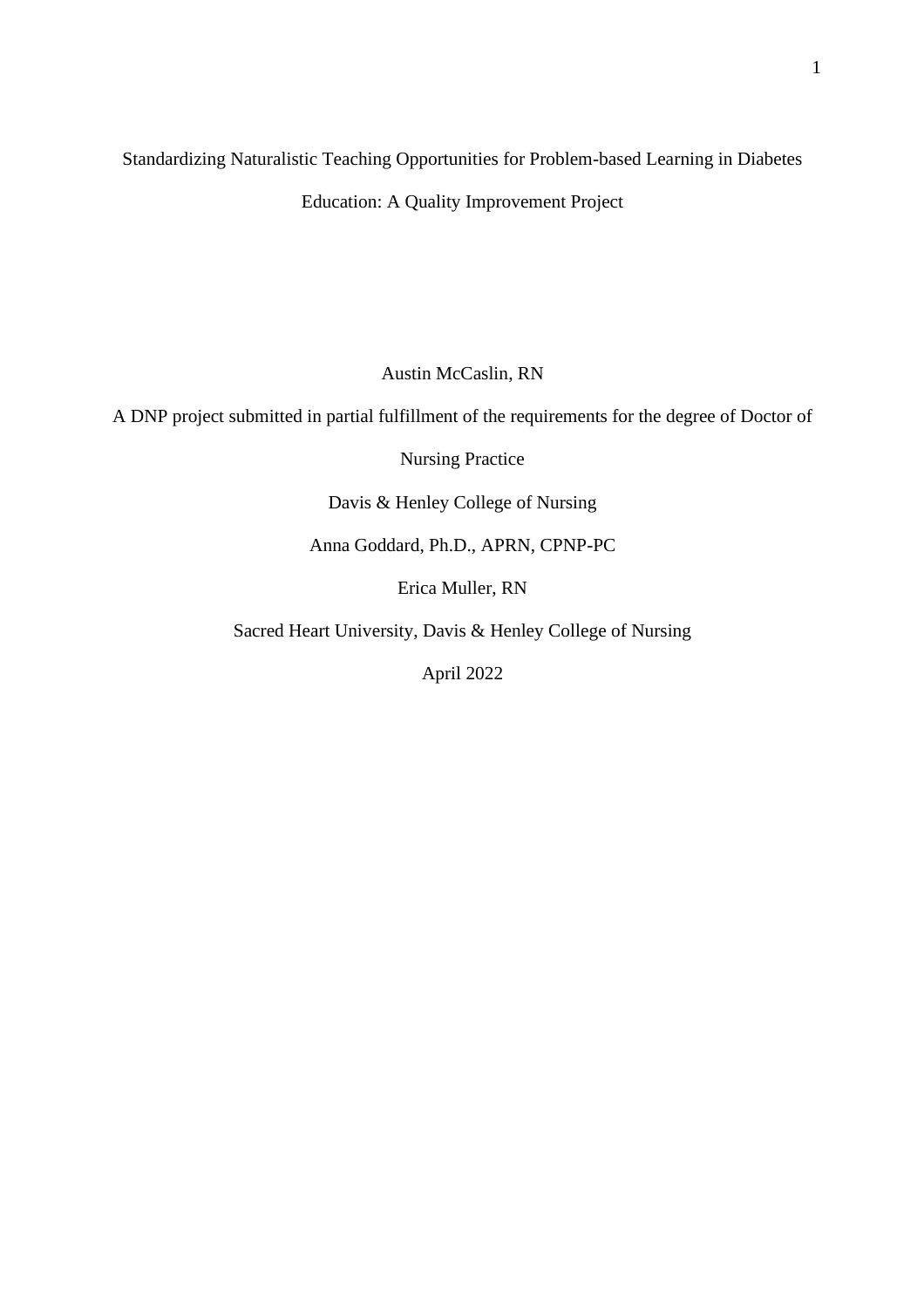Standardizing Naturalistic Teaching Opportunities for Problem-based Learning in Diabetes

Education: A Quality Improvement Project

Austin McCaslin, RN

A DNP project submitted in partial fulfillment of the requirements for the degree of Doctor of

Nursing Practice

Davis & Henley College of Nursing

Anna Goddard, Ph.D., APRN, CPNP-PC

Erica Muller, RN

Sacred Heart University, Davis & Henley College of Nursing

April 2022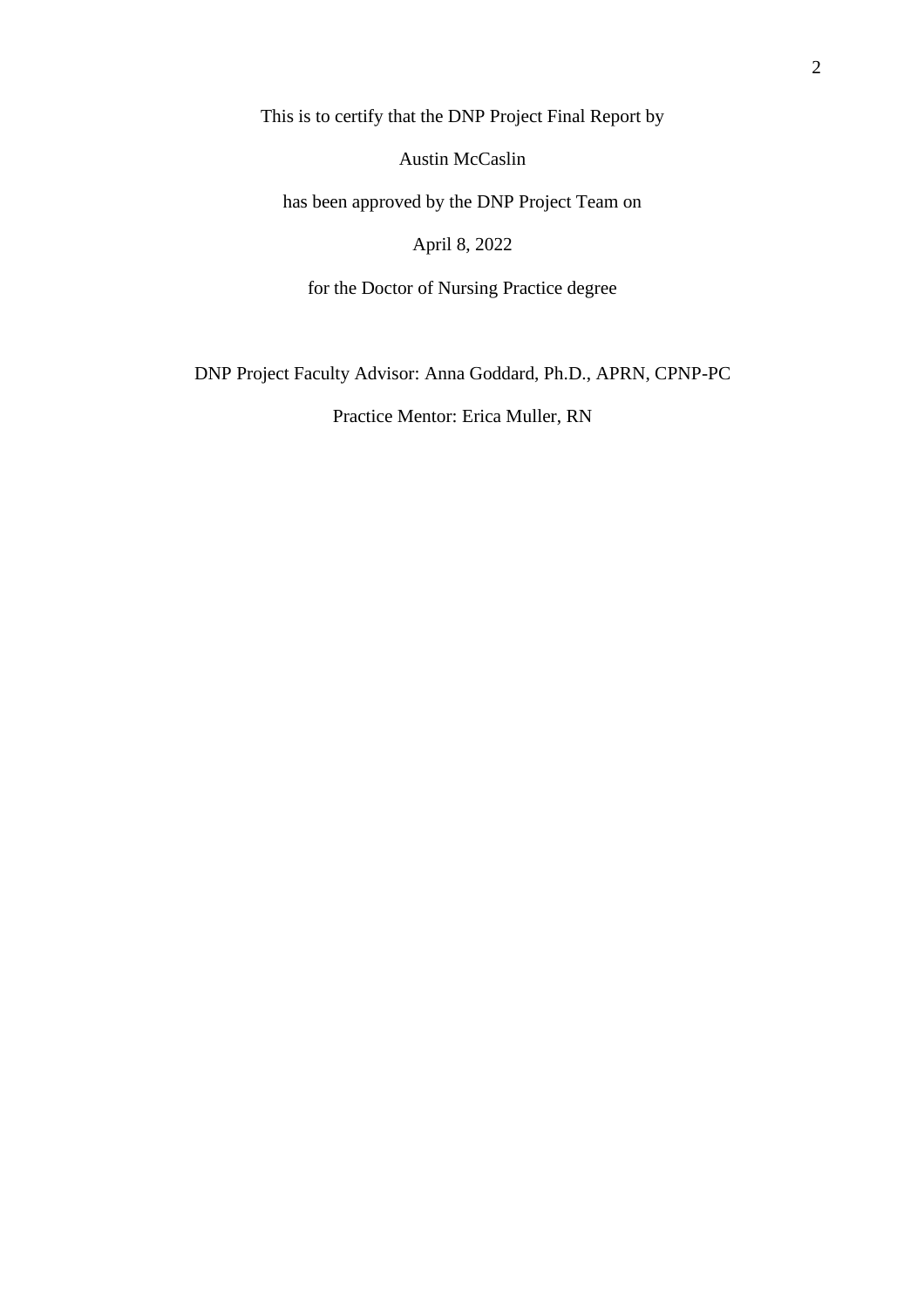This is to certify that the DNP Project Final Report by

Austin McCaslin

has been approved by the DNP Project Team on

April 8, 2022

for the Doctor of Nursing Practice degree

DNP Project Faculty Advisor: Anna Goddard, Ph.D., APRN, CPNP-PC

Practice Mentor: Erica Muller, RN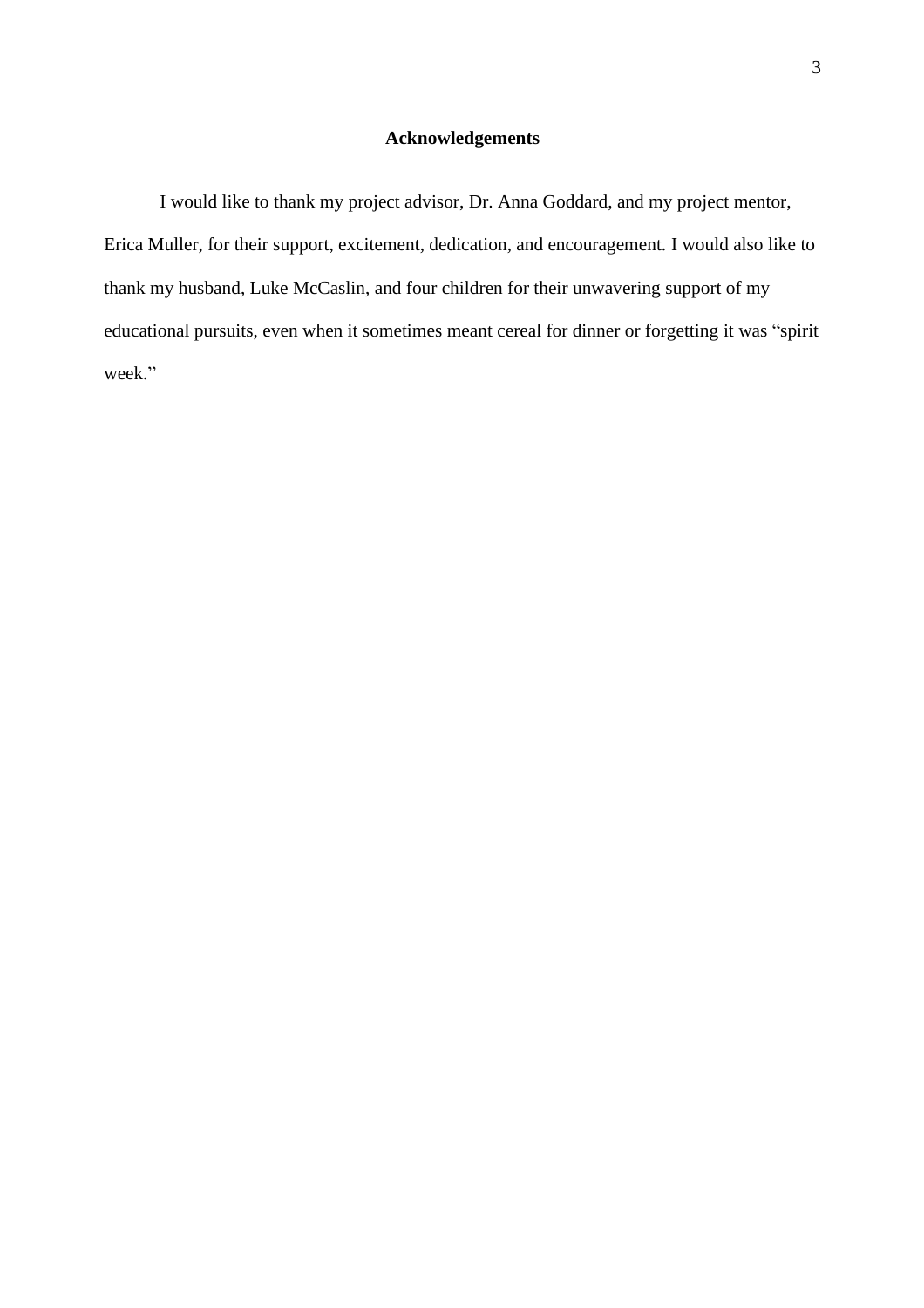### **Acknowledgements**

I would like to thank my project advisor, Dr. Anna Goddard, and my project mentor, Erica Muller, for their support, excitement, dedication, and encouragement. I would also like to thank my husband, Luke McCaslin, and four children for their unwavering support of my educational pursuits, even when it sometimes meant cereal for dinner or forgetting it was "spirit week."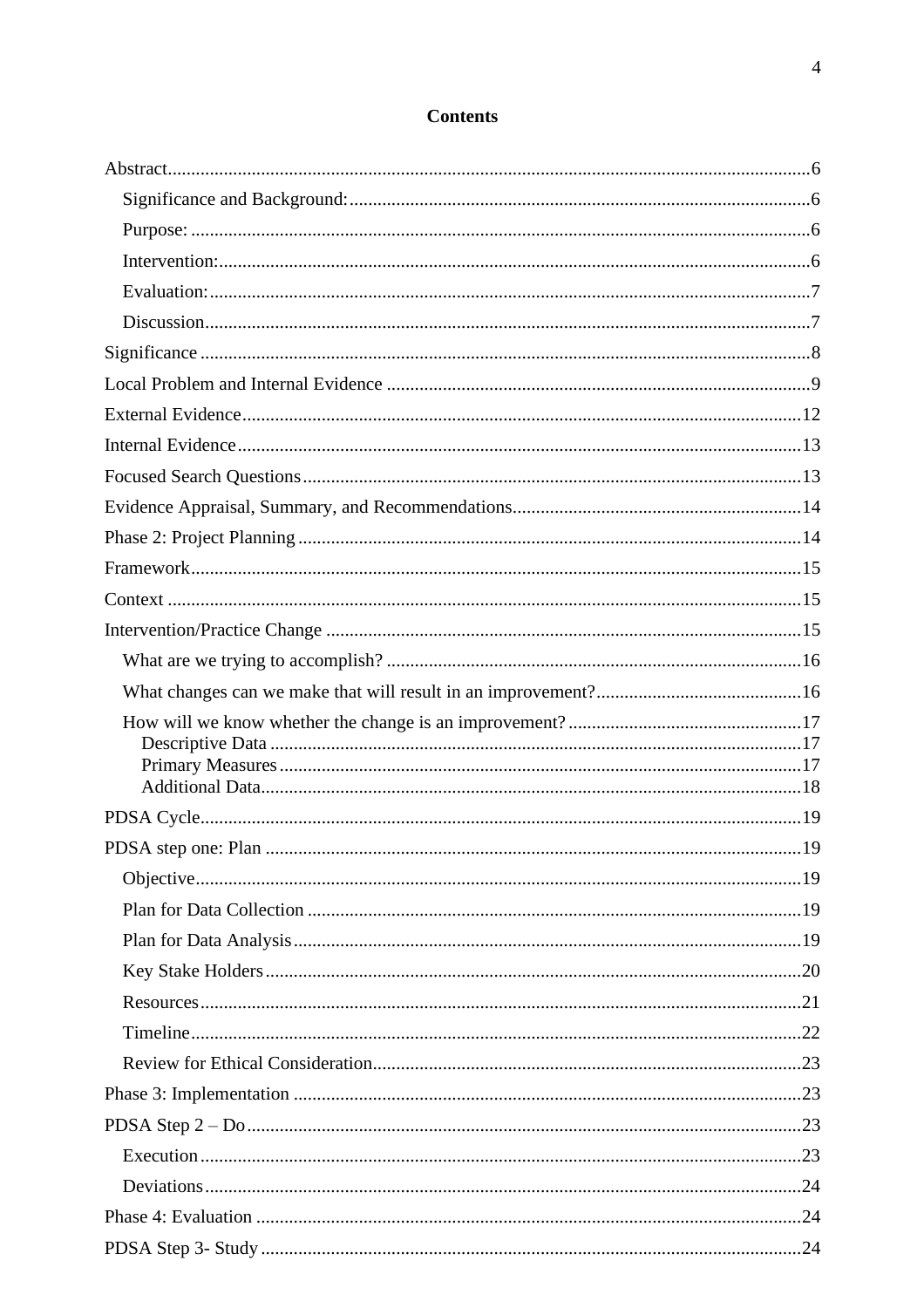## **Contents**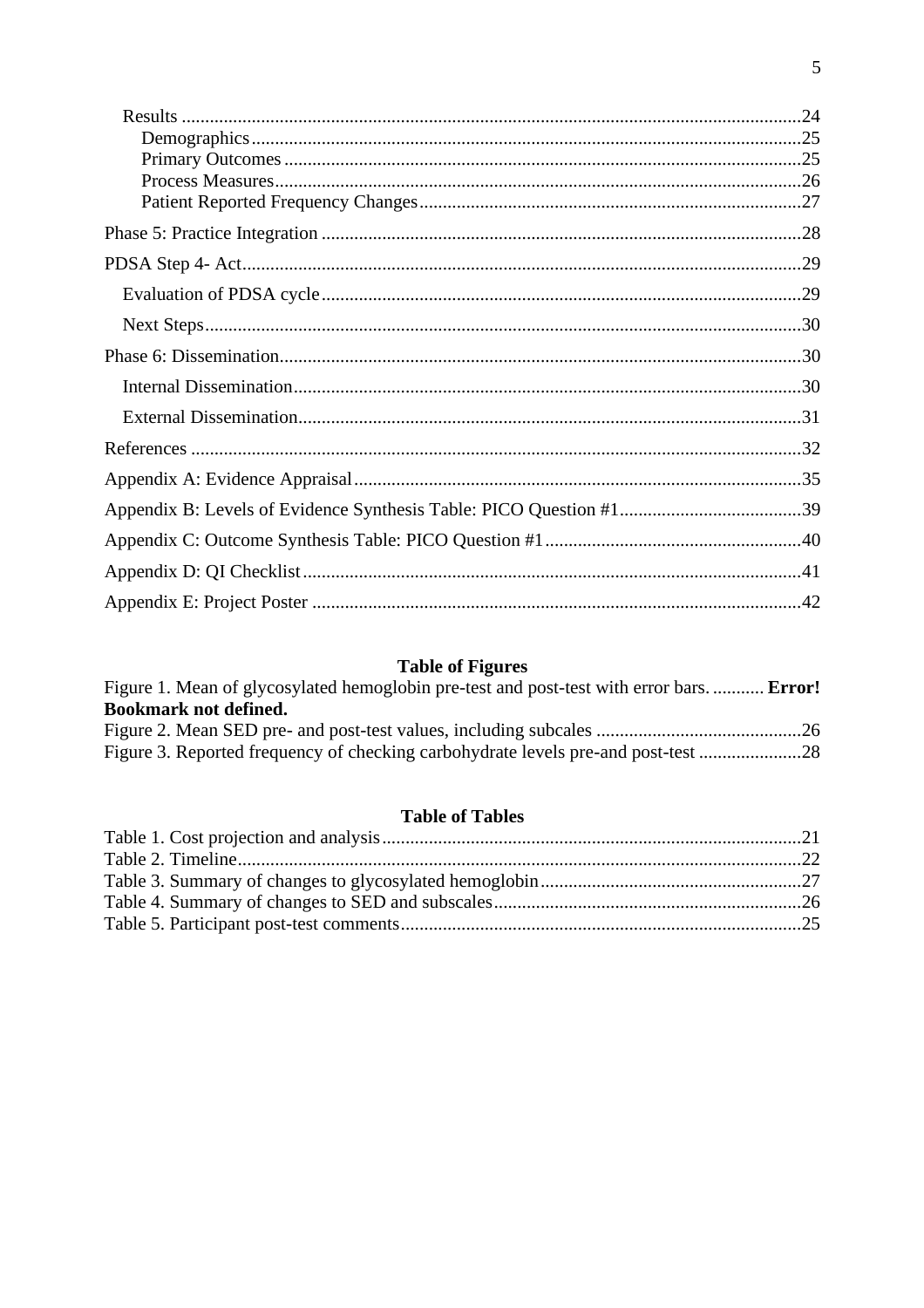## **Table of Figures**

| Figure 1. Mean of glycosylated hemoglobin pre-test and post-test with error bars <b>Error!</b> |  |
|------------------------------------------------------------------------------------------------|--|
| <b>Bookmark not defined.</b>                                                                   |  |
|                                                                                                |  |
| Figure 3. Reported frequency of checking carbohydrate levels pre-and post-test                 |  |
|                                                                                                |  |

## **Table of Tables**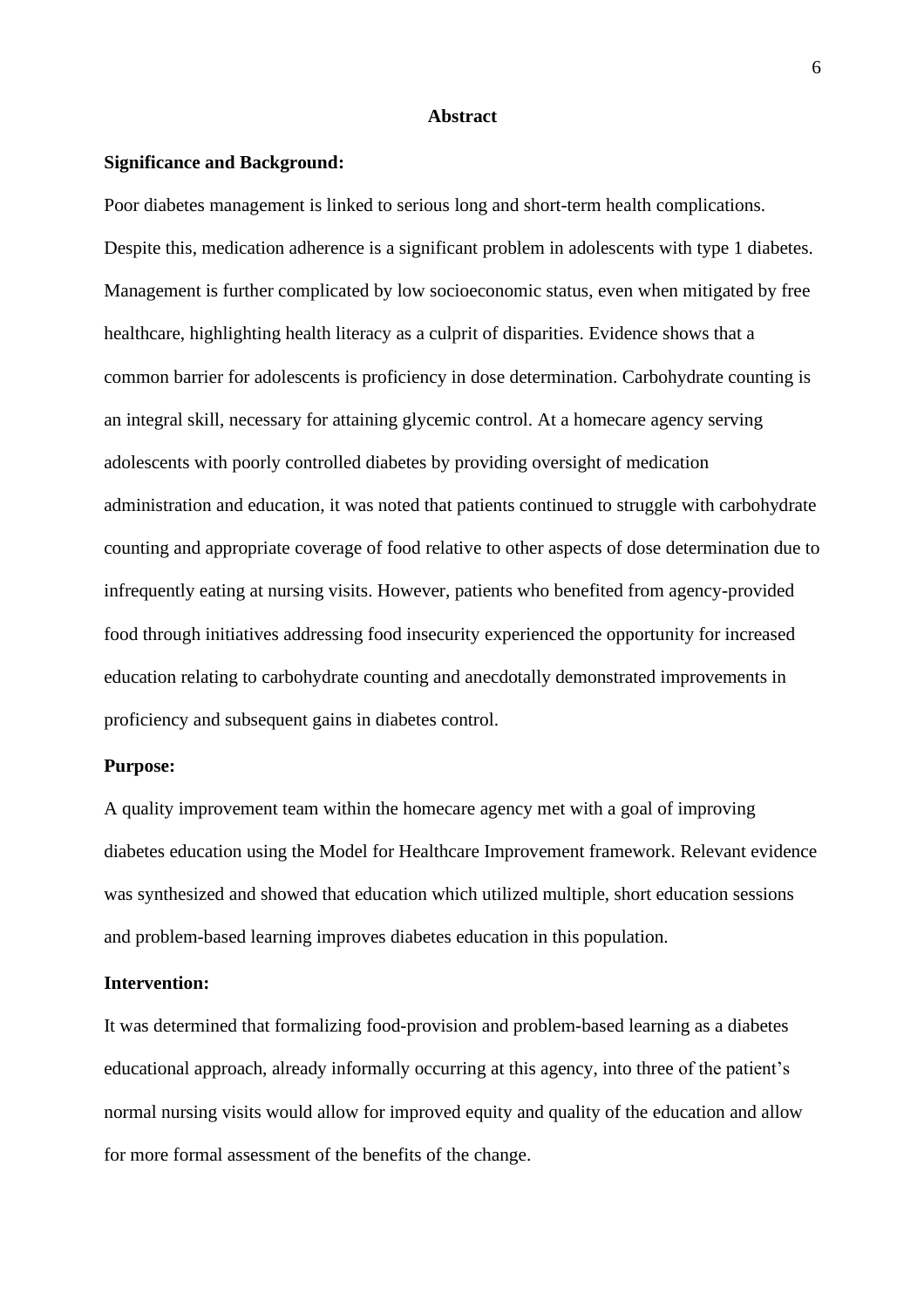#### **Abstract**

#### <span id="page-6-1"></span><span id="page-6-0"></span>**Significance and Background:**

Poor diabetes management is linked to serious long and short-term health complications. Despite this, medication adherence is a significant problem in adolescents with type 1 diabetes. Management is further complicated by low socioeconomic status, even when mitigated by free healthcare, highlighting health literacy as a culprit of disparities. Evidence shows that a common barrier for adolescents is proficiency in dose determination. Carbohydrate counting is an integral skill, necessary for attaining glycemic control. At a homecare agency serving adolescents with poorly controlled diabetes by providing oversight of medication administration and education, it was noted that patients continued to struggle with carbohydrate counting and appropriate coverage of food relative to other aspects of dose determination due to infrequently eating at nursing visits. However, patients who benefited from agency-provided food through initiatives addressing food insecurity experienced the opportunity for increased education relating to carbohydrate counting and anecdotally demonstrated improvements in proficiency and subsequent gains in diabetes control.

#### <span id="page-6-2"></span>**Purpose:**

A quality improvement team within the homecare agency met with a goal of improving diabetes education using the Model for Healthcare Improvement framework. Relevant evidence was synthesized and showed that education which utilized multiple, short education sessions and problem-based learning improves diabetes education in this population.

### <span id="page-6-3"></span>**Intervention:**

It was determined that formalizing food-provision and problem-based learning as a diabetes educational approach, already informally occurring at this agency, into three of the patient's normal nursing visits would allow for improved equity and quality of the education and allow for more formal assessment of the benefits of the change.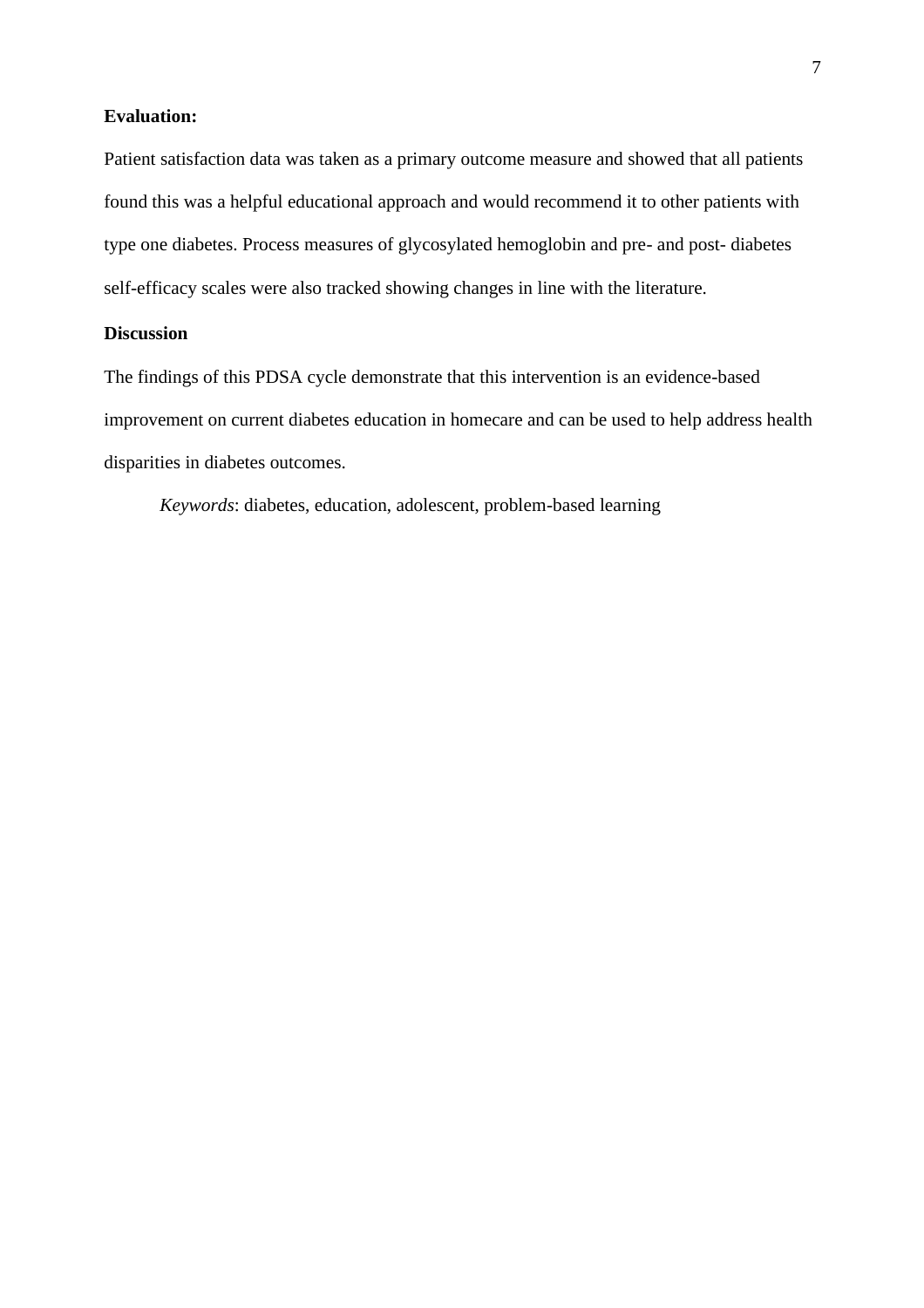### <span id="page-7-0"></span>**Evaluation:**

Patient satisfaction data was taken as a primary outcome measure and showed that all patients found this was a helpful educational approach and would recommend it to other patients with type one diabetes. Process measures of glycosylated hemoglobin and pre- and post- diabetes self-efficacy scales were also tracked showing changes in line with the literature.

### <span id="page-7-1"></span>**Discussion**

The findings of this PDSA cycle demonstrate that this intervention is an evidence-based improvement on current diabetes education in homecare and can be used to help address health disparities in diabetes outcomes.

*Keywords*: diabetes, education, adolescent, problem-based learning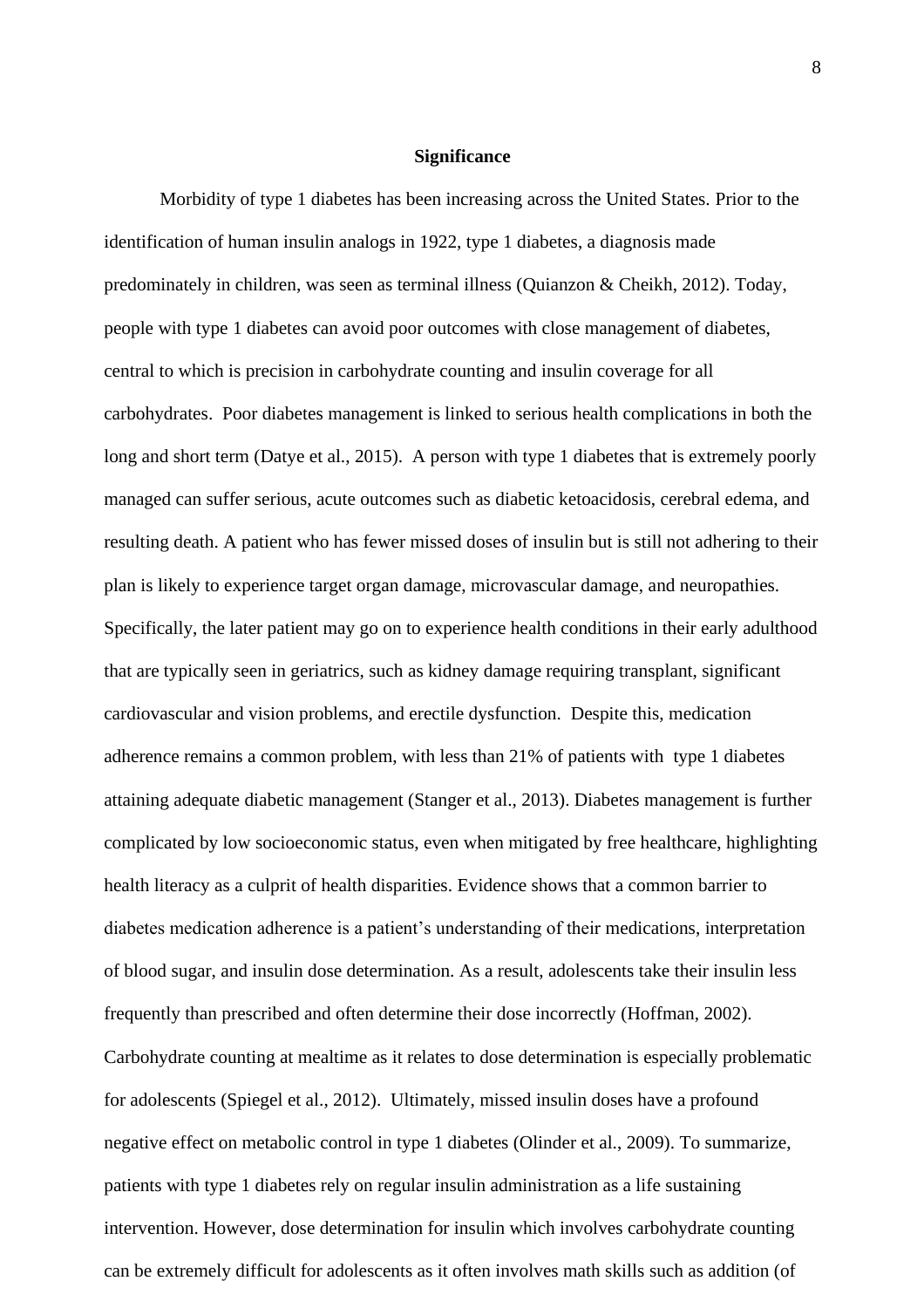#### **Significance**

<span id="page-8-0"></span>Morbidity of type 1 diabetes has been increasing across the United States. Prior to the identification of human insulin analogs in 1922, type 1 diabetes, a diagnosis made predominately in children, was seen as terminal illness (Quianzon & Cheikh, 2012). Today, people with type 1 diabetes can avoid poor outcomes with close management of diabetes, central to which is precision in carbohydrate counting and insulin coverage for all carbohydrates. Poor diabetes management is linked to serious health complications in both the long and short term (Datye et al., 2015). A person with type 1 diabetes that is extremely poorly managed can suffer serious, acute outcomes such as diabetic ketoacidosis, cerebral edema, and resulting death. A patient who has fewer missed doses of insulin but is still not adhering to their plan is likely to experience target organ damage, microvascular damage, and neuropathies. Specifically, the later patient may go on to experience health conditions in their early adulthood that are typically seen in geriatrics, such as kidney damage requiring transplant, significant cardiovascular and vision problems, and erectile dysfunction. Despite this, medication adherence remains a common problem, with less than 21% of patients with type 1 diabetes attaining adequate diabetic management (Stanger et al., 2013). Diabetes management is further complicated by low socioeconomic status, even when mitigated by free healthcare, highlighting health literacy as a culprit of health disparities. Evidence shows that a common barrier to diabetes medication adherence is a patient's understanding of their medications, interpretation of blood sugar, and insulin dose determination. As a result, adolescents take their insulin less frequently than prescribed and often determine their dose incorrectly (Hoffman, 2002). Carbohydrate counting at mealtime as it relates to dose determination is especially problematic for adolescents (Spiegel et al., 2012). Ultimately, missed insulin doses have a profound negative effect on metabolic control in type 1 diabetes (Olinder et al., 2009). To summarize, patients with type 1 diabetes rely on regular insulin administration as a life sustaining intervention. However, dose determination for insulin which involves carbohydrate counting can be extremely difficult for adolescents as it often involves math skills such as addition (of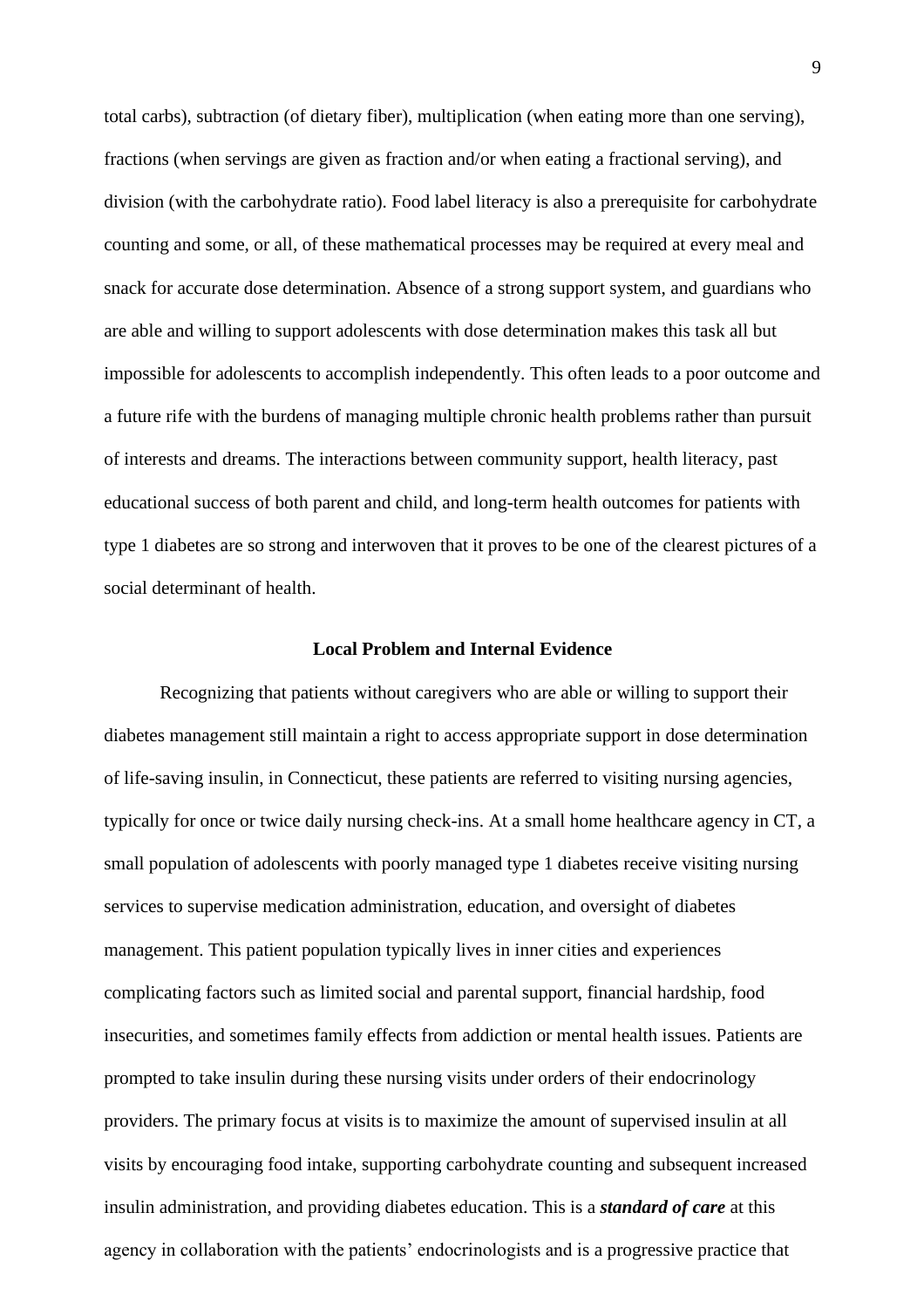total carbs), subtraction (of dietary fiber), multiplication (when eating more than one serving), fractions (when servings are given as fraction and/or when eating a fractional serving), and division (with the carbohydrate ratio). Food label literacy is also a prerequisite for carbohydrate counting and some, or all, of these mathematical processes may be required at every meal and snack for accurate dose determination. Absence of a strong support system, and guardians who are able and willing to support adolescents with dose determination makes this task all but impossible for adolescents to accomplish independently. This often leads to a poor outcome and a future rife with the burdens of managing multiple chronic health problems rather than pursuit of interests and dreams. The interactions between community support, health literacy, past educational success of both parent and child, and long-term health outcomes for patients with type 1 diabetes are so strong and interwoven that it proves to be one of the clearest pictures of a social determinant of health.

#### **Local Problem and Internal Evidence**

<span id="page-9-0"></span>Recognizing that patients without caregivers who are able or willing to support their diabetes management still maintain a right to access appropriate support in dose determination of life-saving insulin, in Connecticut, these patients are referred to visiting nursing agencies, typically for once or twice daily nursing check-ins. At a small home healthcare agency in CT, a small population of adolescents with poorly managed type 1 diabetes receive visiting nursing services to supervise medication administration, education, and oversight of diabetes management. This patient population typically lives in inner cities and experiences complicating factors such as limited social and parental support, financial hardship, food insecurities, and sometimes family effects from addiction or mental health issues. Patients are prompted to take insulin during these nursing visits under orders of their endocrinology providers. The primary focus at visits is to maximize the amount of supervised insulin at all visits by encouraging food intake, supporting carbohydrate counting and subsequent increased insulin administration, and providing diabetes education. This is a *standard of care* at this agency in collaboration with the patients' endocrinologists and is a progressive practice that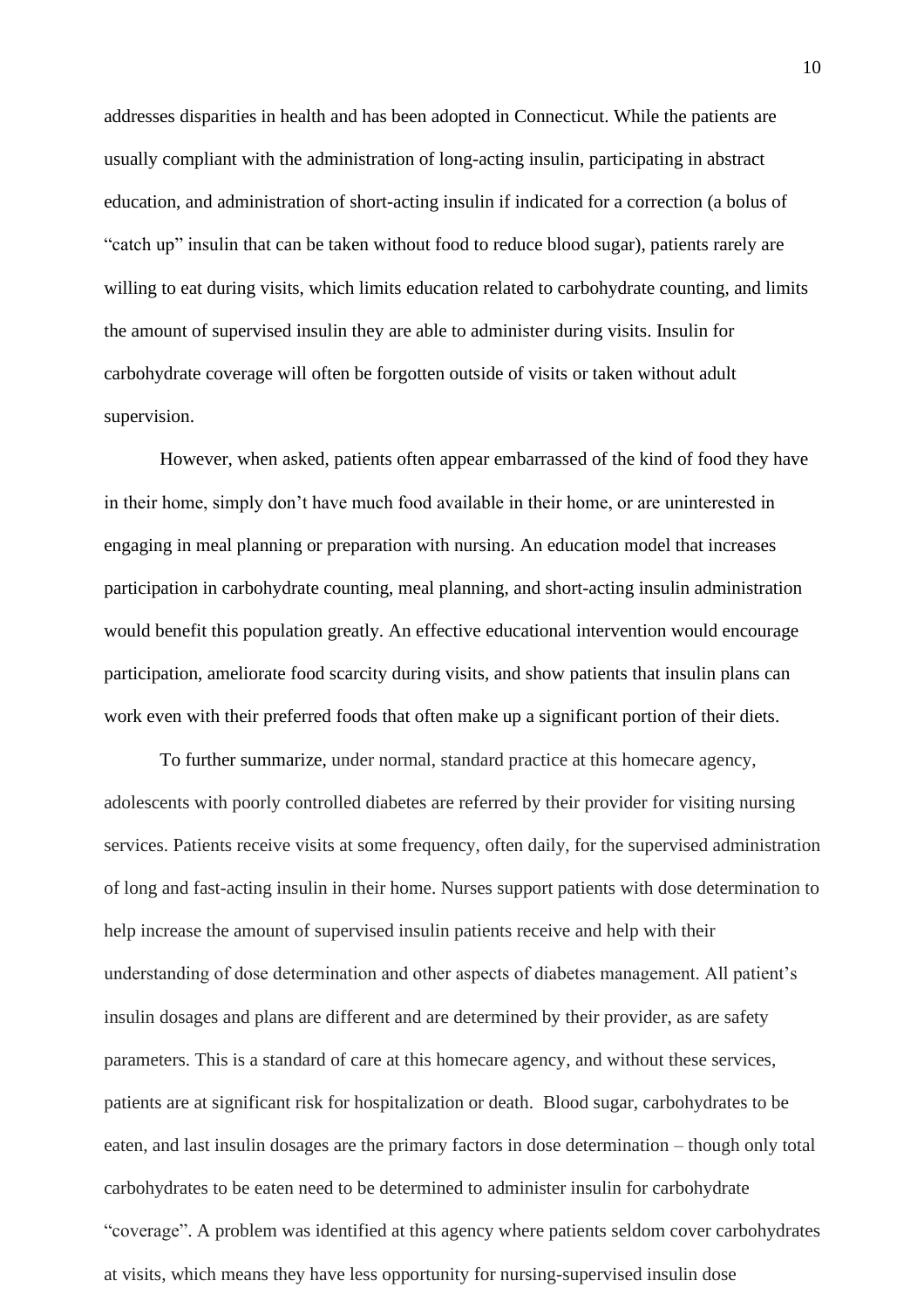addresses disparities in health and has been adopted in Connecticut. While the patients are usually compliant with the administration of long-acting insulin, participating in abstract education, and administration of short-acting insulin if indicated for a correction (a bolus of "catch up" insulin that can be taken without food to reduce blood sugar), patients rarely are willing to eat during visits, which limits education related to carbohydrate counting, and limits the amount of supervised insulin they are able to administer during visits. Insulin for carbohydrate coverage will often be forgotten outside of visits or taken without adult supervision.

However, when asked, patients often appear embarrassed of the kind of food they have in their home, simply don't have much food available in their home, or are uninterested in engaging in meal planning or preparation with nursing. An education model that increases participation in carbohydrate counting, meal planning, and short-acting insulin administration would benefit this population greatly. An effective educational intervention would encourage participation, ameliorate food scarcity during visits, and show patients that insulin plans can work even with their preferred foods that often make up a significant portion of their diets.

To further summarize, under normal, standard practice at this homecare agency, adolescents with poorly controlled diabetes are referred by their provider for visiting nursing services. Patients receive visits at some frequency, often daily, for the supervised administration of long and fast-acting insulin in their home. Nurses support patients with dose determination to help increase the amount of supervised insulin patients receive and help with their understanding of dose determination and other aspects of diabetes management. All patient's insulin dosages and plans are different and are determined by their provider, as are safety parameters. This is a standard of care at this homecare agency, and without these services, patients are at significant risk for hospitalization or death. Blood sugar, carbohydrates to be eaten, and last insulin dosages are the primary factors in dose determination – though only total carbohydrates to be eaten need to be determined to administer insulin for carbohydrate "coverage". A problem was identified at this agency where patients seldom cover carbohydrates at visits, which means they have less opportunity for nursing-supervised insulin dose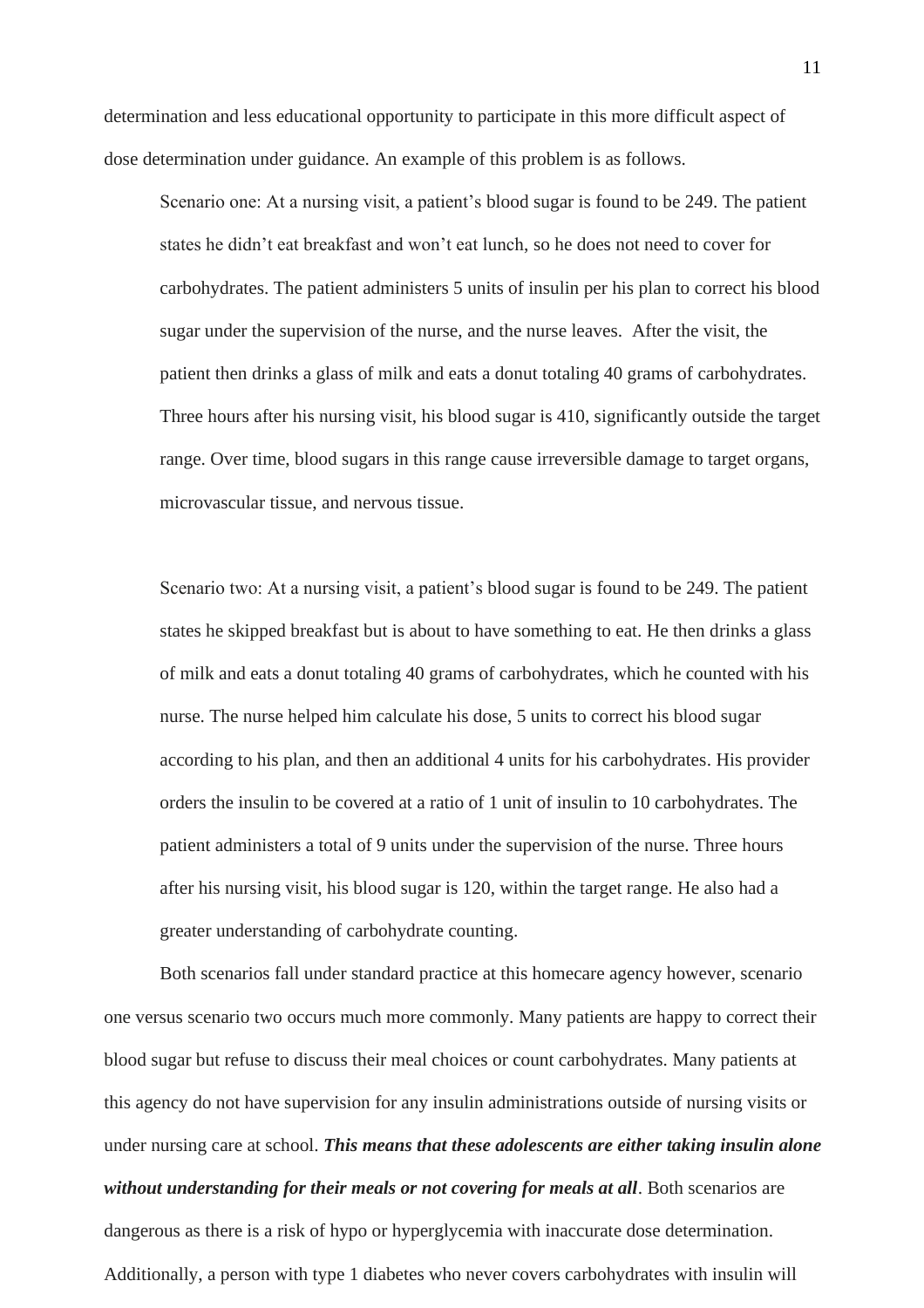determination and less educational opportunity to participate in this more difficult aspect of dose determination under guidance. An example of this problem is as follows.

Scenario one: At a nursing visit, a patient's blood sugar is found to be 249. The patient states he didn't eat breakfast and won't eat lunch, so he does not need to cover for carbohydrates. The patient administers 5 units of insulin per his plan to correct his blood sugar under the supervision of the nurse, and the nurse leaves. After the visit, the patient then drinks a glass of milk and eats a donut totaling 40 grams of carbohydrates. Three hours after his nursing visit, his blood sugar is 410, significantly outside the target range. Over time, blood sugars in this range cause irreversible damage to target organs, microvascular tissue, and nervous tissue.

Scenario two: At a nursing visit, a patient's blood sugar is found to be 249. The patient states he skipped breakfast but is about to have something to eat. He then drinks a glass of milk and eats a donut totaling 40 grams of carbohydrates, which he counted with his nurse. The nurse helped him calculate his dose, 5 units to correct his blood sugar according to his plan, and then an additional 4 units for his carbohydrates. His provider orders the insulin to be covered at a ratio of 1 unit of insulin to 10 carbohydrates. The patient administers a total of 9 units under the supervision of the nurse. Three hours after his nursing visit, his blood sugar is 120, within the target range. He also had a greater understanding of carbohydrate counting.

Both scenarios fall under standard practice at this homecare agency however, scenario one versus scenario two occurs much more commonly. Many patients are happy to correct their blood sugar but refuse to discuss their meal choices or count carbohydrates. Many patients at this agency do not have supervision for any insulin administrations outside of nursing visits or under nursing care at school. *This means that these adolescents are either taking insulin alone without understanding for their meals or not covering for meals at all*. Both scenarios are dangerous as there is a risk of hypo or hyperglycemia with inaccurate dose determination. Additionally, a person with type 1 diabetes who never covers carbohydrates with insulin will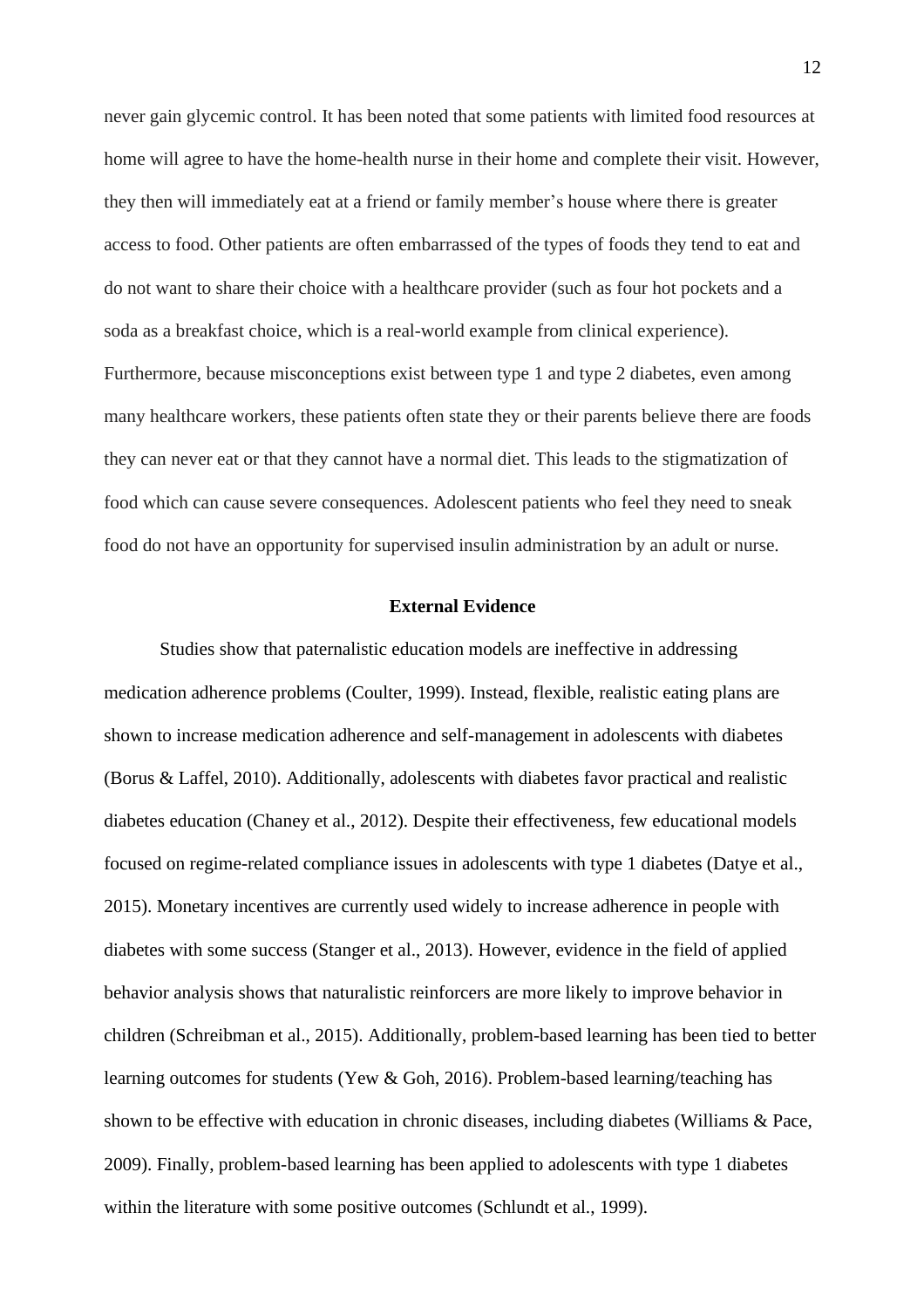never gain glycemic control. It has been noted that some patients with limited food resources at home will agree to have the home-health nurse in their home and complete their visit. However, they then will immediately eat at a friend or family member's house where there is greater access to food. Other patients are often embarrassed of the types of foods they tend to eat and do not want to share their choice with a healthcare provider (such as four hot pockets and a soda as a breakfast choice, which is a real-world example from clinical experience). Furthermore, because misconceptions exist between type 1 and type 2 diabetes, even among many healthcare workers, these patients often state they or their parents believe there are foods they can never eat or that they cannot have a normal diet. This leads to the stigmatization of food which can cause severe consequences. Adolescent patients who feel they need to sneak food do not have an opportunity for supervised insulin administration by an adult or nurse.

### **External Evidence**

<span id="page-12-0"></span>Studies show that paternalistic education models are ineffective in addressing medication adherence problems (Coulter, 1999). Instead, flexible, realistic eating plans are shown to increase medication adherence and self-management in adolescents with diabetes (Borus & Laffel, 2010). Additionally, adolescents with diabetes favor practical and realistic diabetes education (Chaney et al., 2012). Despite their effectiveness, few educational models focused on regime-related compliance issues in adolescents with type 1 diabetes (Datye et al., 2015). Monetary incentives are currently used widely to increase adherence in people with diabetes with some success (Stanger et al., 2013). However, evidence in the field of applied behavior analysis shows that naturalistic reinforcers are more likely to improve behavior in children (Schreibman et al., 2015). Additionally, problem-based learning has been tied to better learning outcomes for students (Yew & Goh, 2016). Problem-based learning/teaching has shown to be effective with education in chronic diseases, including diabetes (Williams & Pace, 2009). Finally, problem-based learning has been applied to adolescents with type 1 diabetes within the literature with some positive outcomes (Schlundt et al., 1999).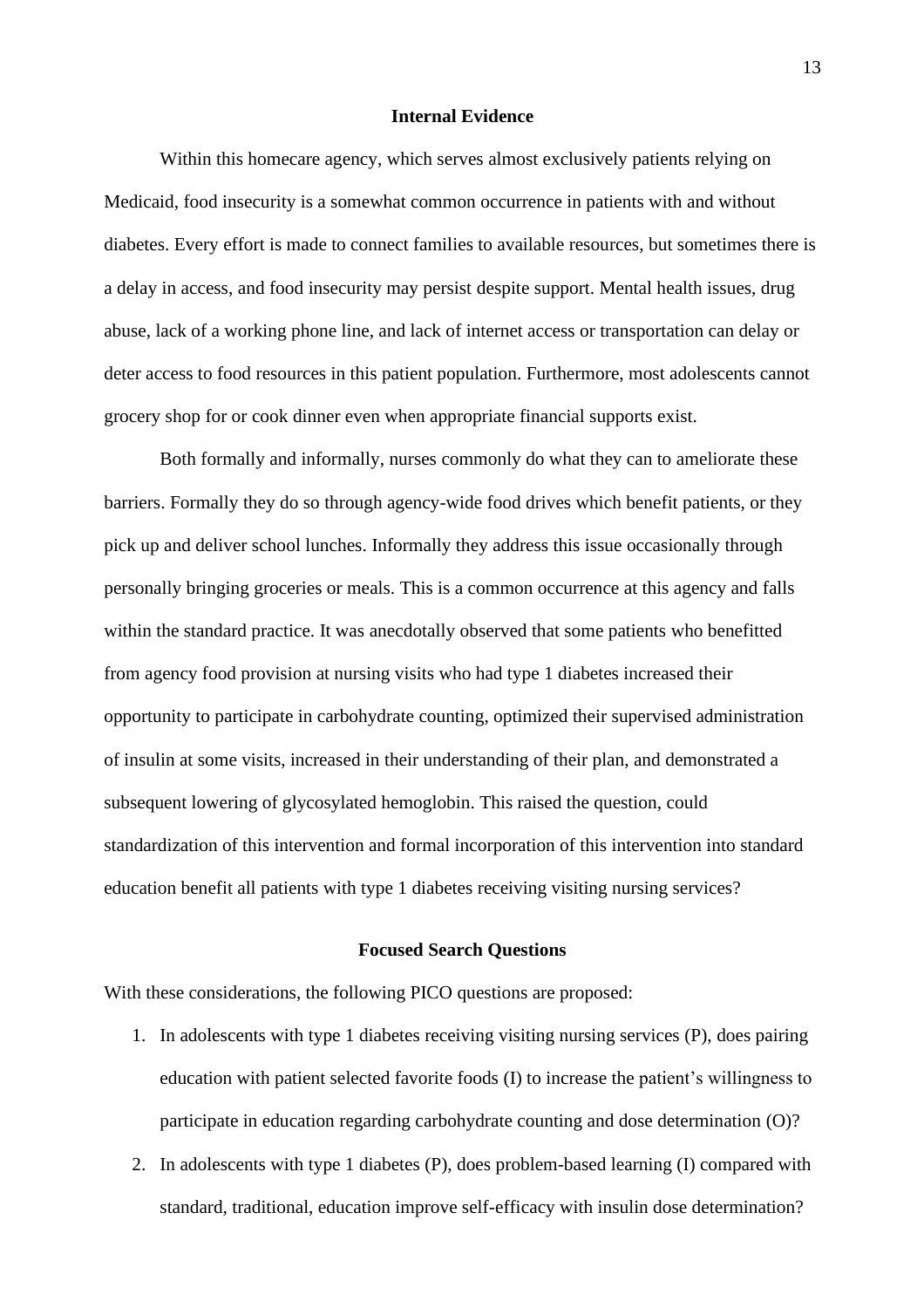### **Internal Evidence**

<span id="page-13-0"></span>Within this homecare agency, which serves almost exclusively patients relying on Medicaid, food insecurity is a somewhat common occurrence in patients with and without diabetes. Every effort is made to connect families to available resources, but sometimes there is a delay in access, and food insecurity may persist despite support. Mental health issues, drug abuse, lack of a working phone line, and lack of internet access or transportation can delay or deter access to food resources in this patient population. Furthermore, most adolescents cannot grocery shop for or cook dinner even when appropriate financial supports exist.

Both formally and informally, nurses commonly do what they can to ameliorate these barriers. Formally they do so through agency-wide food drives which benefit patients, or they pick up and deliver school lunches. Informally they address this issue occasionally through personally bringing groceries or meals. This is a common occurrence at this agency and falls within the standard practice. It was anecdotally observed that some patients who benefitted from agency food provision at nursing visits who had type 1 diabetes increased their opportunity to participate in carbohydrate counting, optimized their supervised administration of insulin at some visits, increased in their understanding of their plan, and demonstrated a subsequent lowering of glycosylated hemoglobin. This raised the question, could standardization of this intervention and formal incorporation of this intervention into standard education benefit all patients with type 1 diabetes receiving visiting nursing services?

#### **Focused Search Questions**

<span id="page-13-1"></span>With these considerations, the following PICO questions are proposed:

- 1. In adolescents with type 1 diabetes receiving visiting nursing services (P), does pairing education with patient selected favorite foods (I) to increase the patient's willingness to participate in education regarding carbohydrate counting and dose determination (O)?
- 2. In adolescents with type 1 diabetes (P), does problem-based learning (I) compared with standard, traditional, education improve self-efficacy with insulin dose determination?

13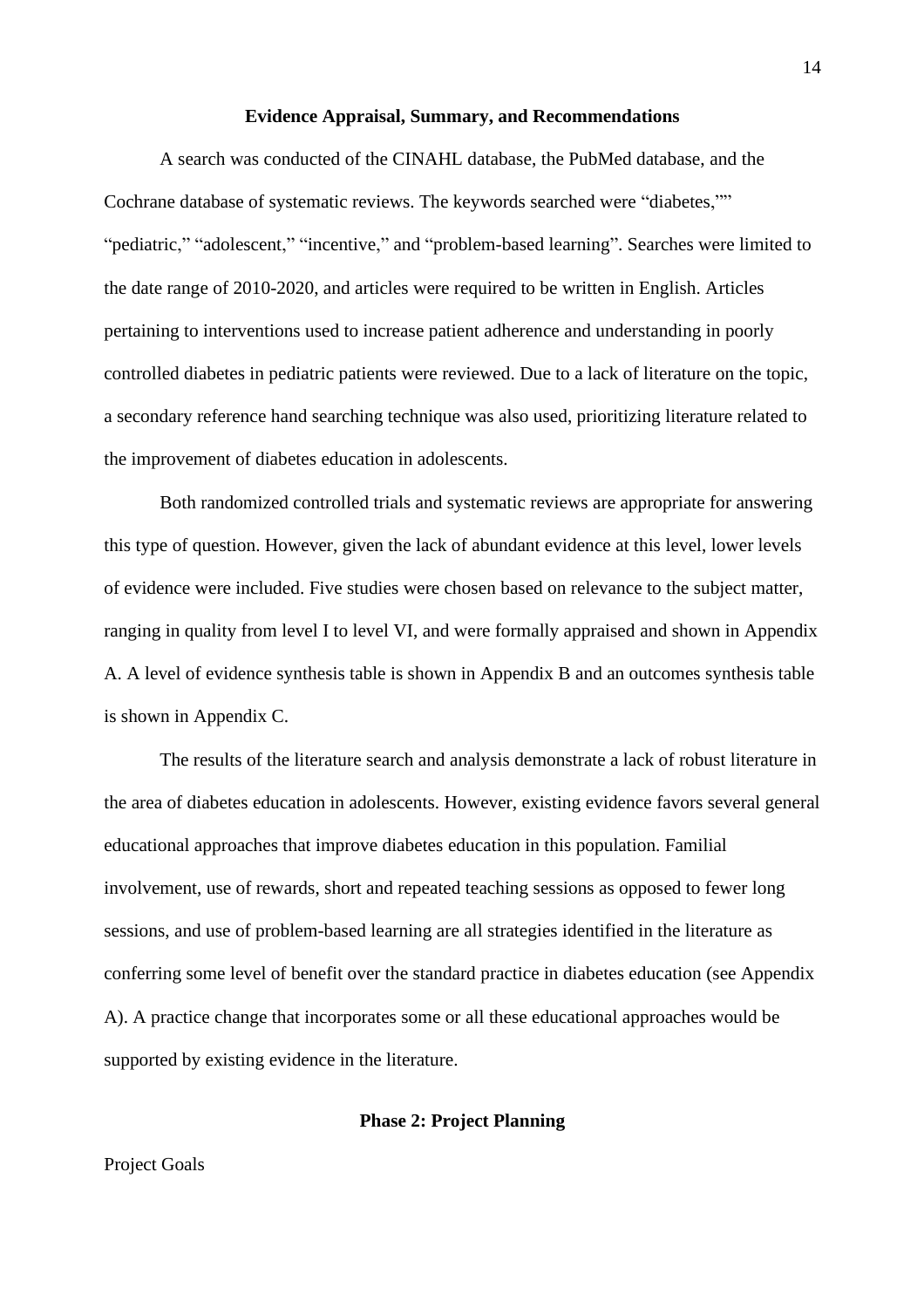#### **Evidence Appraisal, Summary, and Recommendations**

<span id="page-14-0"></span>A search was conducted of the CINAHL database, the PubMed database, and the Cochrane database of systematic reviews. The keywords searched were "diabetes,"" "pediatric," "adolescent," "incentive," and "problem-based learning". Searches were limited to the date range of 2010-2020, and articles were required to be written in English. Articles pertaining to interventions used to increase patient adherence and understanding in poorly controlled diabetes in pediatric patients were reviewed. Due to a lack of literature on the topic, a secondary reference hand searching technique was also used, prioritizing literature related to the improvement of diabetes education in adolescents.

Both randomized controlled trials and systematic reviews are appropriate for answering this type of question. However, given the lack of abundant evidence at this level, lower levels of evidence were included. Five studies were chosen based on relevance to the subject matter, ranging in quality from level I to level VI, and were formally appraised and shown in Appendix A. A level of evidence synthesis table is shown in Appendix B and an outcomes synthesis table is shown in Appendix C.

The results of the literature search and analysis demonstrate a lack of robust literature in the area of diabetes education in adolescents. However, existing evidence favors several general educational approaches that improve diabetes education in this population. Familial involvement, use of rewards, short and repeated teaching sessions as opposed to fewer long sessions, and use of problem-based learning are all strategies identified in the literature as conferring some level of benefit over the standard practice in diabetes education (see Appendix A). A practice change that incorporates some or all these educational approaches would be supported by existing evidence in the literature.

**Phase 2: Project Planning**

#### <span id="page-14-1"></span>Project Goals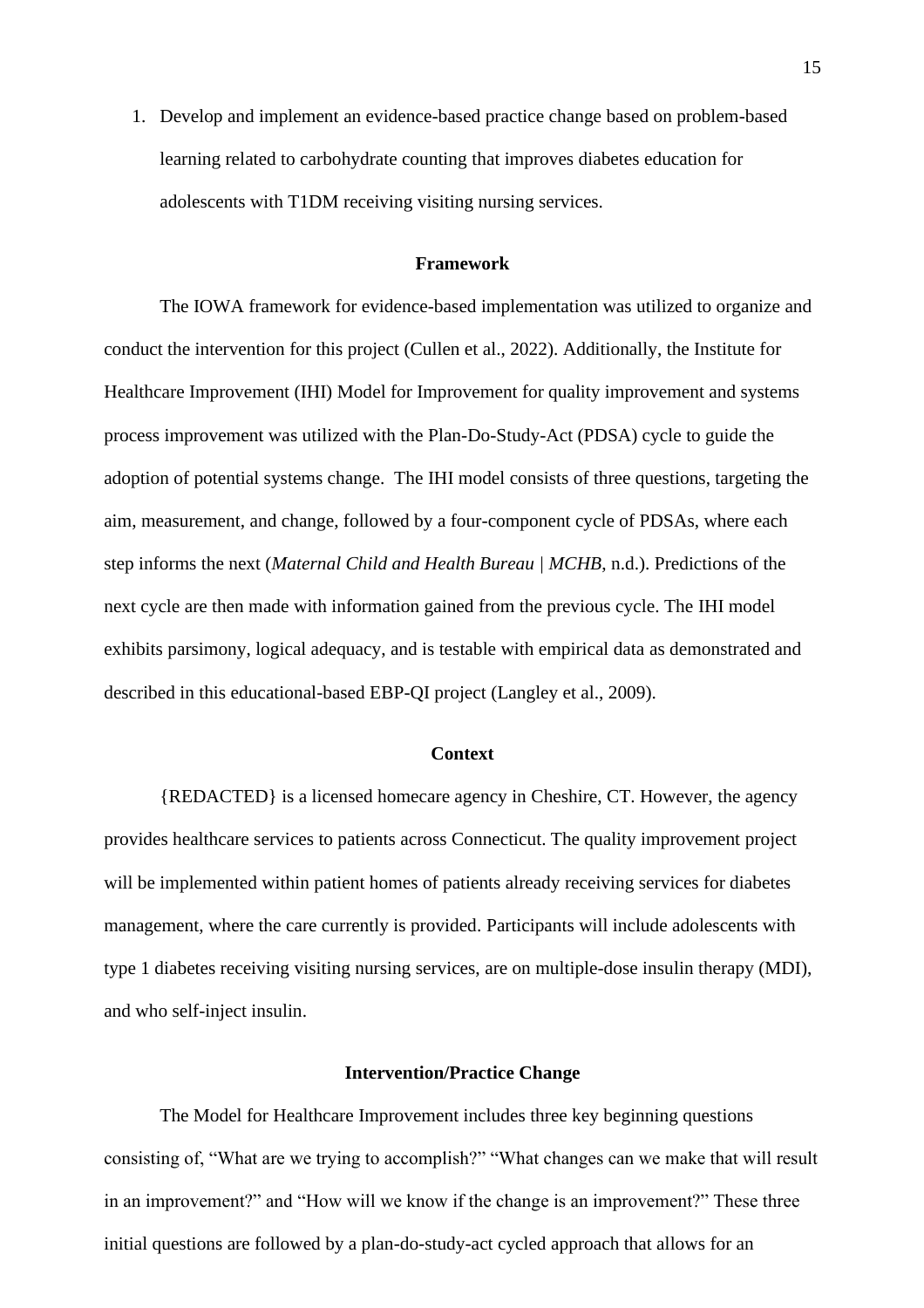1. Develop and implement an evidence-based practice change based on problem-based learning related to carbohydrate counting that improves diabetes education for adolescents with T1DM receiving visiting nursing services.

### **Framework**

<span id="page-15-0"></span>The IOWA framework for evidence-based implementation was utilized to organize and conduct the intervention for this project (Cullen et al., 2022). Additionally, the Institute for Healthcare Improvement (IHI) Model for Improvement for quality improvement and systems process improvement was utilized with the Plan-Do-Study-Act (PDSA) cycle to guide the adoption of potential systems change. The IHI model consists of three questions, targeting the aim, measurement, and change, followed by a four-component cycle of PDSAs, where each step informs the next (*Maternal Child and Health Bureau | MCHB*, n.d.). Predictions of the next cycle are then made with information gained from the previous cycle. The IHI model exhibits parsimony, logical adequacy, and is testable with empirical data as demonstrated and described in this educational-based EBP-QI project (Langley et al., 2009).

#### **Context**

<span id="page-15-1"></span>{REDACTED} is a licensed homecare agency in Cheshire, CT. However, the agency provides healthcare services to patients across Connecticut. The quality improvement project will be implemented within patient homes of patients already receiving services for diabetes management, where the care currently is provided. Participants will include adolescents with type 1 diabetes receiving visiting nursing services, are on multiple-dose insulin therapy (MDI), and who self-inject insulin.

#### **Intervention/Practice Change**

<span id="page-15-2"></span>The Model for Healthcare Improvement includes three key beginning questions consisting of, "What are we trying to accomplish?" "What changes can we make that will result in an improvement?" and "How will we know if the change is an improvement?" These three initial questions are followed by a plan-do-study-act cycled approach that allows for an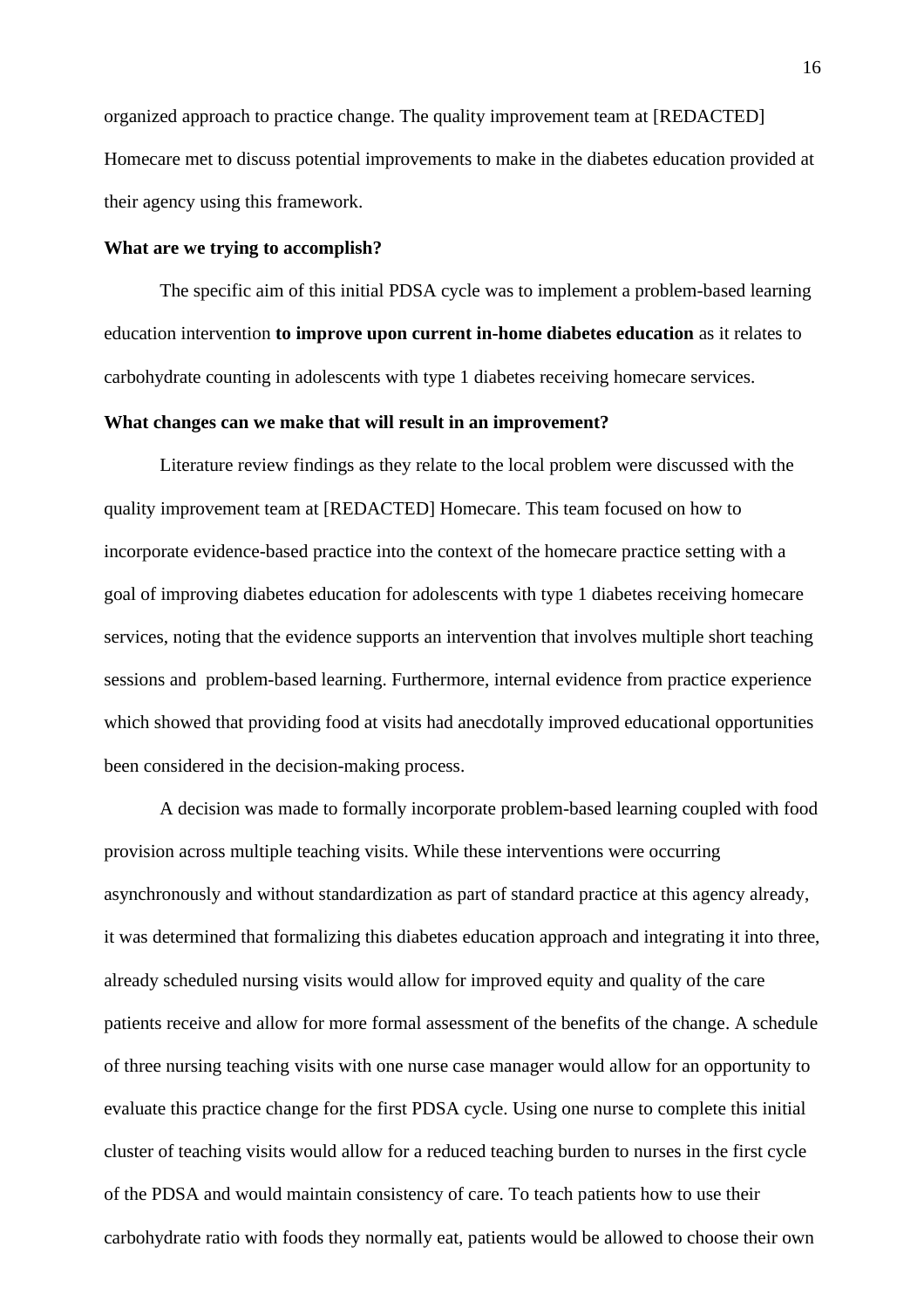organized approach to practice change. The quality improvement team at [REDACTED] Homecare met to discuss potential improvements to make in the diabetes education provided at their agency using this framework.

#### <span id="page-16-0"></span>**What are we trying to accomplish?**

The specific aim of this initial PDSA cycle was to implement a problem-based learning education intervention **to improve upon current in-home diabetes education** as it relates to carbohydrate counting in adolescents with type 1 diabetes receiving homecare services.

#### <span id="page-16-1"></span>**What changes can we make that will result in an improvement?**

Literature review findings as they relate to the local problem were discussed with the quality improvement team at [REDACTED] Homecare. This team focused on how to incorporate evidence-based practice into the context of the homecare practice setting with a goal of improving diabetes education for adolescents with type 1 diabetes receiving homecare services, noting that the evidence supports an intervention that involves multiple short teaching sessions and problem-based learning. Furthermore, internal evidence from practice experience which showed that providing food at visits had anecdotally improved educational opportunities been considered in the decision-making process.

A decision was made to formally incorporate problem-based learning coupled with food provision across multiple teaching visits. While these interventions were occurring asynchronously and without standardization as part of standard practice at this agency already, it was determined that formalizing this diabetes education approach and integrating it into three, already scheduled nursing visits would allow for improved equity and quality of the care patients receive and allow for more formal assessment of the benefits of the change. A schedule of three nursing teaching visits with one nurse case manager would allow for an opportunity to evaluate this practice change for the first PDSA cycle. Using one nurse to complete this initial cluster of teaching visits would allow for a reduced teaching burden to nurses in the first cycle of the PDSA and would maintain consistency of care. To teach patients how to use their carbohydrate ratio with foods they normally eat, patients would be allowed to choose their own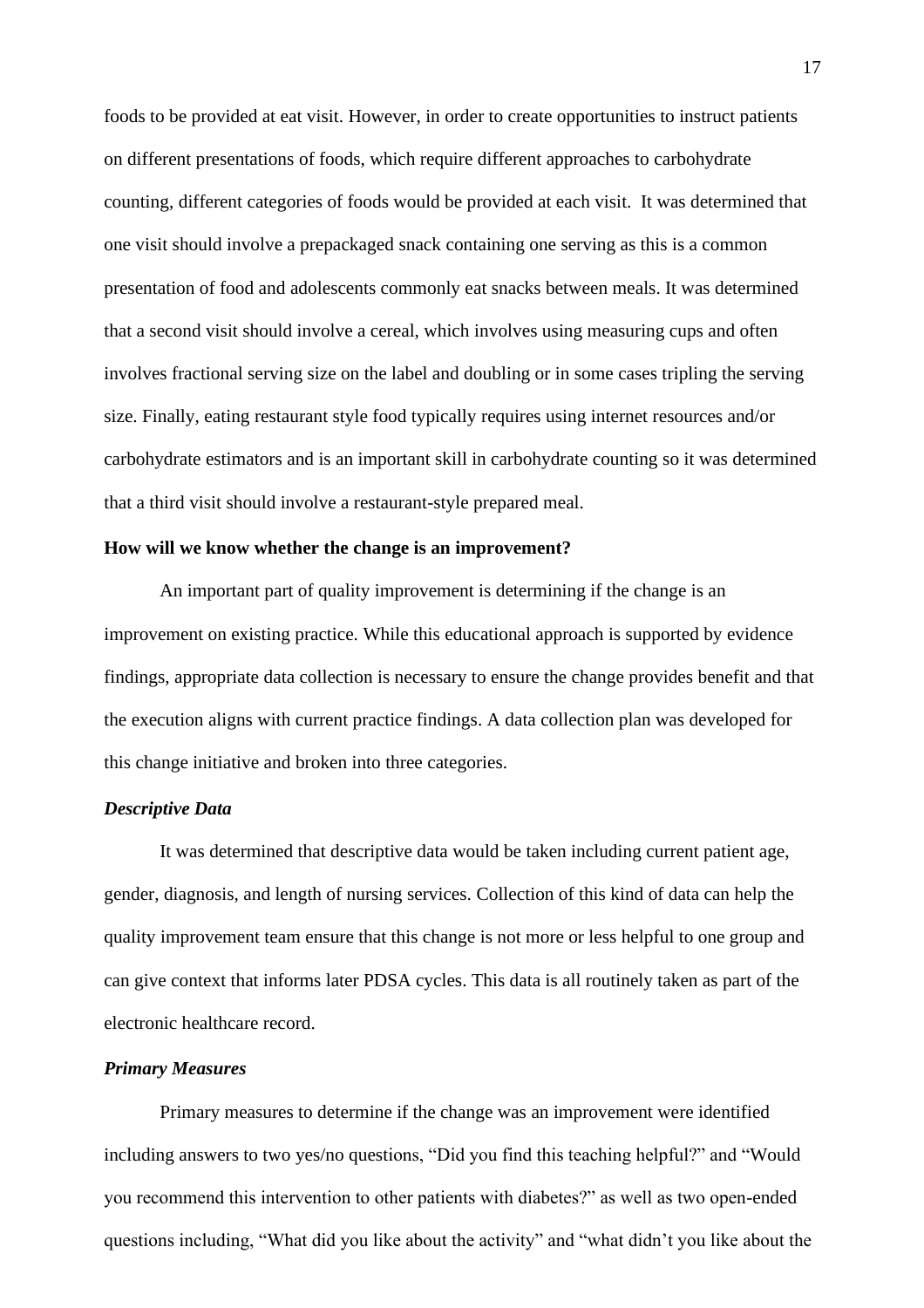foods to be provided at eat visit. However, in order to create opportunities to instruct patients on different presentations of foods, which require different approaches to carbohydrate counting, different categories of foods would be provided at each visit. It was determined that one visit should involve a prepackaged snack containing one serving as this is a common presentation of food and adolescents commonly eat snacks between meals. It was determined that a second visit should involve a cereal, which involves using measuring cups and often involves fractional serving size on the label and doubling or in some cases tripling the serving size. Finally, eating restaurant style food typically requires using internet resources and/or carbohydrate estimators and is an important skill in carbohydrate counting so it was determined that a third visit should involve a restaurant-style prepared meal.

#### <span id="page-17-0"></span>**How will we know whether the change is an improvement?**

An important part of quality improvement is determining if the change is an improvement on existing practice. While this educational approach is supported by evidence findings, appropriate data collection is necessary to ensure the change provides benefit and that the execution aligns with current practice findings. A data collection plan was developed for this change initiative and broken into three categories.

### <span id="page-17-1"></span>*Descriptive Data*

It was determined that descriptive data would be taken including current patient age, gender, diagnosis, and length of nursing services. Collection of this kind of data can help the quality improvement team ensure that this change is not more or less helpful to one group and can give context that informs later PDSA cycles. This data is all routinely taken as part of the electronic healthcare record.

#### <span id="page-17-2"></span>*Primary Measures*

Primary measures to determine if the change was an improvement were identified including answers to two yes/no questions, "Did you find this teaching helpful?" and "Would you recommend this intervention to other patients with diabetes?" as well as two open-ended questions including, "What did you like about the activity" and "what didn't you like about the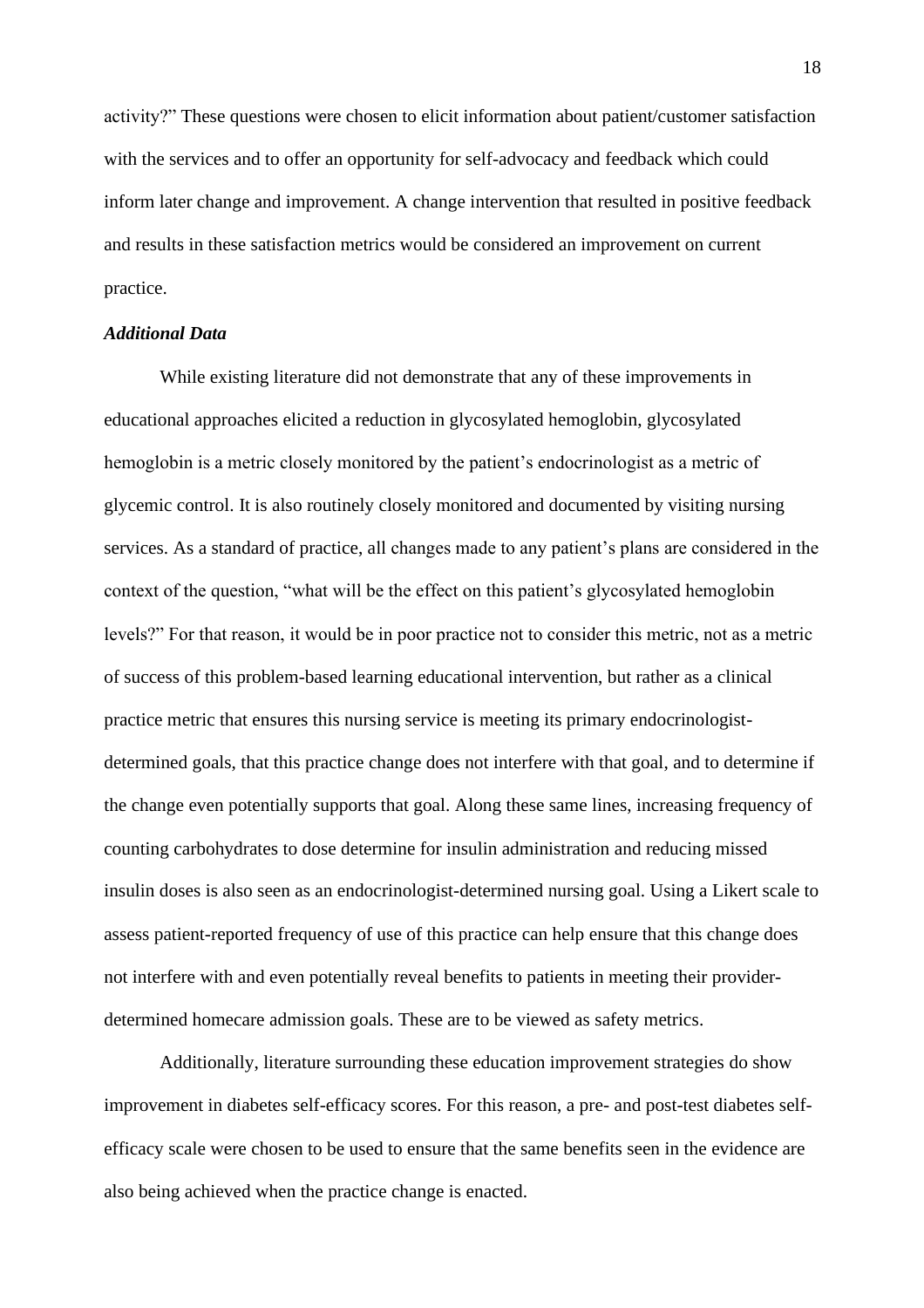activity?" These questions were chosen to elicit information about patient/customer satisfaction with the services and to offer an opportunity for self-advocacy and feedback which could inform later change and improvement. A change intervention that resulted in positive feedback and results in these satisfaction metrics would be considered an improvement on current practice.

### <span id="page-18-0"></span>*Additional Data*

While existing literature did not demonstrate that any of these improvements in educational approaches elicited a reduction in glycosylated hemoglobin, glycosylated hemoglobin is a metric closely monitored by the patient's endocrinologist as a metric of glycemic control. It is also routinely closely monitored and documented by visiting nursing services. As a standard of practice, all changes made to any patient's plans are considered in the context of the question, "what will be the effect on this patient's glycosylated hemoglobin levels?" For that reason, it would be in poor practice not to consider this metric, not as a metric of success of this problem-based learning educational intervention, but rather as a clinical practice metric that ensures this nursing service is meeting its primary endocrinologistdetermined goals, that this practice change does not interfere with that goal, and to determine if the change even potentially supports that goal. Along these same lines, increasing frequency of counting carbohydrates to dose determine for insulin administration and reducing missed insulin doses is also seen as an endocrinologist-determined nursing goal. Using a Likert scale to assess patient-reported frequency of use of this practice can help ensure that this change does not interfere with and even potentially reveal benefits to patients in meeting their providerdetermined homecare admission goals. These are to be viewed as safety metrics.

Additionally, literature surrounding these education improvement strategies do show improvement in diabetes self-efficacy scores. For this reason, a pre- and post-test diabetes selfefficacy scale were chosen to be used to ensure that the same benefits seen in the evidence are also being achieved when the practice change is enacted.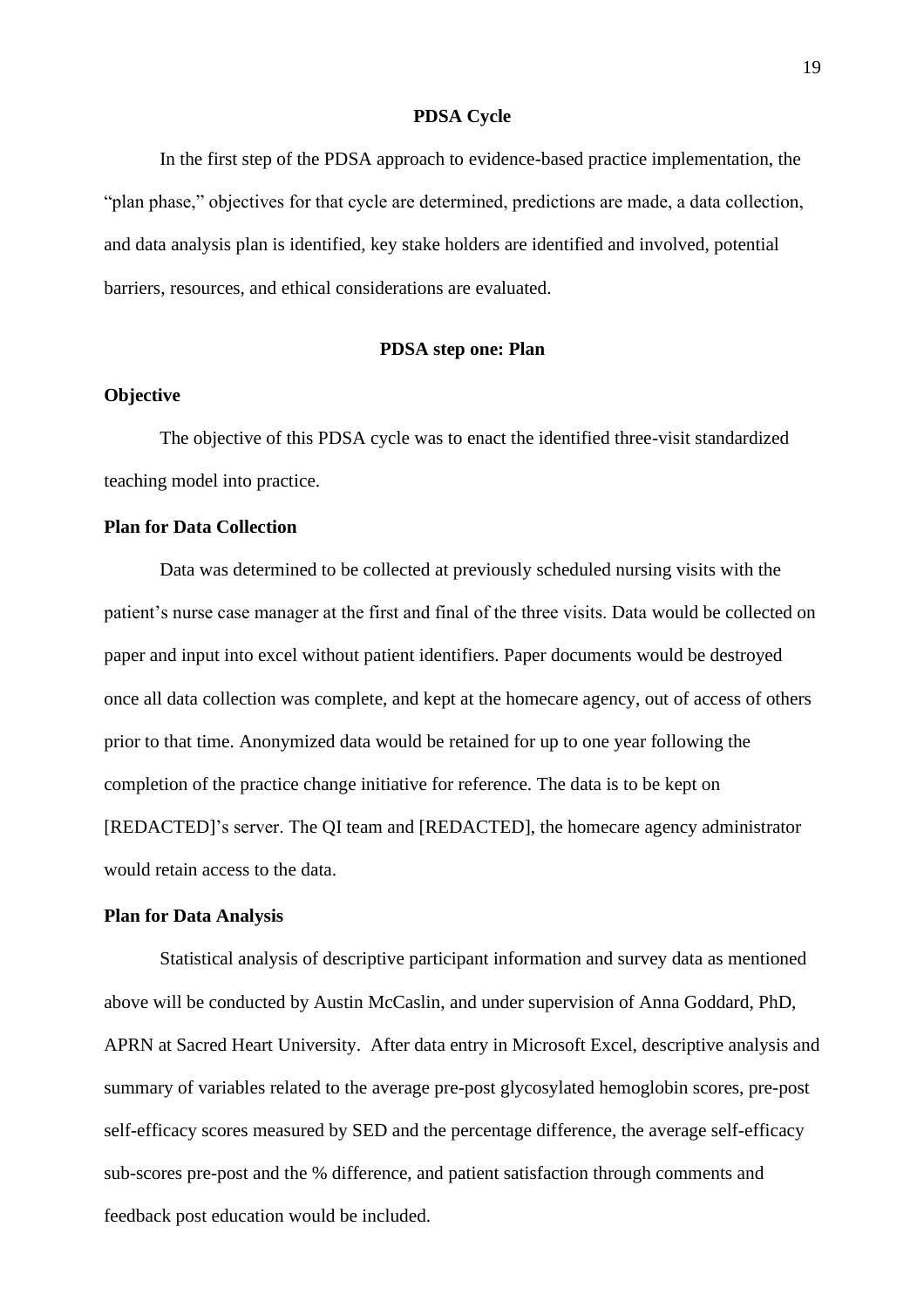#### **PDSA Cycle**

<span id="page-19-0"></span>In the first step of the PDSA approach to evidence-based practice implementation, the "plan phase," objectives for that cycle are determined, predictions are made, a data collection, and data analysis plan is identified, key stake holders are identified and involved, potential barriers, resources, and ethical considerations are evaluated.

### **PDSA step one: Plan**

#### <span id="page-19-2"></span><span id="page-19-1"></span>**Objective**

The objective of this PDSA cycle was to enact the identified three-visit standardized teaching model into practice.

### <span id="page-19-3"></span>**Plan for Data Collection**

Data was determined to be collected at previously scheduled nursing visits with the patient's nurse case manager at the first and final of the three visits. Data would be collected on paper and input into excel without patient identifiers. Paper documents would be destroyed once all data collection was complete, and kept at the homecare agency, out of access of others prior to that time. Anonymized data would be retained for up to one year following the completion of the practice change initiative for reference. The data is to be kept on [REDACTED]'s server. The QI team and [REDACTED], the homecare agency administrator would retain access to the data.

#### <span id="page-19-4"></span>**Plan for Data Analysis**

Statistical analysis of descriptive participant information and survey data as mentioned above will be conducted by Austin McCaslin, and under supervision of Anna Goddard, PhD, APRN at Sacred Heart University. After data entry in Microsoft Excel, descriptive analysis and summary of variables related to the average pre-post glycosylated hemoglobin scores, pre-post self-efficacy scores measured by SED and the percentage difference, the average self-efficacy sub-scores pre-post and the % difference, and patient satisfaction through comments and feedback post education would be included.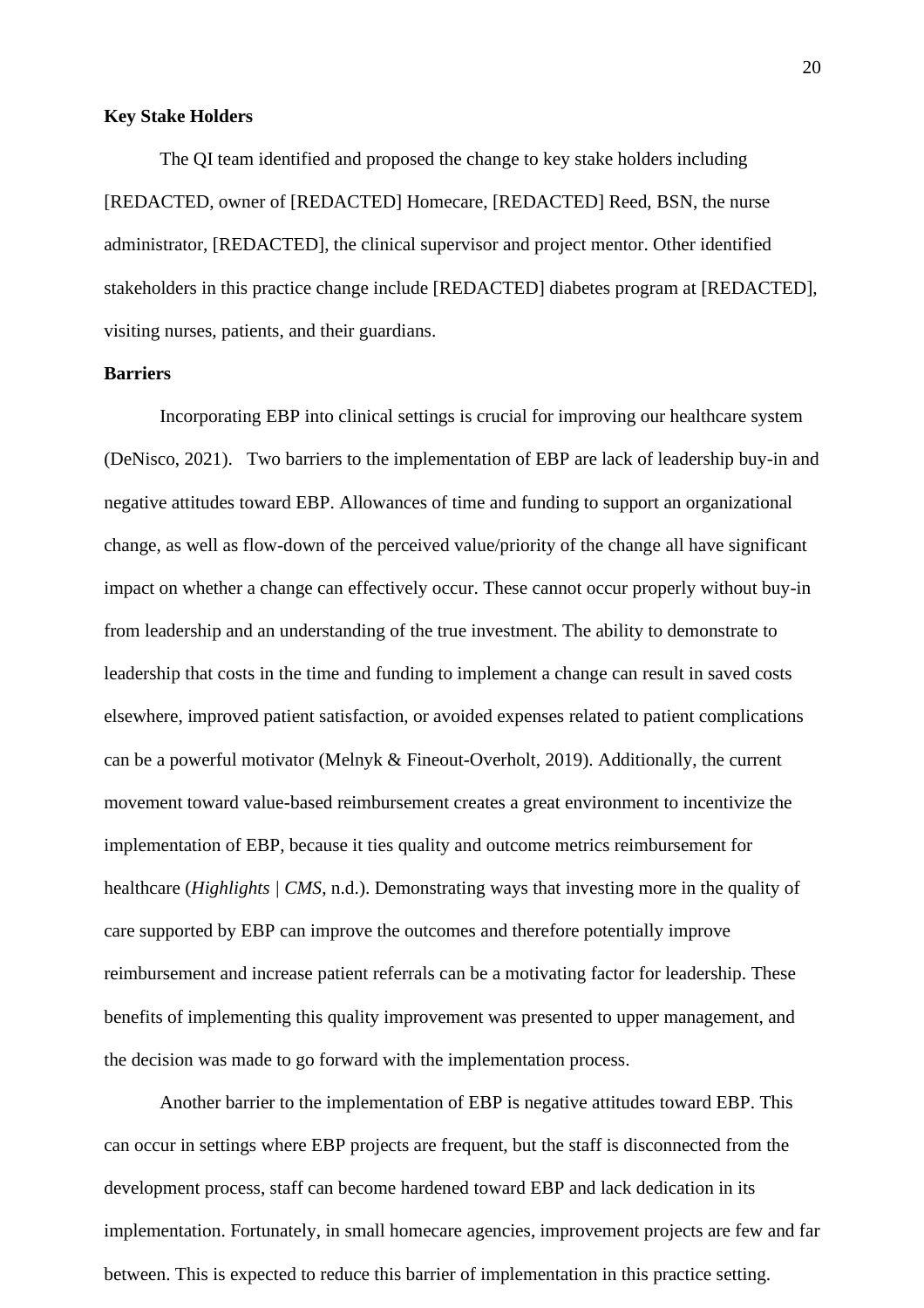### <span id="page-20-0"></span>**Key Stake Holders**

The QI team identified and proposed the change to key stake holders including [REDACTED, owner of [REDACTED] Homecare, [REDACTED] Reed, BSN, the nurse administrator, [REDACTED], the clinical supervisor and project mentor. Other identified stakeholders in this practice change include [REDACTED] diabetes program at [REDACTED], visiting nurses, patients, and their guardians.

### **Barriers**

Incorporating EBP into clinical settings is crucial for improving our healthcare system (DeNisco, 2021). Two barriers to the implementation of EBP are lack of leadership buy-in and negative attitudes toward EBP. Allowances of time and funding to support an organizational change, as well as flow-down of the perceived value/priority of the change all have significant impact on whether a change can effectively occur. These cannot occur properly without buy-in from leadership and an understanding of the true investment. The ability to demonstrate to leadership that costs in the time and funding to implement a change can result in saved costs elsewhere, improved patient satisfaction, or avoided expenses related to patient complications can be a powerful motivator (Melnyk & Fineout-Overholt, 2019). Additionally, the current movement toward value-based reimbursement creates a great environment to incentivize the implementation of EBP, because it ties quality and outcome metrics reimbursement for healthcare (*Highlights | CMS*, n.d.). Demonstrating ways that investing more in the quality of care supported by EBP can improve the outcomes and therefore potentially improve reimbursement and increase patient referrals can be a motivating factor for leadership. These benefits of implementing this quality improvement was presented to upper management, and the decision was made to go forward with the implementation process.

Another barrier to the implementation of EBP is negative attitudes toward EBP. This can occur in settings where EBP projects are frequent, but the staff is disconnected from the development process, staff can become hardened toward EBP and lack dedication in its implementation. Fortunately, in small homecare agencies, improvement projects are few and far between. This is expected to reduce this barrier of implementation in this practice setting.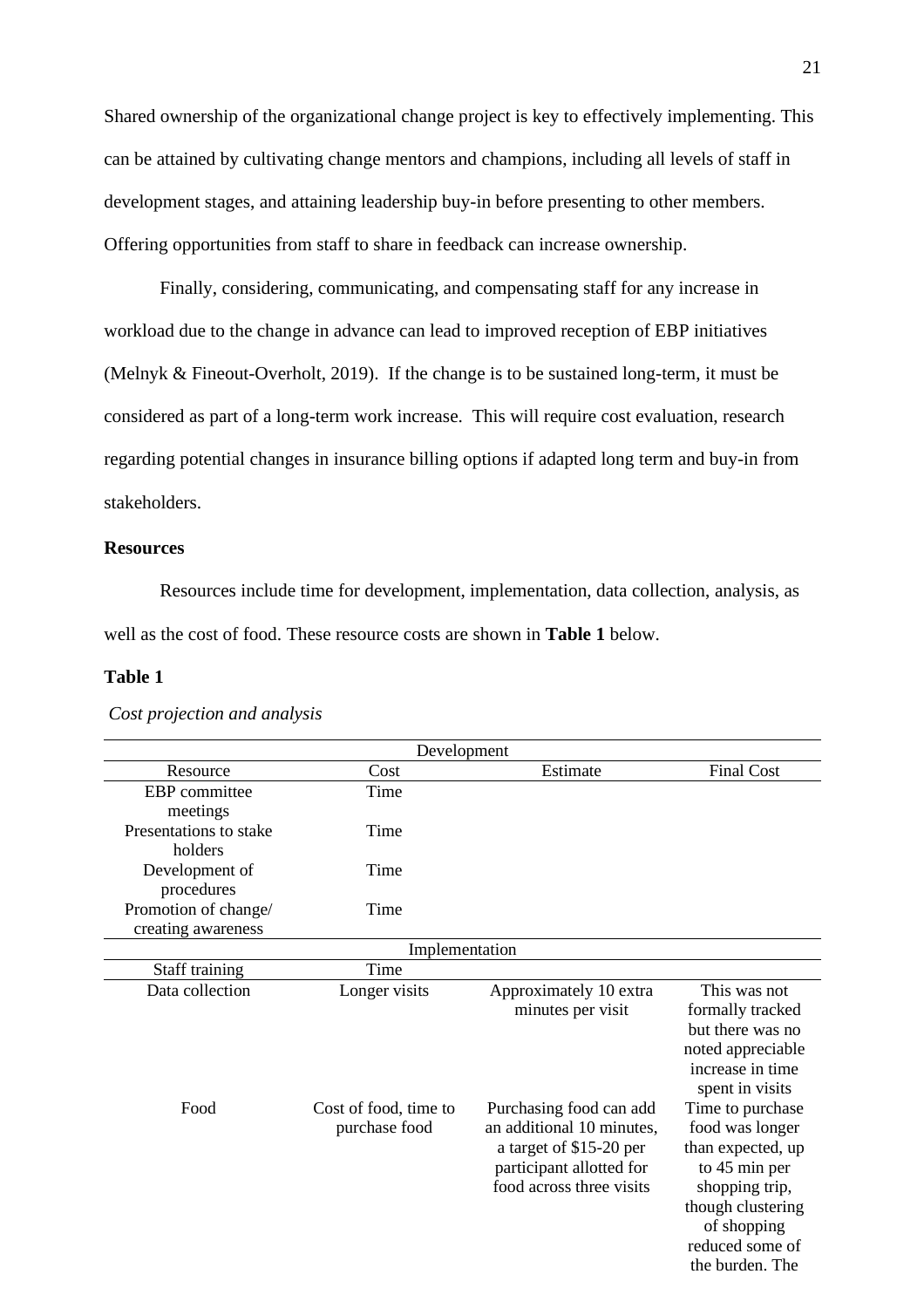Shared ownership of the organizational change project is key to effectively implementing. This can be attained by cultivating change mentors and champions, including all levels of staff in development stages, and attaining leadership buy-in before presenting to other members. Offering opportunities from staff to share in feedback can increase ownership.

Finally, considering, communicating, and compensating staff for any increase in workload due to the change in advance can lead to improved reception of EBP initiatives (Melnyk & Fineout-Overholt, 2019). If the change is to be sustained long-term, it must be considered as part of a long-term work increase. This will require cost evaluation, research regarding potential changes in insurance billing options if adapted long term and buy-in from stakeholders.

### <span id="page-21-0"></span>**Resources**

Resources include time for development, implementation, data collection, analysis, as well as the cost of food. These resource costs are shown in **[Table 1](#page-21-1)** below.

### <span id="page-21-1"></span>**Table 1**

| Development            |                       |                           |                   |  |  |  |  |
|------------------------|-----------------------|---------------------------|-------------------|--|--|--|--|
| Resource               | Cost                  | Estimate                  | <b>Final Cost</b> |  |  |  |  |
| EBP committee          | Time                  |                           |                   |  |  |  |  |
| meetings               |                       |                           |                   |  |  |  |  |
| Presentations to stake | Time                  |                           |                   |  |  |  |  |
| holders                |                       |                           |                   |  |  |  |  |
| Development of         | Time                  |                           |                   |  |  |  |  |
| procedures             |                       |                           |                   |  |  |  |  |
| Promotion of change/   | Time                  |                           |                   |  |  |  |  |
| creating awareness     |                       |                           |                   |  |  |  |  |
|                        | Implementation        |                           |                   |  |  |  |  |
| Staff training         | Time                  |                           |                   |  |  |  |  |
| Data collection        | Longer visits         | Approximately 10 extra    | This was not      |  |  |  |  |
|                        |                       | minutes per visit         | formally tracked  |  |  |  |  |
|                        |                       |                           | but there was no  |  |  |  |  |
|                        |                       |                           | noted appreciable |  |  |  |  |
|                        |                       |                           | increase in time  |  |  |  |  |
|                        |                       |                           | spent in visits   |  |  |  |  |
| Food                   | Cost of food, time to | Purchasing food can add   | Time to purchase  |  |  |  |  |
|                        | purchase food         | an additional 10 minutes, | food was longer   |  |  |  |  |
|                        |                       | a target of \$15-20 per   | than expected, up |  |  |  |  |
|                        |                       | participant allotted for  | to 45 min per     |  |  |  |  |
|                        |                       | food across three visits  | shopping trip,    |  |  |  |  |
|                        |                       |                           | though clustering |  |  |  |  |
|                        |                       |                           | of shopping       |  |  |  |  |
|                        |                       |                           | reduced some of   |  |  |  |  |
|                        |                       |                           | the burden. The   |  |  |  |  |

*Cost projection and analysis*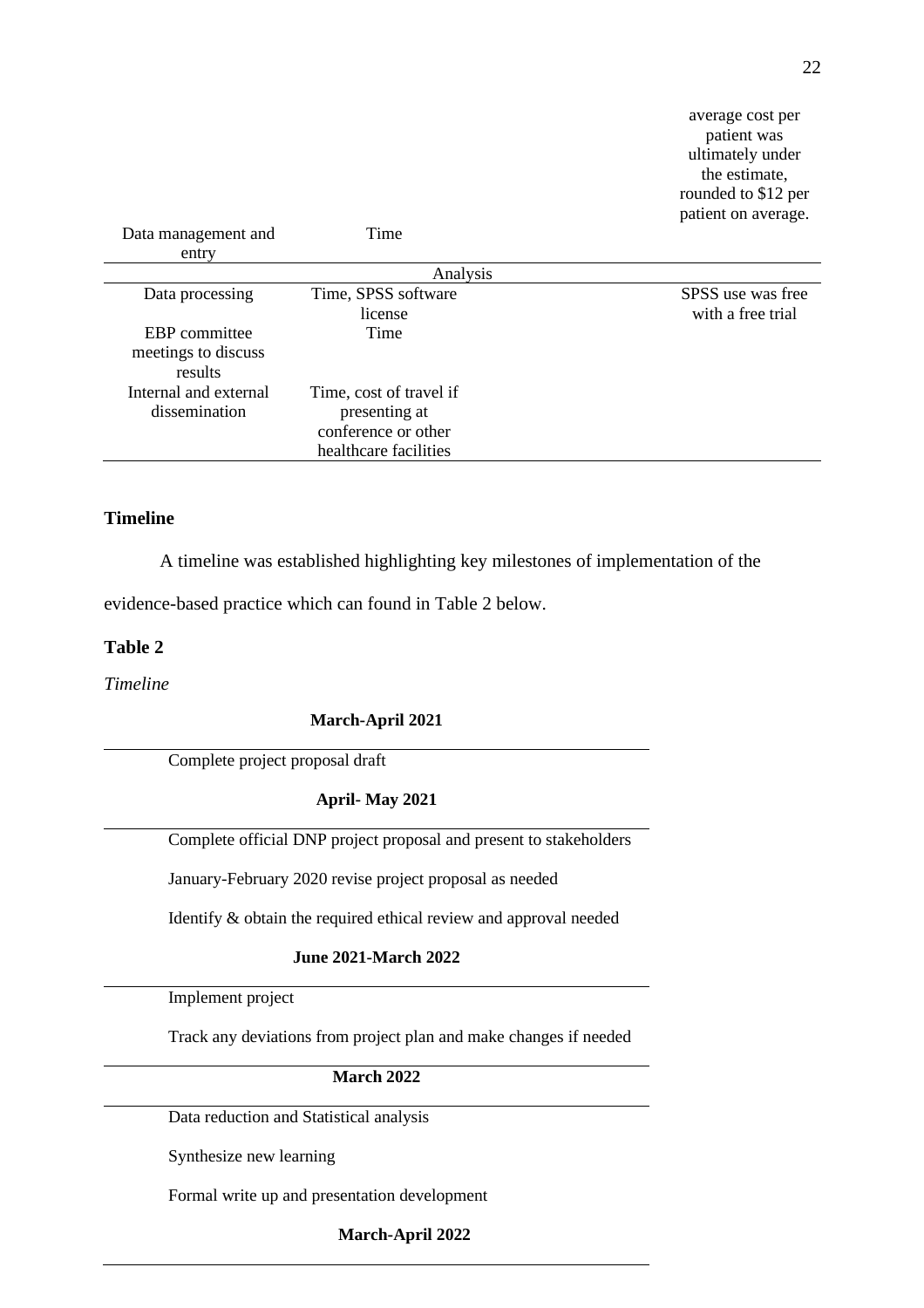|                                                 |                                                                 | the estimate,<br>rounded to \$12 per<br>patient on average. |
|-------------------------------------------------|-----------------------------------------------------------------|-------------------------------------------------------------|
| Data management and<br>entry                    | Time                                                            |                                                             |
|                                                 | Analysis                                                        |                                                             |
| Data processing                                 | Time, SPSS software                                             | SPSS use was free                                           |
|                                                 | license                                                         | with a free trial                                           |
| EBP committee<br>meetings to discuss<br>results | Time                                                            |                                                             |
| Internal and external<br>dissemination          | Time, cost of travel if<br>presenting at<br>conference or other |                                                             |
|                                                 | healthcare facilities                                           |                                                             |

### <span id="page-22-0"></span>**Timeline**

A timeline was established highlighting key milestones of implementation of the

evidence-based practice which can found in Table 2 below.

### <span id="page-22-1"></span>**Table 2**

*Timeline*

#### **March-April 2021**

Complete project proposal draft

### **April- May 2021**

Complete official DNP project proposal and present to stakeholders

January-February 2020 revise project proposal as needed

Identify & obtain the required ethical review and approval needed

#### **June 2021-March 2022**

Implement project

Track any deviations from project plan and make changes if needed

#### **March 2022**

Data reduction and Statistical analysis

Synthesize new learning

Formal write up and presentation development

**March-April 2022**

average cost per patient was ultimately under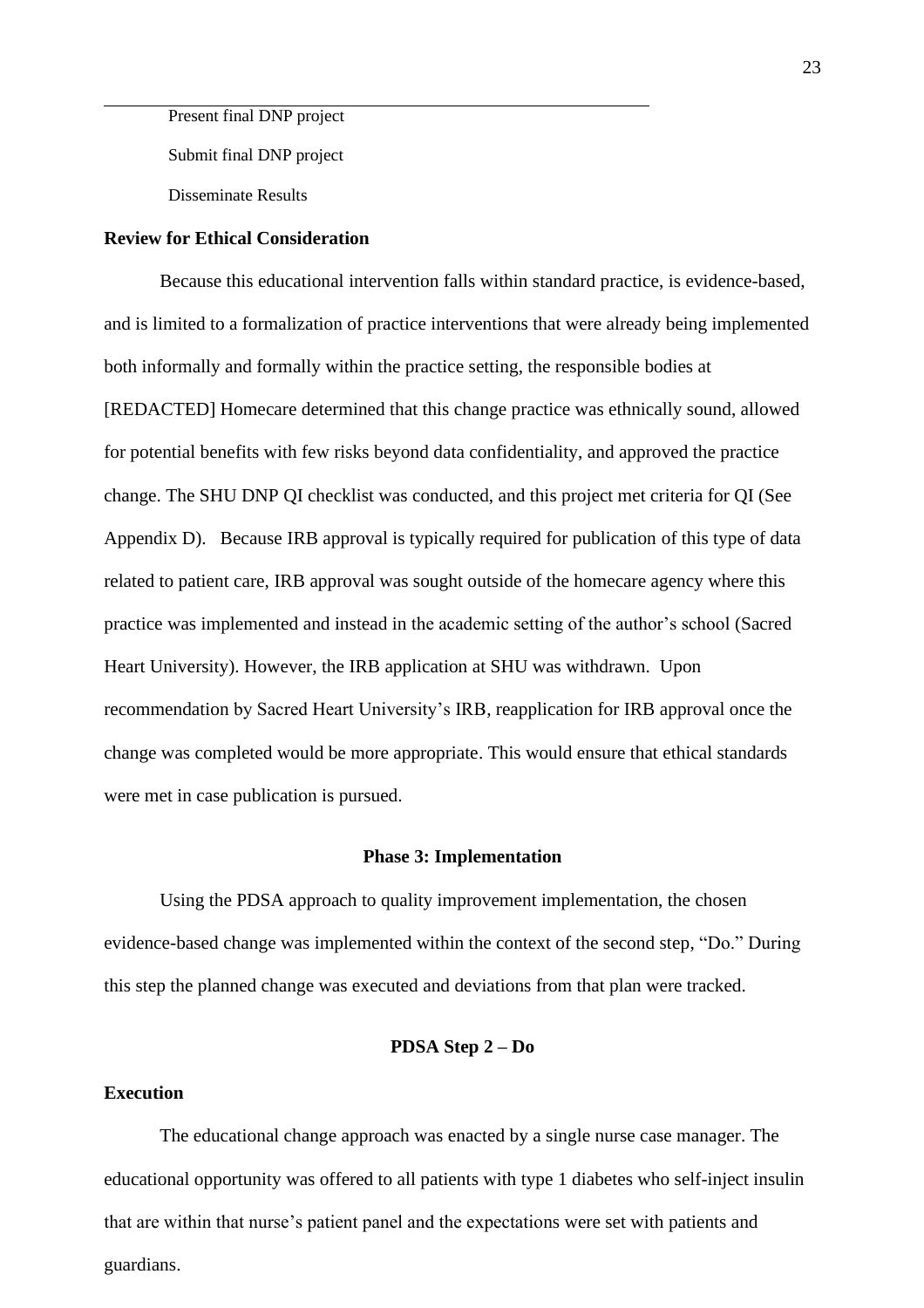Present final DNP project Submit final DNP project Disseminate Results

### <span id="page-23-0"></span>**Review for Ethical Consideration**

Because this educational intervention falls within standard practice, is evidence-based, and is limited to a formalization of practice interventions that were already being implemented both informally and formally within the practice setting, the responsible bodies at [REDACTED] Homecare determined that this change practice was ethnically sound, allowed for potential benefits with few risks beyond data confidentiality, and approved the practice change. The SHU DNP QI checklist was conducted, and this project met criteria for QI (See Appendix D). Because IRB approval is typically required for publication of this type of data related to patient care, IRB approval was sought outside of the homecare agency where this practice was implemented and instead in the academic setting of the author's school (Sacred Heart University). However, the IRB application at SHU was withdrawn. Upon recommendation by Sacred Heart University's IRB, reapplication for IRB approval once the change was completed would be more appropriate. This would ensure that ethical standards were met in case publication is pursued.

#### **Phase 3: Implementation**

<span id="page-23-1"></span>Using the PDSA approach to quality improvement implementation, the chosen evidence-based change was implemented within the context of the second step, "Do." During this step the planned change was executed and deviations from that plan were tracked.

#### **PDSA Step 2 – Do**

### <span id="page-23-3"></span><span id="page-23-2"></span>**Execution**

The educational change approach was enacted by a single nurse case manager. The educational opportunity was offered to all patients with type 1 diabetes who self-inject insulin that are within that nurse's patient panel and the expectations were set with patients and guardians.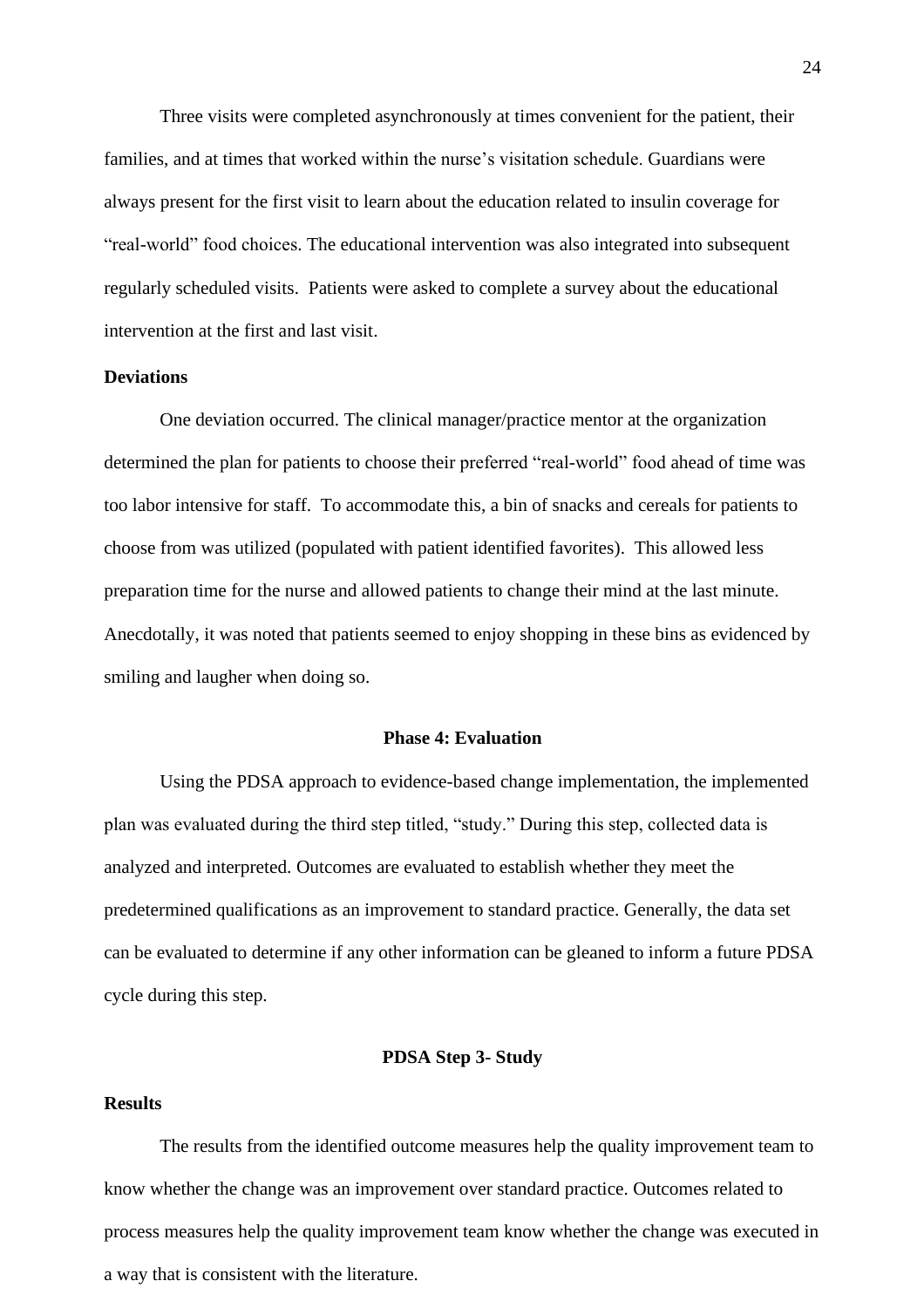Three visits were completed asynchronously at times convenient for the patient, their families, and at times that worked within the nurse's visitation schedule. Guardians were always present for the first visit to learn about the education related to insulin coverage for "real-world" food choices. The educational intervention was also integrated into subsequent regularly scheduled visits. Patients were asked to complete a survey about the educational intervention at the first and last visit.

### <span id="page-24-0"></span>**Deviations**

One deviation occurred. The clinical manager/practice mentor at the organization determined the plan for patients to choose their preferred "real-world" food ahead of time was too labor intensive for staff. To accommodate this, a bin of snacks and cereals for patients to choose from was utilized (populated with patient identified favorites). This allowed less preparation time for the nurse and allowed patients to change their mind at the last minute. Anecdotally, it was noted that patients seemed to enjoy shopping in these bins as evidenced by smiling and laugher when doing so.

#### **Phase 4: Evaluation**

<span id="page-24-1"></span>Using the PDSA approach to evidence-based change implementation, the implemented plan was evaluated during the third step titled, "study." During this step, collected data is analyzed and interpreted. Outcomes are evaluated to establish whether they meet the predetermined qualifications as an improvement to standard practice. Generally, the data set can be evaluated to determine if any other information can be gleaned to inform a future PDSA cycle during this step.

#### **PDSA Step 3- Study**

#### <span id="page-24-3"></span><span id="page-24-2"></span>**Results**

The results from the identified outcome measures help the quality improvement team to know whether the change was an improvement over standard practice. Outcomes related to process measures help the quality improvement team know whether the change was executed in a way that is consistent with the literature.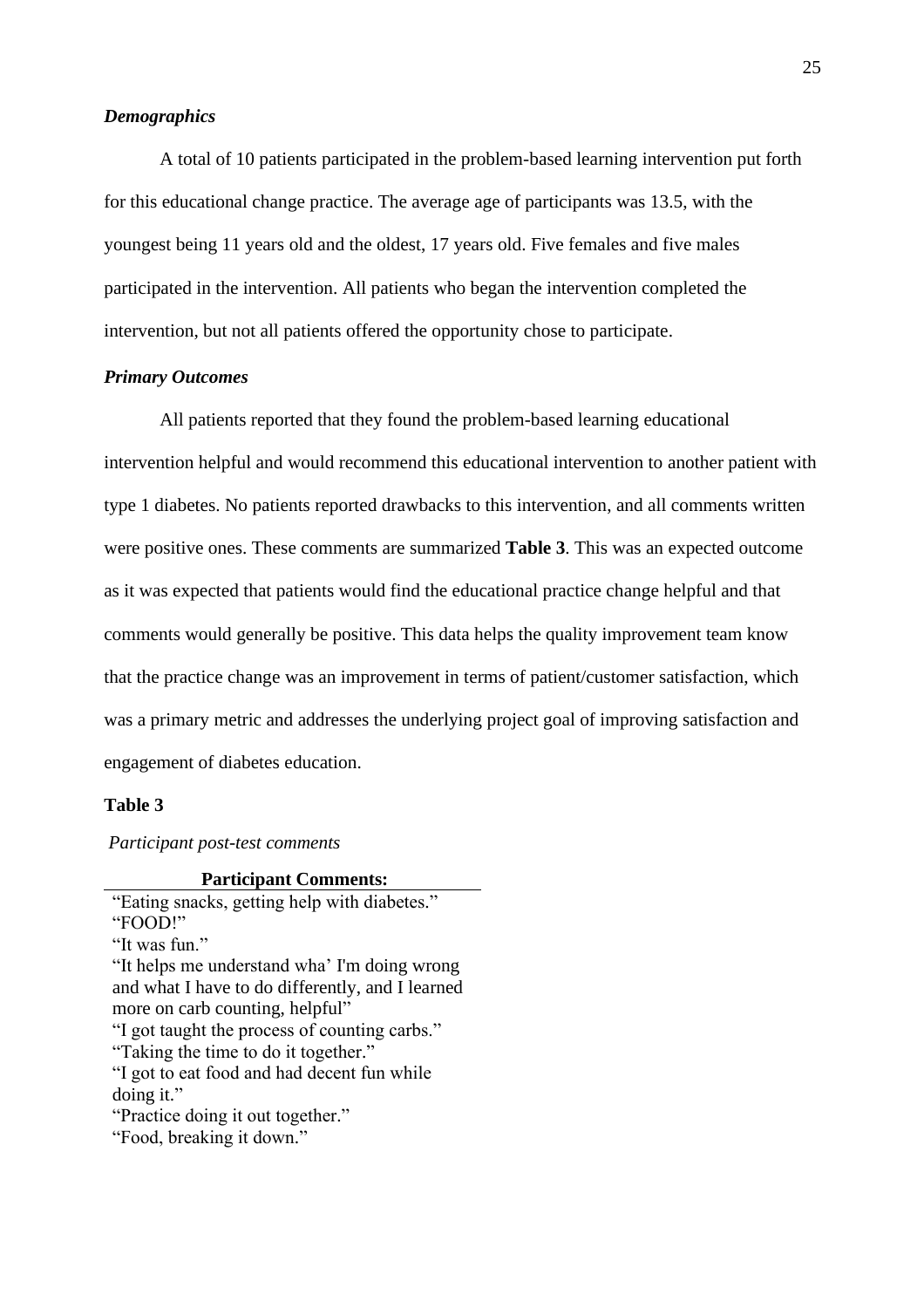### <span id="page-25-0"></span>*Demographics*

A total of 10 patients participated in the problem-based learning intervention put forth for this educational change practice. The average age of participants was 13.5, with the youngest being 11 years old and the oldest, 17 years old. Five females and five males participated in the intervention. All patients who began the intervention completed the intervention, but not all patients offered the opportunity chose to participate.

#### <span id="page-25-1"></span>*Primary Outcomes*

All patients reported that they found the problem-based learning educational intervention helpful and would recommend this educational intervention to another patient with type 1 diabetes. No patients reported drawbacks to this intervention, and all comments written were positive ones. These comments are summarized **[Table 3](#page-25-2)**. This was an expected outcome as it was expected that patients would find the educational practice change helpful and that comments would generally be positive. This data helps the quality improvement team know that the practice change was an improvement in terms of patient/customer satisfaction, which was a primary metric and addresses the underlying project goal of improving satisfaction and engagement of diabetes education.

### <span id="page-25-2"></span>**Table 3**

*Participant post-test comments*

### **Participant Comments:**

"Eating snacks, getting help with diabetes." "FOOD!" "It was fun." "It helps me understand wha' I'm doing wrong and what I have to do differently, and I learned more on carb counting, helpful" "I got taught the process of counting carbs." "Taking the time to do it together." "I got to eat food and had decent fun while doing it." "Practice doing it out together." "Food, breaking it down."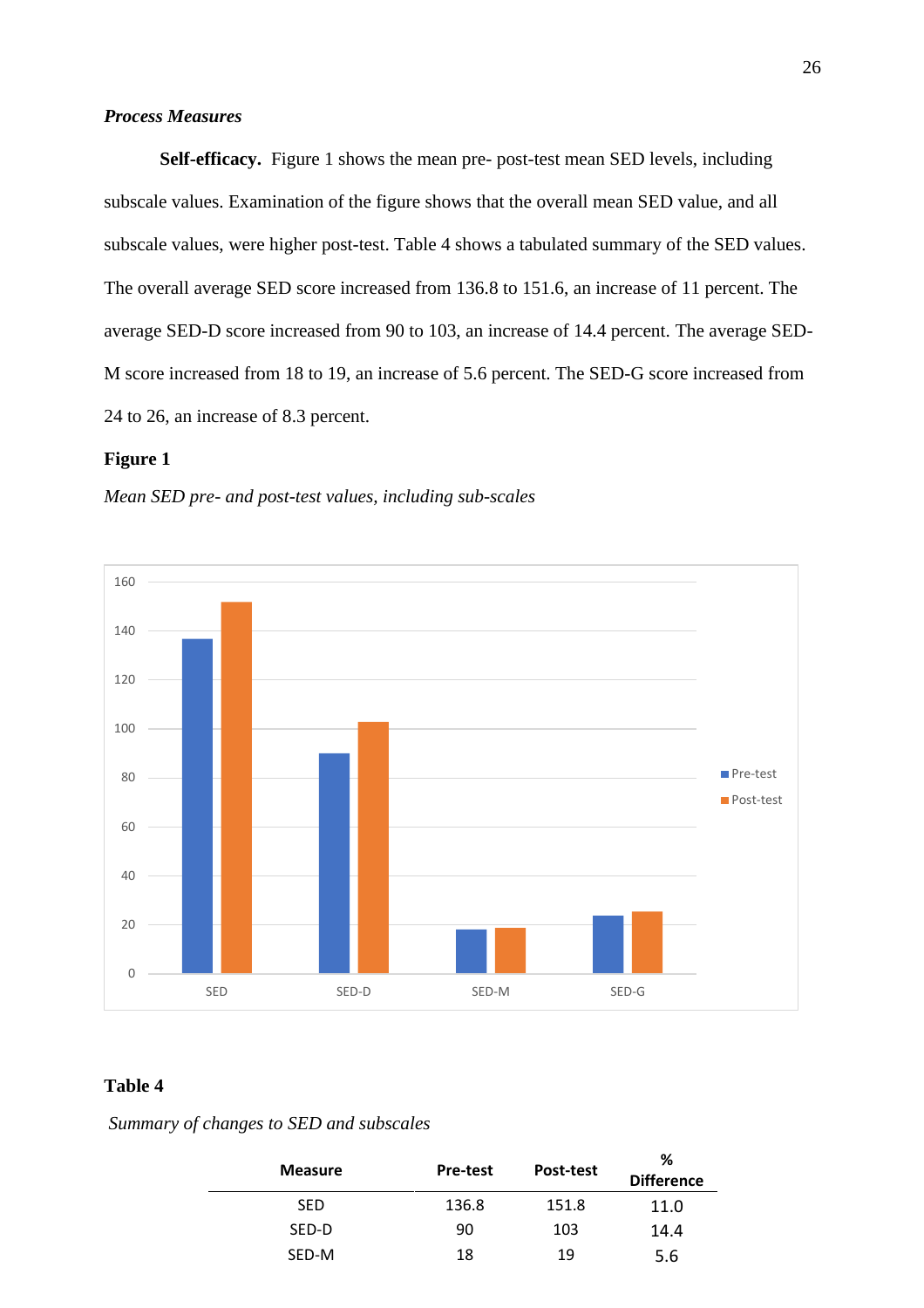### <span id="page-26-0"></span>*Process Measures*

**Self-efficacy.** [Figure 1](#page-26-1) shows the mean pre- post-test mean SED levels, including subscale values. Examination of the figure shows that the overall mean SED value, and all subscale values, were higher post-test. [Table 4](#page-26-2) shows a tabulated summary of the SED values. The overall average SED score increased from 136.8 to 151.6, an increase of 11 percent. The average SED-D score increased from 90 to 103, an increase of 14.4 percent. The average SED-M score increased from 18 to 19, an increase of 5.6 percent. The SED-G score increased from 24 to 26, an increase of 8.3 percent.

### <span id="page-26-1"></span>**Figure 1**





### <span id="page-26-2"></span>**Table 4**

*Summary of changes to SED and subscales*

| <b>Measure</b> | <b>Pre-test</b> | Post-test | ℅<br><b>Difference</b> |
|----------------|-----------------|-----------|------------------------|
| <b>SED</b>     | 136.8           | 151.8     | 11.0                   |
| SED-D          | 90              | 103       | 14.4                   |
| SED-M          | 18              | 19        | 5.6                    |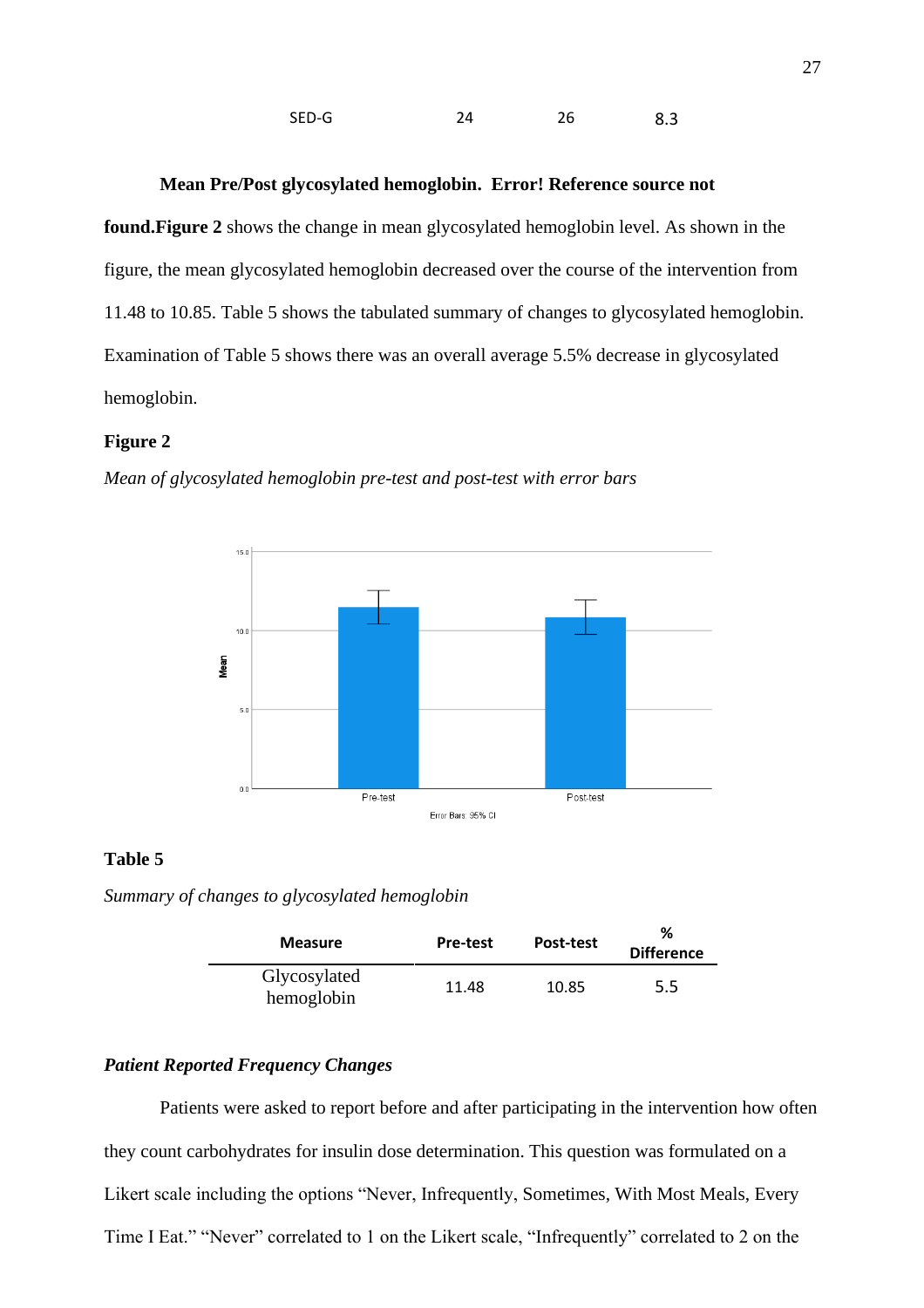### SED-G 24 26 8.3

#### **Mean Pre/Post glycosylated hemoglobin. Error! Reference source not**

**found[.Figure 2](#page-27-2)** shows the change in mean glycosylated hemoglobin level. As shown in the figure, the mean glycosylated hemoglobin decreased over the course of the intervention from 11.48 to 10.85. [Table 5](#page-27-1) shows the tabulated summary of changes to glycosylated hemoglobin. Examination of [Table 5](#page-27-1) shows there was an overall average 5.5% decrease in glycosylated hemoglobin.

### <span id="page-27-2"></span>**Figure 2**



*Mean of glycosylated hemoglobin pre-test and post-test with error bars*

### <span id="page-27-1"></span>**Table 5**

*Summary of changes to glycosylated hemoglobin*

| <b>Measure</b>             | <b>Pre-test</b> | Post-test | %<br><b>Difference</b> |
|----------------------------|-----------------|-----------|------------------------|
| Glycosylated<br>hemoglobin | 11.48           | 10.85     | 5.5                    |

### <span id="page-27-0"></span>*Patient Reported Frequency Changes*

Patients were asked to report before and after participating in the intervention how often they count carbohydrates for insulin dose determination. This question was formulated on a Likert scale including the options "Never, Infrequently, Sometimes, With Most Meals, Every Time I Eat." "Never" correlated to 1 on the Likert scale, "Infrequently" correlated to 2 on the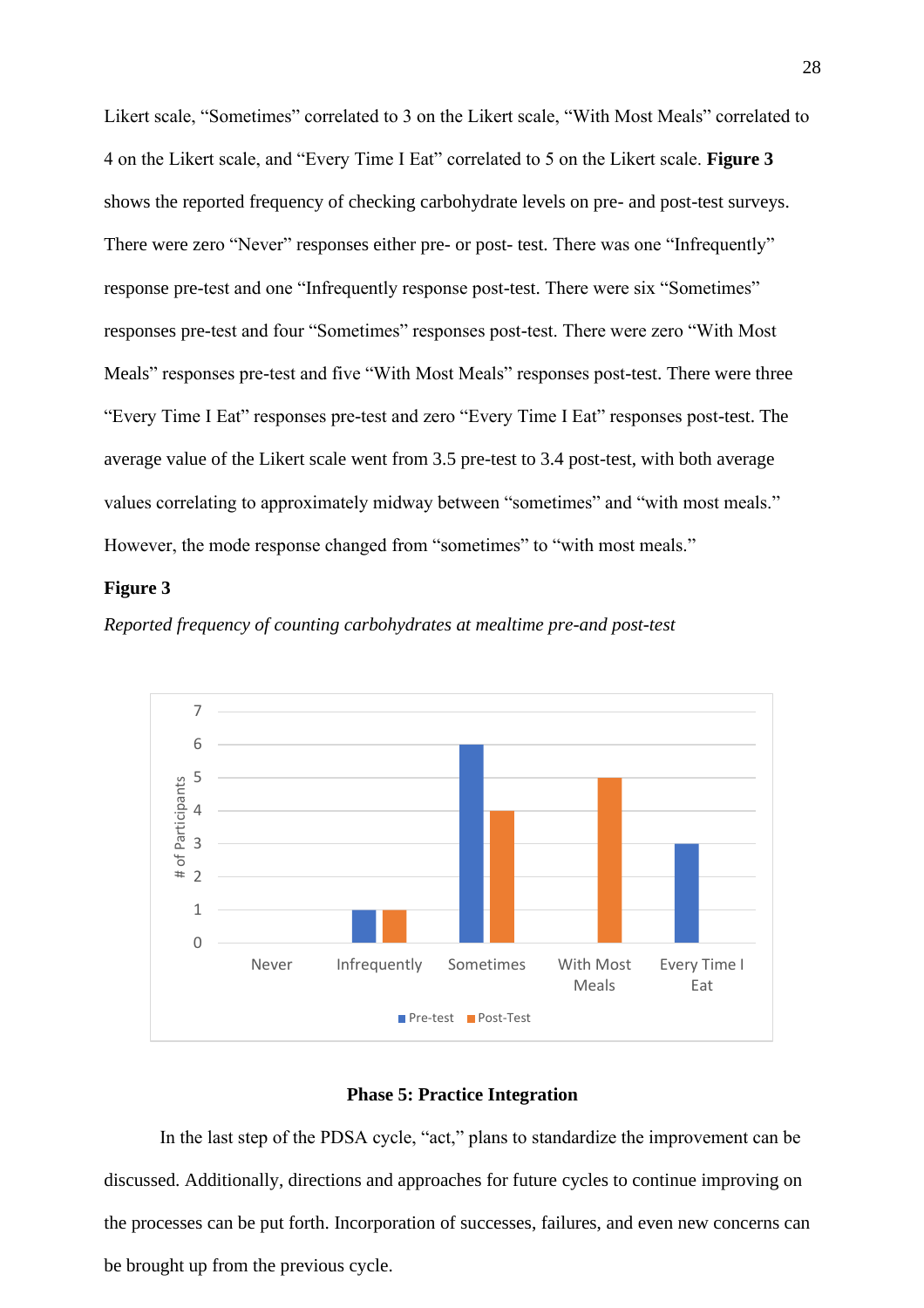Likert scale, "Sometimes" correlated to 3 on the Likert scale, "With Most Meals" correlated to 4 on the Likert scale, and "Every Time I Eat" correlated to 5 on the Likert scale. **[Figure 3](#page-28-1)** shows the reported frequency of checking carbohydrate levels on pre- and post-test surveys. There were zero "Never" responses either pre- or post- test. There was one "Infrequently" response pre-test and one "Infrequently response post-test. There were six "Sometimes" responses pre-test and four "Sometimes" responses post-test. There were zero "With Most Meals" responses pre-test and five "With Most Meals" responses post-test. There were three "Every Time I Eat" responses pre-test and zero "Every Time I Eat" responses post-test. The average value of the Likert scale went from 3.5 pre-test to 3.4 post-test, with both average values correlating to approximately midway between "sometimes" and "with most meals." However, the mode response changed from "sometimes" to "with most meals."

### <span id="page-28-1"></span>**Figure 3**





#### **Phase 5: Practice Integration**

<span id="page-28-0"></span>In the last step of the PDSA cycle, "act," plans to standardize the improvement can be discussed. Additionally, directions and approaches for future cycles to continue improving on the processes can be put forth. Incorporation of successes, failures, and even new concerns can be brought up from the previous cycle.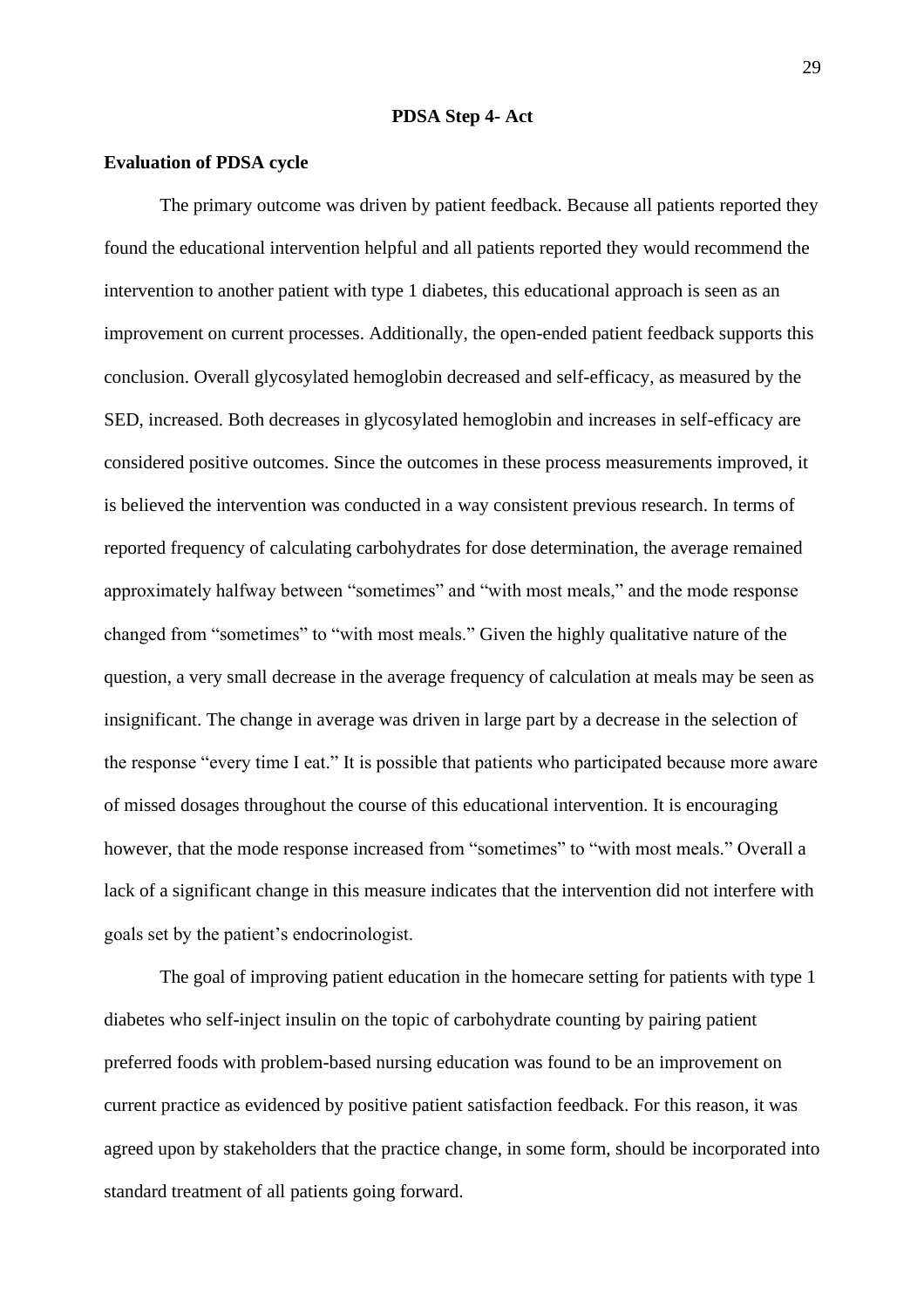### **PDSA Step 4- Act**

### <span id="page-29-1"></span><span id="page-29-0"></span>**Evaluation of PDSA cycle**

The primary outcome was driven by patient feedback. Because all patients reported they found the educational intervention helpful and all patients reported they would recommend the intervention to another patient with type 1 diabetes, this educational approach is seen as an improvement on current processes. Additionally, the open-ended patient feedback supports this conclusion. Overall glycosylated hemoglobin decreased and self-efficacy, as measured by the SED, increased. Both decreases in glycosylated hemoglobin and increases in self-efficacy are considered positive outcomes. Since the outcomes in these process measurements improved, it is believed the intervention was conducted in a way consistent previous research. In terms of reported frequency of calculating carbohydrates for dose determination, the average remained approximately halfway between "sometimes" and "with most meals," and the mode response changed from "sometimes" to "with most meals." Given the highly qualitative nature of the question, a very small decrease in the average frequency of calculation at meals may be seen as insignificant. The change in average was driven in large part by a decrease in the selection of the response "every time I eat." It is possible that patients who participated because more aware of missed dosages throughout the course of this educational intervention. It is encouraging however, that the mode response increased from "sometimes" to "with most meals." Overall a lack of a significant change in this measure indicates that the intervention did not interfere with goals set by the patient's endocrinologist.

The goal of improving patient education in the homecare setting for patients with type 1 diabetes who self-inject insulin on the topic of carbohydrate counting by pairing patient preferred foods with problem-based nursing education was found to be an improvement on current practice as evidenced by positive patient satisfaction feedback. For this reason, it was agreed upon by stakeholders that the practice change, in some form, should be incorporated into standard treatment of all patients going forward.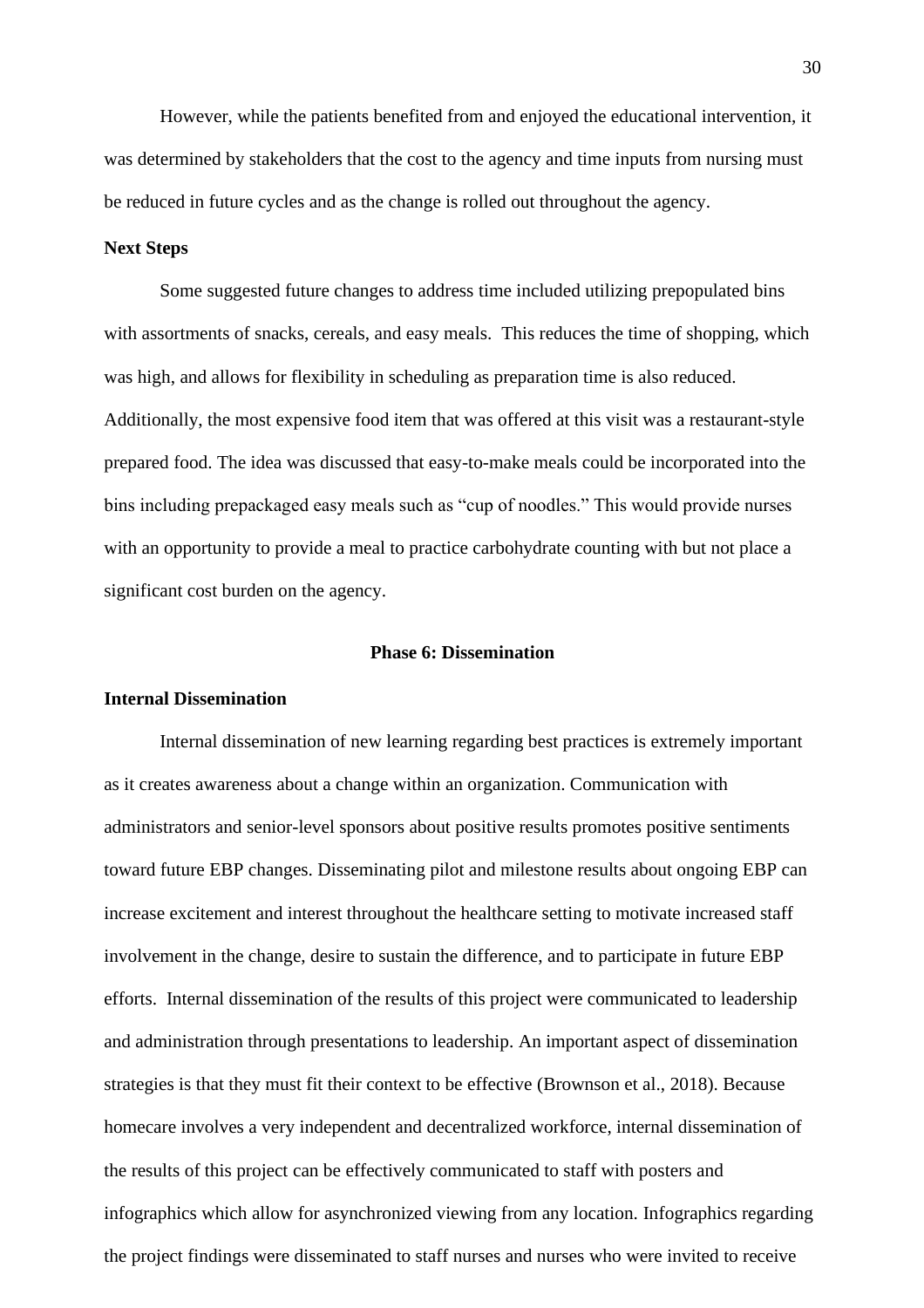However, while the patients benefited from and enjoyed the educational intervention, it was determined by stakeholders that the cost to the agency and time inputs from nursing must be reduced in future cycles and as the change is rolled out throughout the agency.

### <span id="page-30-0"></span>**Next Steps**

Some suggested future changes to address time included utilizing prepopulated bins with assortments of snacks, cereals, and easy meals. This reduces the time of shopping, which was high, and allows for flexibility in scheduling as preparation time is also reduced. Additionally, the most expensive food item that was offered at this visit was a restaurant-style prepared food. The idea was discussed that easy-to-make meals could be incorporated into the bins including prepackaged easy meals such as "cup of noodles." This would provide nurses with an opportunity to provide a meal to practice carbohydrate counting with but not place a significant cost burden on the agency.

#### **Phase 6: Dissemination**

#### <span id="page-30-2"></span><span id="page-30-1"></span>**Internal Dissemination**

Internal dissemination of new learning regarding best practices is extremely important as it creates awareness about a change within an organization. Communication with administrators and senior-level sponsors about positive results promotes positive sentiments toward future EBP changes. Disseminating pilot and milestone results about ongoing EBP can increase excitement and interest throughout the healthcare setting to motivate increased staff involvement in the change, desire to sustain the difference, and to participate in future EBP efforts. Internal dissemination of the results of this project were communicated to leadership and administration through presentations to leadership. An important aspect of dissemination strategies is that they must fit their context to be effective (Brownson et al., 2018). Because homecare involves a very independent and decentralized workforce, internal dissemination of the results of this project can be effectively communicated to staff with posters and infographics which allow for asynchronized viewing from any location. Infographics regarding the project findings were disseminated to staff nurses and nurses who were invited to receive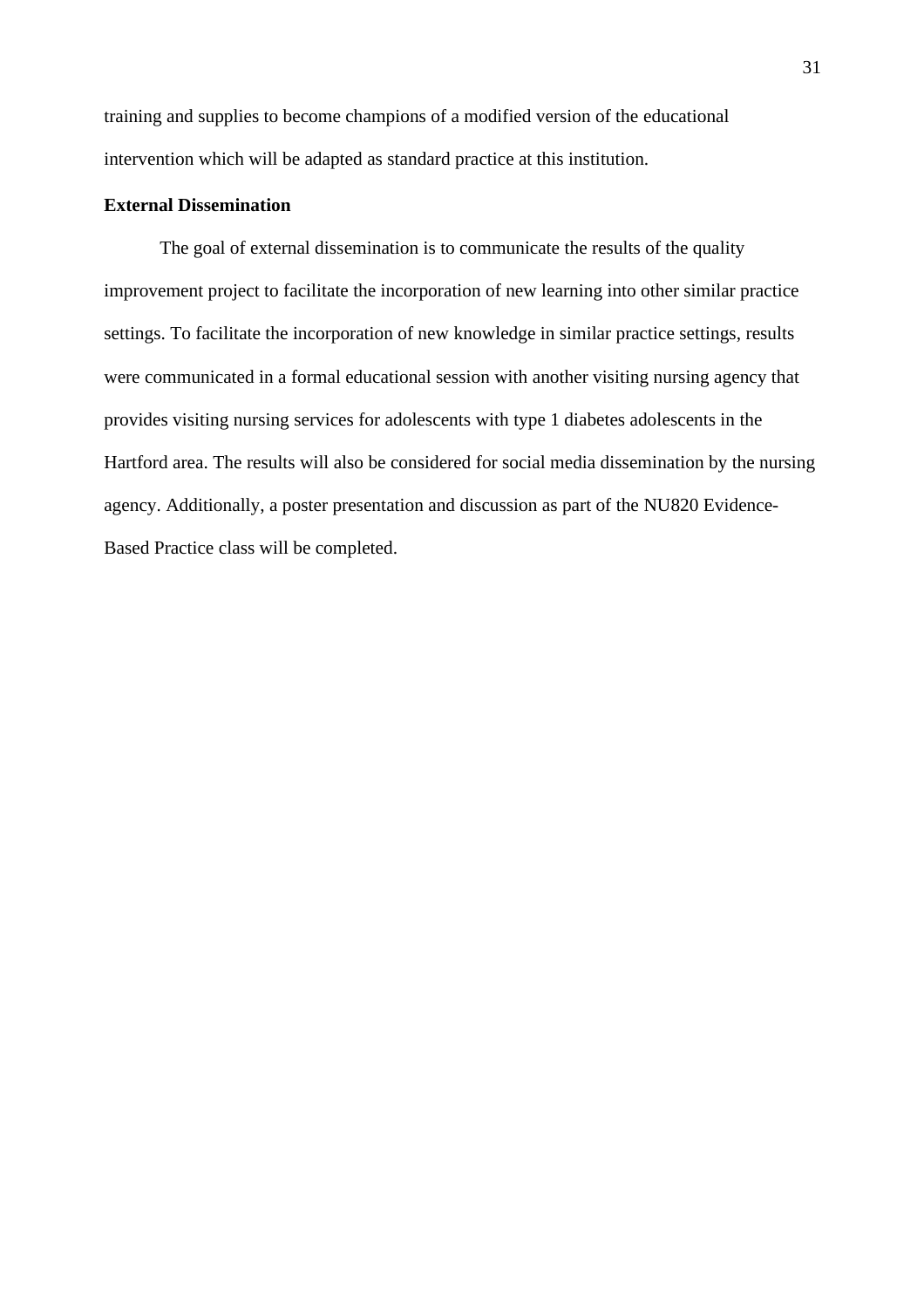training and supplies to become champions of a modified version of the educational intervention which will be adapted as standard practice at this institution.

### <span id="page-31-0"></span>**External Dissemination**

The goal of external dissemination is to communicate the results of the quality improvement project to facilitate the incorporation of new learning into other similar practice settings. To facilitate the incorporation of new knowledge in similar practice settings, results were communicated in a formal educational session with another visiting nursing agency that provides visiting nursing services for adolescents with type 1 diabetes adolescents in the Hartford area. The results will also be considered for social media dissemination by the nursing agency. Additionally, a poster presentation and discussion as part of the NU820 Evidence-Based Practice class will be completed.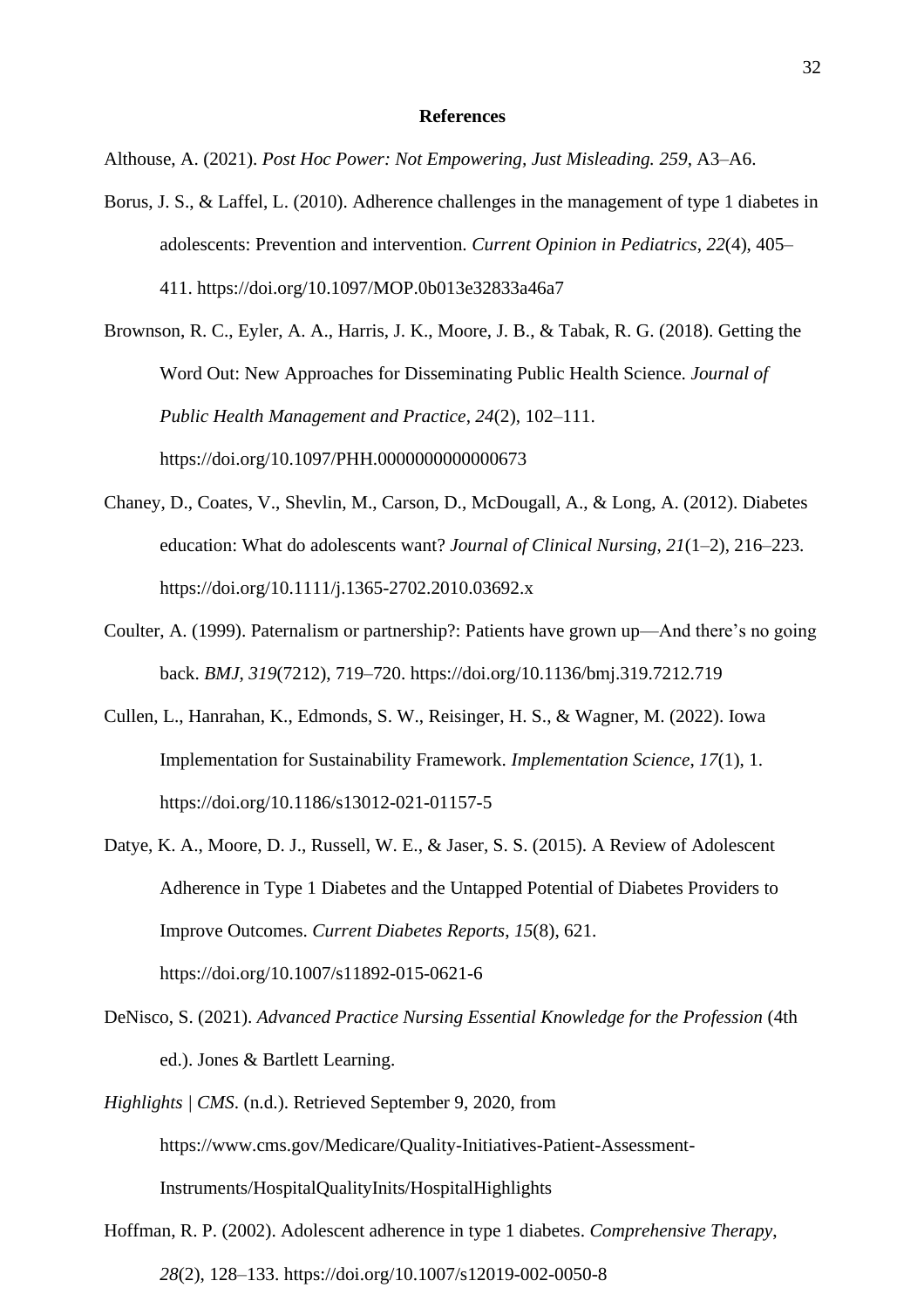#### **References**

<span id="page-32-0"></span>Althouse, A. (2021). *Post Hoc Power: Not Empowering, Just Misleading. 259*, A3–A6.

- Borus, J. S., & Laffel, L. (2010). Adherence challenges in the management of type 1 diabetes in adolescents: Prevention and intervention. *Current Opinion in Pediatrics*, *22*(4), 405– 411. https://doi.org/10.1097/MOP.0b013e32833a46a7
- Brownson, R. C., Eyler, A. A., Harris, J. K., Moore, J. B., & Tabak, R. G. (2018). Getting the Word Out: New Approaches for Disseminating Public Health Science. *Journal of Public Health Management and Practice*, *24*(2), 102–111.

https://doi.org/10.1097/PHH.0000000000000673

- Chaney, D., Coates, V., Shevlin, M., Carson, D., McDougall, A., & Long, A. (2012). Diabetes education: What do adolescents want? *Journal of Clinical Nursing*, *21*(1–2), 216–223. https://doi.org/10.1111/j.1365-2702.2010.03692.x
- Coulter, A. (1999). Paternalism or partnership?: Patients have grown up—And there's no going back. *BMJ*, *319*(7212), 719–720. https://doi.org/10.1136/bmj.319.7212.719
- Cullen, L., Hanrahan, K., Edmonds, S. W., Reisinger, H. S., & Wagner, M. (2022). Iowa Implementation for Sustainability Framework. *Implementation Science*, *17*(1), 1. https://doi.org/10.1186/s13012-021-01157-5
- Datye, K. A., Moore, D. J., Russell, W. E., & Jaser, S. S. (2015). A Review of Adolescent Adherence in Type 1 Diabetes and the Untapped Potential of Diabetes Providers to Improve Outcomes. *Current Diabetes Reports*, *15*(8), 621. https://doi.org/10.1007/s11892-015-0621-6
- DeNisco, S. (2021). *Advanced Practice Nursing Essential Knowledge for the Profession* (4th ed.). Jones & Bartlett Learning.
- *Highlights | CMS*. (n.d.). Retrieved September 9, 2020, from https://www.cms.gov/Medicare/Quality-Initiatives-Patient-Assessment-

Instruments/HospitalQualityInits/HospitalHighlights

Hoffman, R. P. (2002). Adolescent adherence in type 1 diabetes. *Comprehensive Therapy*, *28*(2), 128–133. https://doi.org/10.1007/s12019-002-0050-8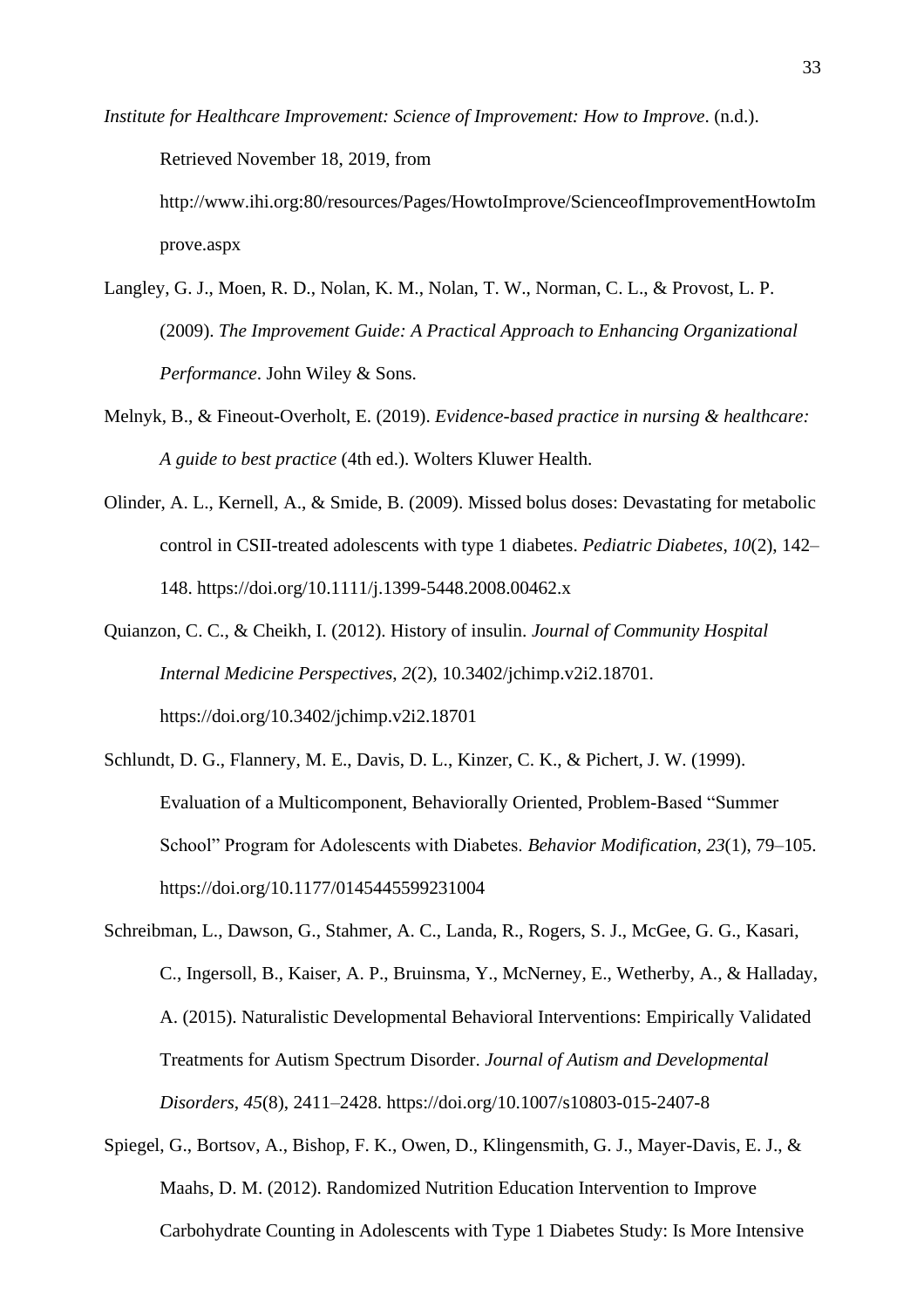*Institute for Healthcare Improvement: Science of Improvement: How to Improve*. (n.d.).

Retrieved November 18, 2019, from

http://www.ihi.org:80/resources/Pages/HowtoImprove/ScienceofImprovementHowtoIm prove.aspx

- Langley, G. J., Moen, R. D., Nolan, K. M., Nolan, T. W., Norman, C. L., & Provost, L. P. (2009). *The Improvement Guide: A Practical Approach to Enhancing Organizational Performance*. John Wiley & Sons.
- Melnyk, B., & Fineout-Overholt, E. (2019). *Evidence-based practice in nursing & healthcare: A guide to best practice* (4th ed.). Wolters Kluwer Health.
- Olinder, A. L., Kernell, A., & Smide, B. (2009). Missed bolus doses: Devastating for metabolic control in CSII-treated adolescents with type 1 diabetes. *Pediatric Diabetes*, *10*(2), 142– 148. https://doi.org/10.1111/j.1399-5448.2008.00462.x
- Quianzon, C. C., & Cheikh, I. (2012). History of insulin. *Journal of Community Hospital Internal Medicine Perspectives*, *2*(2), 10.3402/jchimp.v2i2.18701. https://doi.org/10.3402/jchimp.v2i2.18701
- Schlundt, D. G., Flannery, M. E., Davis, D. L., Kinzer, C. K., & Pichert, J. W. (1999). Evaluation of a Multicomponent, Behaviorally Oriented, Problem-Based "Summer School" Program for Adolescents with Diabetes. *Behavior Modification*, *23*(1), 79–105. https://doi.org/10.1177/0145445599231004
- Schreibman, L., Dawson, G., Stahmer, A. C., Landa, R., Rogers, S. J., McGee, G. G., Kasari, C., Ingersoll, B., Kaiser, A. P., Bruinsma, Y., McNerney, E., Wetherby, A., & Halladay, A. (2015). Naturalistic Developmental Behavioral Interventions: Empirically Validated Treatments for Autism Spectrum Disorder. *Journal of Autism and Developmental Disorders*, *45*(8), 2411–2428. https://doi.org/10.1007/s10803-015-2407-8
- Spiegel, G., Bortsov, A., Bishop, F. K., Owen, D., Klingensmith, G. J., Mayer-Davis, E. J., & Maahs, D. M. (2012). Randomized Nutrition Education Intervention to Improve Carbohydrate Counting in Adolescents with Type 1 Diabetes Study: Is More Intensive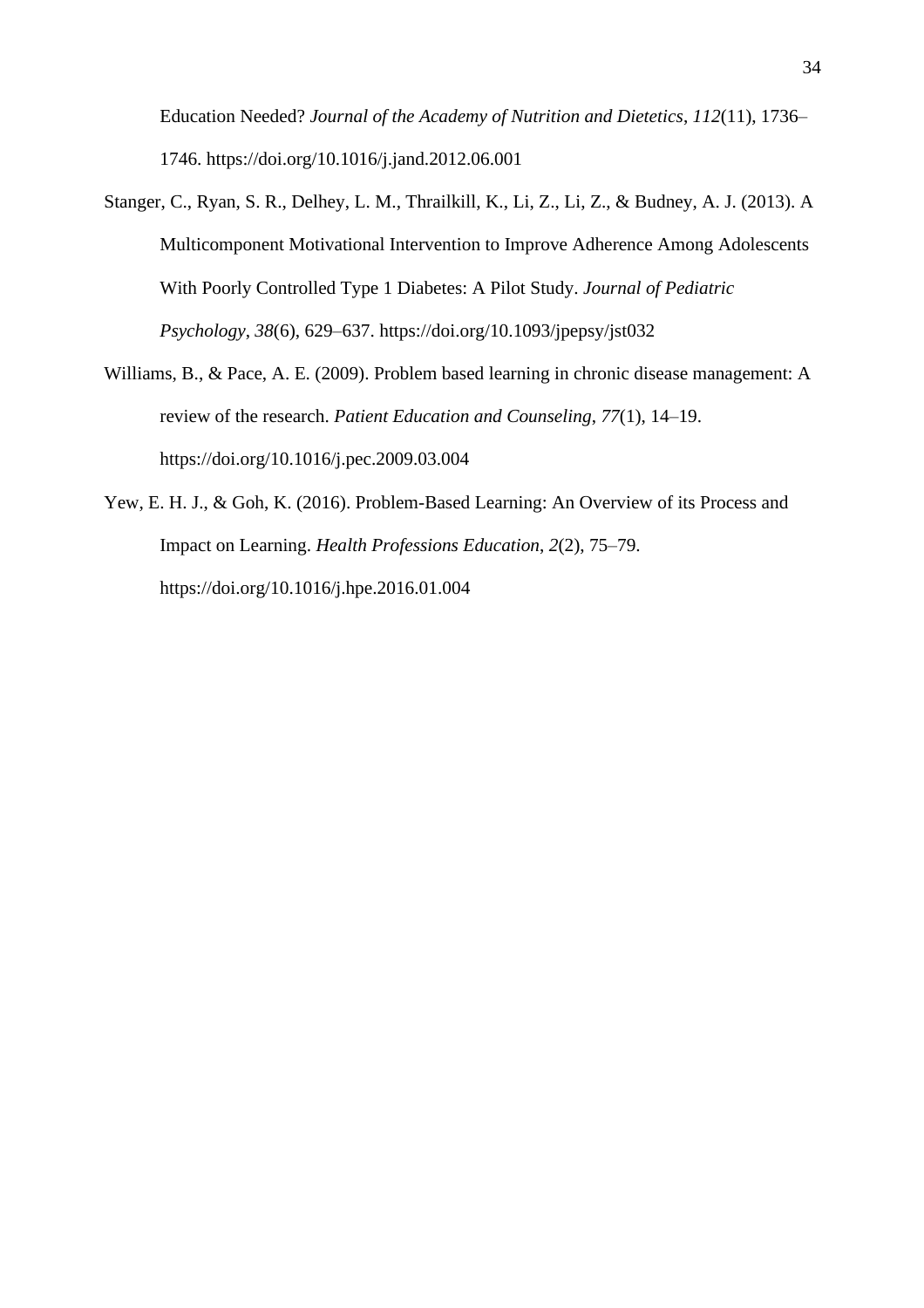Education Needed? *Journal of the Academy of Nutrition and Dietetics*, *112*(11), 1736– 1746. https://doi.org/10.1016/j.jand.2012.06.001

- Stanger, C., Ryan, S. R., Delhey, L. M., Thrailkill, K., Li, Z., Li, Z., & Budney, A. J. (2013). A Multicomponent Motivational Intervention to Improve Adherence Among Adolescents With Poorly Controlled Type 1 Diabetes: A Pilot Study. *Journal of Pediatric Psychology*, *38*(6), 629–637. https://doi.org/10.1093/jpepsy/jst032
- Williams, B., & Pace, A. E. (2009). Problem based learning in chronic disease management: A review of the research. *Patient Education and Counseling*, *77*(1), 14–19. https://doi.org/10.1016/j.pec.2009.03.004
- Yew, E. H. J., & Goh, K. (2016). Problem-Based Learning: An Overview of its Process and Impact on Learning. *Health Professions Education*, *2*(2), 75–79. https://doi.org/10.1016/j.hpe.2016.01.004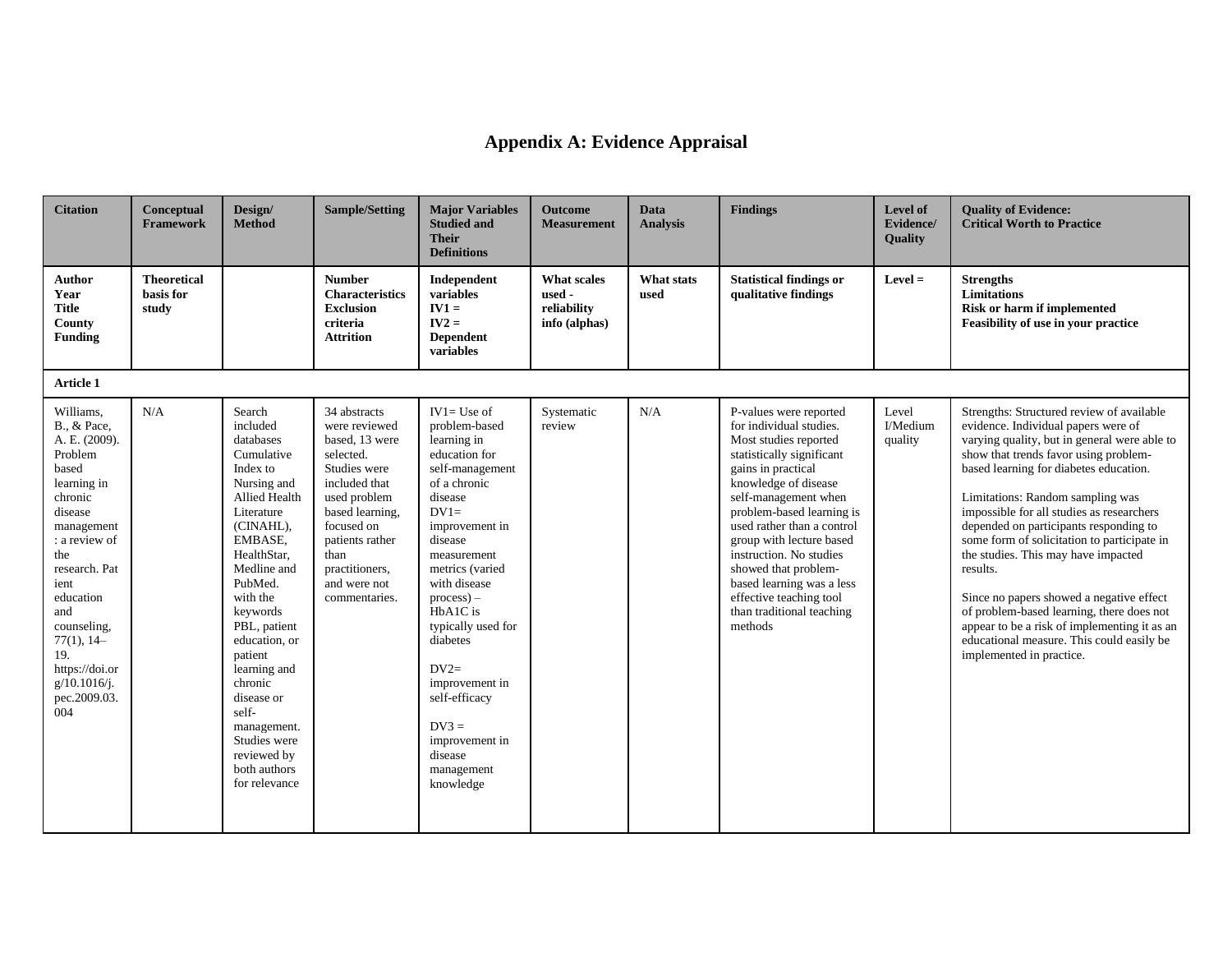## **Appendix A: Evidence Appraisal**

<span id="page-35-0"></span>

| <b>Citation</b>                                                                                                                                                                                                                                                                               | <b>Conceptual</b><br><b>Framework</b>    | Design/<br><b>Method</b>                                                                                                                                                                                                                                                                                                                                                      | <b>Sample/Setting</b>                                                                                                                                                                                                        | <b>Major Variables</b><br><b>Studied and</b><br><b>Their</b><br><b>Definitions</b>                                                                                                                                                                                                                                                                                                  | <b>Outcome</b><br><b>Measurement</b>                         | <b>Data</b><br><b>Analysis</b> | <b>Findings</b>                                                                                                                                                                                                                                                                                                                                                                                                         | Level of<br>Evidence/<br><b>Ouality</b> | <b>Ouality of Evidence:</b><br><b>Critical Worth to Practice</b>                                                                                                                                                                                                                                                                                                                                                                                                                                                                                                                                                                                                   |
|-----------------------------------------------------------------------------------------------------------------------------------------------------------------------------------------------------------------------------------------------------------------------------------------------|------------------------------------------|-------------------------------------------------------------------------------------------------------------------------------------------------------------------------------------------------------------------------------------------------------------------------------------------------------------------------------------------------------------------------------|------------------------------------------------------------------------------------------------------------------------------------------------------------------------------------------------------------------------------|-------------------------------------------------------------------------------------------------------------------------------------------------------------------------------------------------------------------------------------------------------------------------------------------------------------------------------------------------------------------------------------|--------------------------------------------------------------|--------------------------------|-------------------------------------------------------------------------------------------------------------------------------------------------------------------------------------------------------------------------------------------------------------------------------------------------------------------------------------------------------------------------------------------------------------------------|-----------------------------------------|--------------------------------------------------------------------------------------------------------------------------------------------------------------------------------------------------------------------------------------------------------------------------------------------------------------------------------------------------------------------------------------------------------------------------------------------------------------------------------------------------------------------------------------------------------------------------------------------------------------------------------------------------------------------|
| <b>Author</b><br>Year<br><b>Title</b><br>County<br><b>Funding</b>                                                                                                                                                                                                                             | <b>Theoretical</b><br>basis for<br>study |                                                                                                                                                                                                                                                                                                                                                                               | <b>Number</b><br><b>Characteristics</b><br><b>Exclusion</b><br>criteria<br><b>Attrition</b>                                                                                                                                  | Independent<br>variables<br>$IV1 =$<br>$IV2 =$<br><b>Dependent</b><br>variables                                                                                                                                                                                                                                                                                                     | <b>What scales</b><br>used -<br>reliability<br>info (alphas) | What stats<br>used             | <b>Statistical findings or</b><br>qualitative findings                                                                                                                                                                                                                                                                                                                                                                  | $Level =$                               | <b>Strengths</b><br><b>Limitations</b><br>Risk or harm if implemented<br>Feasibility of use in your practice                                                                                                                                                                                                                                                                                                                                                                                                                                                                                                                                                       |
| <b>Article 1</b>                                                                                                                                                                                                                                                                              |                                          |                                                                                                                                                                                                                                                                                                                                                                               |                                                                                                                                                                                                                              |                                                                                                                                                                                                                                                                                                                                                                                     |                                                              |                                |                                                                                                                                                                                                                                                                                                                                                                                                                         |                                         |                                                                                                                                                                                                                                                                                                                                                                                                                                                                                                                                                                                                                                                                    |
| Williams,<br><b>B.</b> , & Pace,<br>A. E. (2009).<br>Problem<br>based<br>learning in<br>chronic<br>disease<br>management<br>: a review of<br>the<br>research. Pat<br>ient<br>education<br>and<br>counseling,<br>$77(1)$ , 14-<br>19.<br>https://doi.or<br>g/10.1016/j.<br>pec.2009.03.<br>004 | N/A                                      | Search<br>included<br>databases<br>Cumulative<br>Index to<br>Nursing and<br>Allied Health<br>Literature<br>(CINAHL),<br>EMBASE,<br>HealthStar.<br>Medline and<br>PubMed.<br>with the<br>keywords<br>PBL, patient<br>education, or<br>patient<br>learning and<br>chronic<br>disease or<br>self-<br>management.<br>Studies were<br>reviewed by<br>both authors<br>for relevance | 34 abstracts<br>were reviewed<br>based, 13 were<br>selected.<br>Studies were<br>included that<br>used problem<br>based learning.<br>focused on<br>patients rather<br>than<br>practitioners,<br>and were not<br>commentaries. | $IV1=Use$ of<br>problem-based<br>learning in<br>education for<br>self-management<br>of a chronic<br>disease<br>$DY1=$<br>improvement in<br>disease<br>measurement<br>metrics (varied<br>with disease<br>$process$ ) –<br>HbA1C is<br>typically used for<br>diabetes<br>$DV2=$<br>improvement in<br>self-efficacy<br>$DV3 =$<br>improvement in<br>disease<br>management<br>knowledge | Systematic<br>review                                         | N/A                            | P-values were reported<br>for individual studies.<br>Most studies reported<br>statistically significant<br>gains in practical<br>knowledge of disease<br>self-management when<br>problem-based learning is<br>used rather than a control<br>group with lecture based<br>instruction. No studies<br>showed that problem-<br>based learning was a less<br>effective teaching tool<br>than traditional teaching<br>methods | Level<br>I/Medium<br>quality            | Strengths: Structured review of available<br>evidence. Individual papers were of<br>varying quality, but in general were able to<br>show that trends favor using problem-<br>based learning for diabetes education.<br>Limitations: Random sampling was<br>impossible for all studies as researchers<br>depended on participants responding to<br>some form of solicitation to participate in<br>the studies. This may have impacted<br>results.<br>Since no papers showed a negative effect<br>of problem-based learning, there does not<br>appear to be a risk of implementing it as an<br>educational measure. This could easily be<br>implemented in practice. |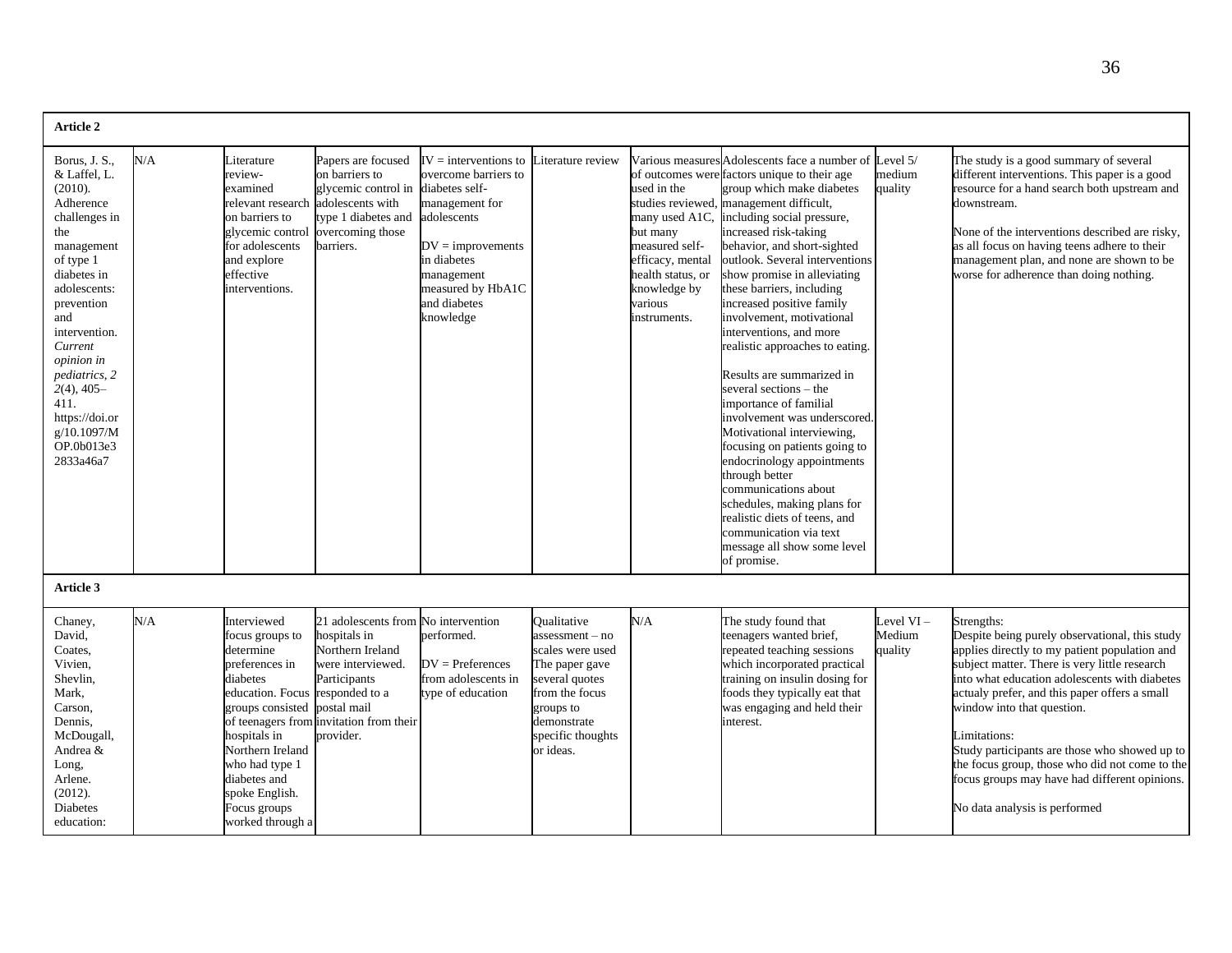| Article 2                                                                                                                                                                                                                                                                                                    |     |                                                                                                                                                                                                                                                           |                                                                                                                                                                                        |                                                                                                                                                                                                          |                                                                                                                                                                          |                                                                                                                                                 |                                                                                                                                                                                                                                                                                                                                                                                                                                                                                                                                                                                                                                                                                                                                                                                                                                                                                   |                                |                                                                                                                                                                                                                                                                                                                                                                                                                                                                                                     |
|--------------------------------------------------------------------------------------------------------------------------------------------------------------------------------------------------------------------------------------------------------------------------------------------------------------|-----|-----------------------------------------------------------------------------------------------------------------------------------------------------------------------------------------------------------------------------------------------------------|----------------------------------------------------------------------------------------------------------------------------------------------------------------------------------------|----------------------------------------------------------------------------------------------------------------------------------------------------------------------------------------------------------|--------------------------------------------------------------------------------------------------------------------------------------------------------------------------|-------------------------------------------------------------------------------------------------------------------------------------------------|-----------------------------------------------------------------------------------------------------------------------------------------------------------------------------------------------------------------------------------------------------------------------------------------------------------------------------------------------------------------------------------------------------------------------------------------------------------------------------------------------------------------------------------------------------------------------------------------------------------------------------------------------------------------------------------------------------------------------------------------------------------------------------------------------------------------------------------------------------------------------------------|--------------------------------|-----------------------------------------------------------------------------------------------------------------------------------------------------------------------------------------------------------------------------------------------------------------------------------------------------------------------------------------------------------------------------------------------------------------------------------------------------------------------------------------------------|
| Borus, J. S.,<br>& Laffel, L.<br>(2010).<br>Adherence<br>challenges in<br>the<br>management<br>of type 1<br>diabetes in<br>adolescents:<br>prevention<br>and<br>intervention.<br>Current<br>opinion in<br>pediatrics, 2<br>$2(4)$ , 405-<br>411.<br>https://doi.or<br>g/10.1097/M<br>OP.0b013e3<br>2833a46a7 | N/A | Literature<br>review-<br>examined<br>relevant research<br>on barriers to<br>glycemic control<br>for adolescents<br>and explore<br>effective<br>interventions.                                                                                             | Papers are focused<br>on barriers to<br>glycemic control in<br>adolescents with<br>type 1 diabetes and<br>overcoming those<br>barriers.                                                | $IV =$ interventions to<br>overcome barriers to<br>diabetes self-<br>management for<br>adolescents<br>$DV =$ improvements<br>in diabetes<br>management<br>measured by HbA1C<br>and diabetes<br>knowledge | iterature review                                                                                                                                                         | used in the<br>many used A1C,<br>but many<br>measured self-<br>efficacy, mental<br>health status, or<br>knowledge by<br>various<br>instruments. | Various measures Adolescents face a number of<br>of outcomes were factors unique to their age<br>group which make diabetes<br>studies reviewed, management difficult,<br>including social pressure,<br>increased risk-taking<br>behavior, and short-sighted<br>outlook. Several interventions<br>show promise in alleviating<br>these barriers, including<br>increased positive family<br>involvement, motivational<br>interventions, and more<br>realistic approaches to eating.<br>Results are summarized in<br>several sections - the<br>importance of familial<br>involvement was underscored.<br>Motivational interviewing,<br>focusing on patients going to<br>endocrinology appointments<br>through better<br>communications about<br>schedules, making plans for<br>realistic diets of teens, and<br>communication via text<br>message all show some level<br>of promise. | Level 5/<br>medium<br>quality  | The study is a good summary of several<br>different interventions. This paper is a good<br>resource for a hand search both upstream and<br>downstream.<br>None of the interventions described are risky,<br>as all focus on having teens adhere to their<br>management plan, and none are shown to be<br>worse for adherence than doing nothing.                                                                                                                                                    |
| Article 3                                                                                                                                                                                                                                                                                                    |     |                                                                                                                                                                                                                                                           |                                                                                                                                                                                        |                                                                                                                                                                                                          |                                                                                                                                                                          |                                                                                                                                                 |                                                                                                                                                                                                                                                                                                                                                                                                                                                                                                                                                                                                                                                                                                                                                                                                                                                                                   |                                |                                                                                                                                                                                                                                                                                                                                                                                                                                                                                                     |
| Chaney,<br>David,<br>Coates.<br>Vivien.<br>Shevlin.<br>Mark,<br>Carson.<br>Dennis.<br>McDougall,<br>Andrea &<br>Long,<br>Arlene.<br>(2012).<br>Diabetes<br>education:                                                                                                                                        | N/A | Interviewed<br>focus groups to<br>determine<br>preferences in<br>diabetes<br>education. Focus<br>groups consisted postal mail<br>hospitals in<br>Northern Ireland<br>who had type 1<br>diabetes and<br>spoke English.<br>Focus groups<br>worked through a | 21 adolescents from No intervention<br>hospitals in<br>Northern Ireland<br>were interviewed.<br>Participants<br>responded to a<br>of teenagers from invitation from their<br>provider. | performed.<br>$DV = Preferences$<br>from adolescents in<br>type of education                                                                                                                             | Oualitative<br>$assessment - no$<br>scales were used<br>The paper gave<br>several quotes<br>from the focus<br>groups to<br>demonstrate<br>specific thoughts<br>or ideas. | N/A                                                                                                                                             | The study found that<br>teenagers wanted brief,<br>repeated teaching sessions<br>which incorporated practical<br>training on insulin dosing for<br>foods they typically eat that<br>was engaging and held their<br>interest.                                                                                                                                                                                                                                                                                                                                                                                                                                                                                                                                                                                                                                                      | Level VI-<br>Medium<br>quality | Strengths:<br>Despite being purely observational, this study<br>applies directly to my patient population and<br>subject matter. There is very little research<br>into what education adolescents with diabetes<br>actualy prefer, and this paper offers a small<br>window into that question.<br>Limitations:<br>Study participants are those who showed up to<br>the focus group, those who did not come to the<br>focus groups may have had different opinions.<br>No data analysis is performed |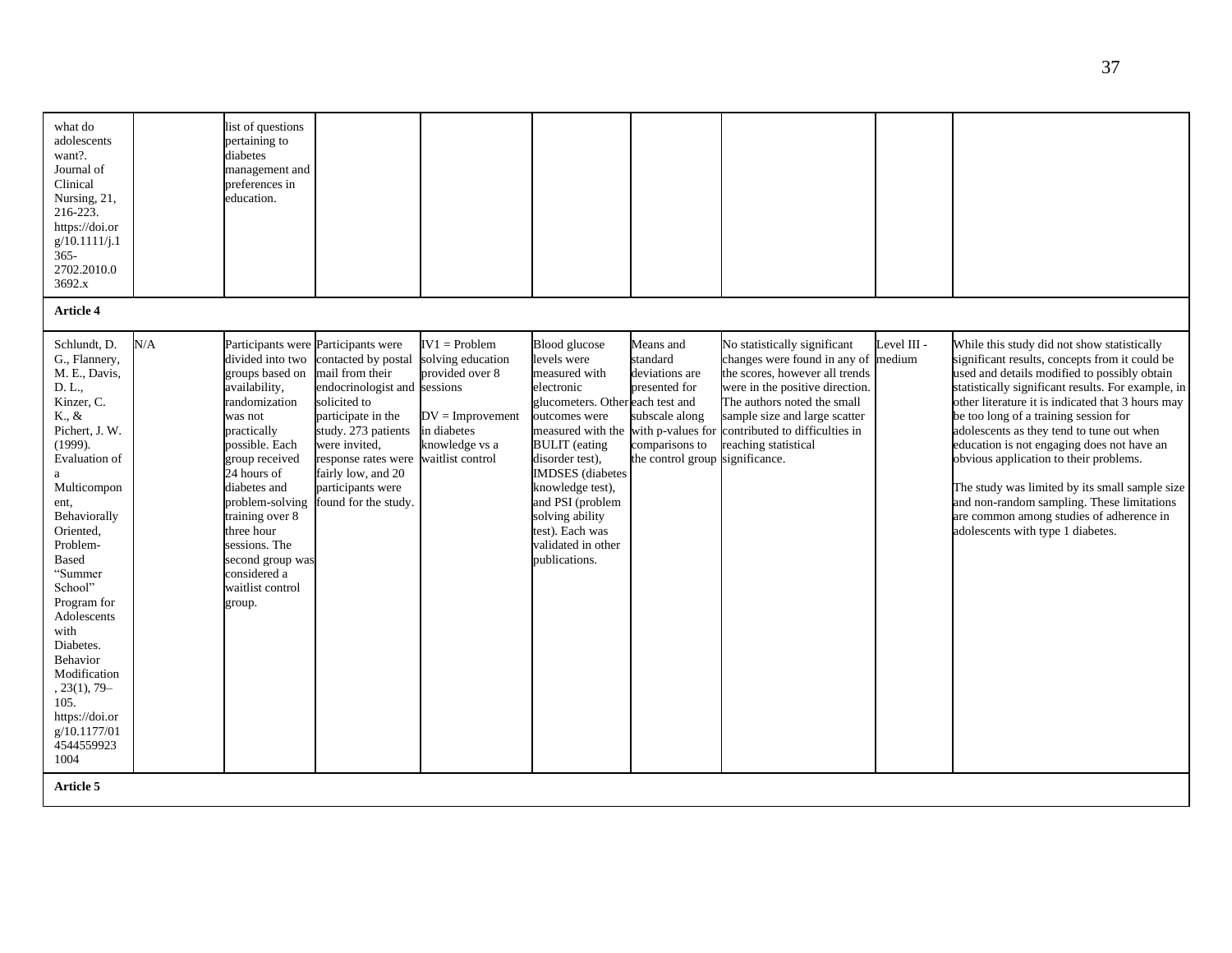| what do<br>adolescents<br>want?.<br>Journal of<br>Clinical<br>Nursing, 21,<br>216-223.<br>https://doi.or<br>g/10.1111/j.1                                                                                                                                                                                                                                                                                        |     | list of questions<br>pertaining to<br>diabetes<br>management and<br>preferences in<br>education.                                                                                                                                                                                                                                                 |                                                                                                                                                                                                                                                |                                                                                                                                    |                                                                                                                                                                                                                                                                                                                    |                                                                                                                                 |                                                                                                                                                                                                                                                                                                        |             |                                                                                                                                                                                                                                                                                                                                                                                                                                                                                                                                                                                                                         |
|------------------------------------------------------------------------------------------------------------------------------------------------------------------------------------------------------------------------------------------------------------------------------------------------------------------------------------------------------------------------------------------------------------------|-----|--------------------------------------------------------------------------------------------------------------------------------------------------------------------------------------------------------------------------------------------------------------------------------------------------------------------------------------------------|------------------------------------------------------------------------------------------------------------------------------------------------------------------------------------------------------------------------------------------------|------------------------------------------------------------------------------------------------------------------------------------|--------------------------------------------------------------------------------------------------------------------------------------------------------------------------------------------------------------------------------------------------------------------------------------------------------------------|---------------------------------------------------------------------------------------------------------------------------------|--------------------------------------------------------------------------------------------------------------------------------------------------------------------------------------------------------------------------------------------------------------------------------------------------------|-------------|-------------------------------------------------------------------------------------------------------------------------------------------------------------------------------------------------------------------------------------------------------------------------------------------------------------------------------------------------------------------------------------------------------------------------------------------------------------------------------------------------------------------------------------------------------------------------------------------------------------------------|
| $365 -$<br>2702.2010.0<br>3692.x                                                                                                                                                                                                                                                                                                                                                                                 |     |                                                                                                                                                                                                                                                                                                                                                  |                                                                                                                                                                                                                                                |                                                                                                                                    |                                                                                                                                                                                                                                                                                                                    |                                                                                                                                 |                                                                                                                                                                                                                                                                                                        |             |                                                                                                                                                                                                                                                                                                                                                                                                                                                                                                                                                                                                                         |
| Article 4                                                                                                                                                                                                                                                                                                                                                                                                        |     |                                                                                                                                                                                                                                                                                                                                                  |                                                                                                                                                                                                                                                |                                                                                                                                    |                                                                                                                                                                                                                                                                                                                    |                                                                                                                                 |                                                                                                                                                                                                                                                                                                        |             |                                                                                                                                                                                                                                                                                                                                                                                                                                                                                                                                                                                                                         |
| Schlundt, D.<br>G., Flannery,<br>M. E., Davis,<br>D. L.,<br>Kinzer, C.<br>K., &<br>Pichert, J. W.<br>(1999).<br>Evaluation of<br>a<br>Multicompon<br>ent,<br>Behaviorally<br>Oriented,<br>Problem-<br><b>Based</b><br>"Summer<br>School"<br>Program for<br>Adolescents<br>with<br>Diabetes.<br><b>Behavior</b><br>Modification<br>$, 23(1), 79-$<br>105.<br>https://doi.or<br>g/10.1177/01<br>4544559923<br>1004 | N/A | Participants were Participants were<br>divided into two<br>groups based on<br>availability,<br>randomization<br>was not<br>practically<br>possible. Each<br>group received<br>24 hours of<br>diabetes and<br>problem-solving<br>training over 8<br>three hour<br>sessions. The<br>second group was<br>considered a<br>waitlist control<br>group. | contacted by postal<br>mail from their<br>endocrinologist and sessions<br>solicited to<br>participate in the<br>study. 273 patients<br>were invited,<br>response rates were<br>fairly low, and 20<br>participants were<br>found for the study. | $IV1 = Problem$<br>solving education<br>provided over 8<br>$DV =$ Improvement<br>in diabetes<br>knowledge vs a<br>waitlist control | <b>Blood</b> glucose<br>levels were<br>measured with<br>electronic<br>glucometers. Other each test and<br>outcomes were<br><b>BULIT</b> (eating<br>disorder test),<br><b>IMDSES</b> (diabetes<br>knowledge test),<br>and PSI (problem<br>solving ability<br>test). Each was<br>validated in other<br>publications. | Means and<br>standard<br>deviations are<br>presented for<br>subscale along<br>comparisons to<br>the control group significance. | No statistically significant<br>changes were found in any of medium<br>the scores, however all trends<br>were in the positive direction.<br>The authors noted the small<br>sample size and large scatter<br>measured with the with p-values for contributed to difficulties in<br>reaching statistical | Level III - | While this study did not show statistically<br>significant results, concepts from it could be<br>used and details modified to possibly obtain<br>statistically significant results. For example, in<br>other literature it is indicated that 3 hours may<br>be too long of a training session for<br>adolescents as they tend to tune out when<br>education is not engaging does not have an<br>obvious application to their problems.<br>The study was limited by its small sample size<br>and non-random sampling. These limitations<br>are common among studies of adherence in<br>adolescents with type 1 diabetes. |
| Article 5                                                                                                                                                                                                                                                                                                                                                                                                        |     |                                                                                                                                                                                                                                                                                                                                                  |                                                                                                                                                                                                                                                |                                                                                                                                    |                                                                                                                                                                                                                                                                                                                    |                                                                                                                                 |                                                                                                                                                                                                                                                                                                        |             |                                                                                                                                                                                                                                                                                                                                                                                                                                                                                                                                                                                                                         |
|                                                                                                                                                                                                                                                                                                                                                                                                                  |     |                                                                                                                                                                                                                                                                                                                                                  |                                                                                                                                                                                                                                                |                                                                                                                                    |                                                                                                                                                                                                                                                                                                                    |                                                                                                                                 |                                                                                                                                                                                                                                                                                                        |             |                                                                                                                                                                                                                                                                                                                                                                                                                                                                                                                                                                                                                         |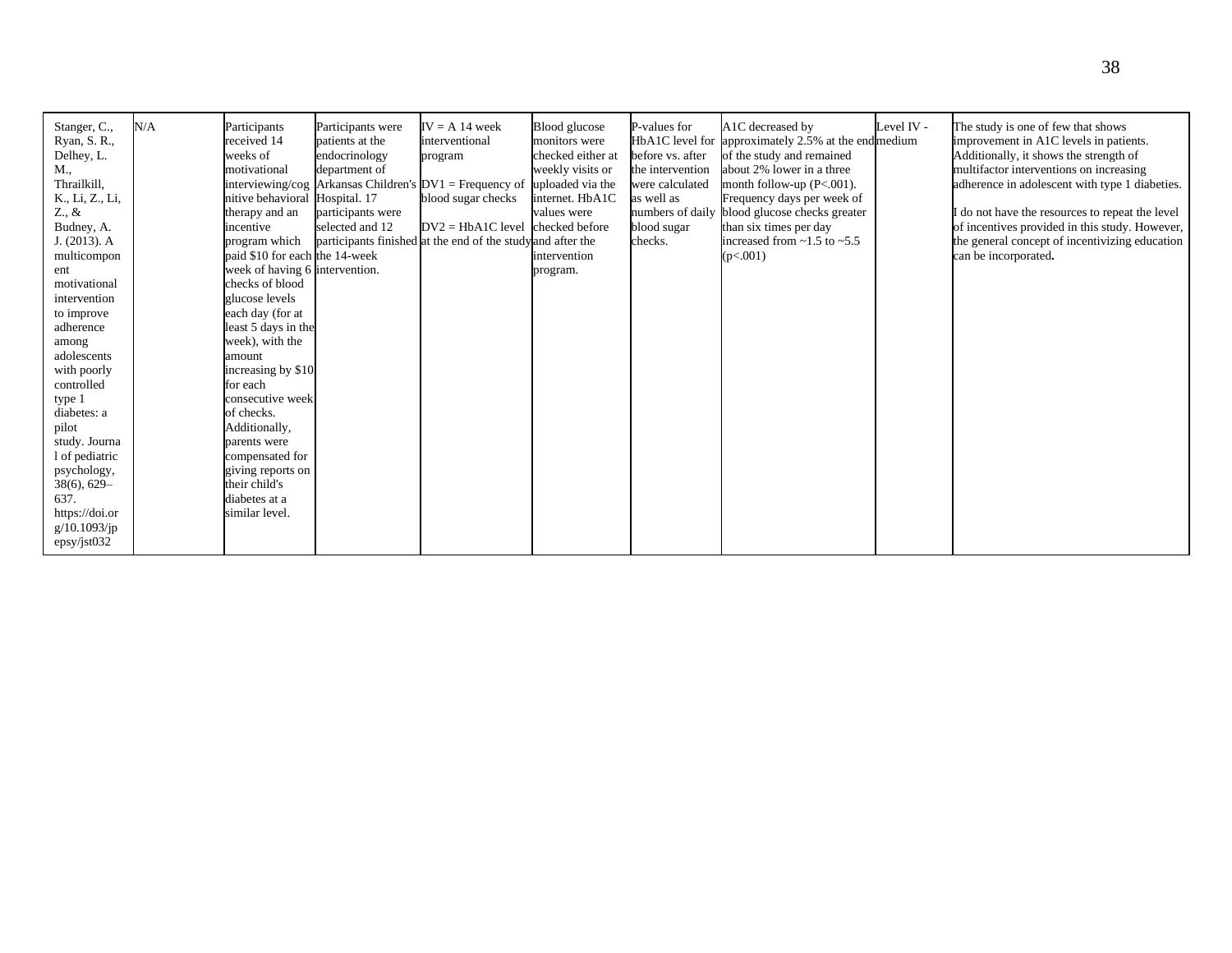| Stanger, C.,<br>Ryan, S. R.,<br>Delhey, L.<br>M.,<br>Thrailkill,<br>K., Li, Z., Li,<br>$Z_{\cdot}$ &<br>Budney, A.<br>J. (2013). A<br>multicompon<br>ent<br>motivational<br>intervention<br>to improve<br>adherence<br>among<br>adolescents<br>with poorly<br>controlled<br>type 1<br>diabetes: a<br>pilot<br>study. Journa<br>1 of pediatric<br>psychology,<br>$38(6)$ , 629-<br>637. | N/A | Participants<br>received 14<br>weeks of<br>motivational<br>nitive behavioral Hospital. 17<br>therapy and an<br>incentive<br>program which<br>paid \$10 for each the 14-week<br>week of having 6 intervention.<br>checks of blood<br>glucose levels<br>each day (for at<br>least 5 days in the<br>week), with the<br>amount<br>increasing by \$10<br>for each<br>consecutive week<br>of checks.<br>Additionally,<br>parents were<br>compensated for<br>giving reports on<br>their child's<br>diabetes at a | Participants were<br>patients at the<br>endocrinology<br>department of<br>participants were<br>selected and 12 | $IV = A$ 14 week<br>interventional<br>program<br>interviewing/cog Arkansas Children's $DV1 = F$ Frequency of uploaded via the<br>blood sugar checks<br>$DV2 = HbA1C$ level checked before<br>participants finished at the end of the study and after the | <b>Blood</b> glucose<br>monitors were<br>checked either at<br>weekly visits or<br>internet. HbA1C<br>values were<br>intervention<br>program. | P-values for<br>before vs. after<br>the intervention<br>were calculated<br>as well as<br>blood sugar<br>checks. | A1C decreased by<br>HbA1C level for approximately 2.5% at the endmedium<br>of the study and remained<br>about 2% lower in a three<br>month follow-up $(P<.001)$ .<br>Frequency days per week of<br>numbers of daily blood glucose checks greater<br>than six times per day<br>increased from $\approx$ 1.5 to $\approx$ 5.5<br>(p<.001) | Level IV - | The study is one of few that shows<br>improvement in A1C levels in patients.<br>Additionally, it shows the strength of<br>multifactor interventions on increasing<br>adherence in adolescent with type 1 diabeties.<br>I do not have the resources to repeat the level<br>of incentives provided in this study. However,<br>the general concept of incentivizing education<br>can be incorporated. |
|----------------------------------------------------------------------------------------------------------------------------------------------------------------------------------------------------------------------------------------------------------------------------------------------------------------------------------------------------------------------------------------|-----|-----------------------------------------------------------------------------------------------------------------------------------------------------------------------------------------------------------------------------------------------------------------------------------------------------------------------------------------------------------------------------------------------------------------------------------------------------------------------------------------------------------|----------------------------------------------------------------------------------------------------------------|----------------------------------------------------------------------------------------------------------------------------------------------------------------------------------------------------------------------------------------------------------|----------------------------------------------------------------------------------------------------------------------------------------------|-----------------------------------------------------------------------------------------------------------------|-----------------------------------------------------------------------------------------------------------------------------------------------------------------------------------------------------------------------------------------------------------------------------------------------------------------------------------------|------------|----------------------------------------------------------------------------------------------------------------------------------------------------------------------------------------------------------------------------------------------------------------------------------------------------------------------------------------------------------------------------------------------------|
| https://doi.or<br>$g/10.1093$ /jp<br>epsy/jst032                                                                                                                                                                                                                                                                                                                                       |     | similar level.                                                                                                                                                                                                                                                                                                                                                                                                                                                                                            |                                                                                                                |                                                                                                                                                                                                                                                          |                                                                                                                                              |                                                                                                                 |                                                                                                                                                                                                                                                                                                                                         |            |                                                                                                                                                                                                                                                                                                                                                                                                    |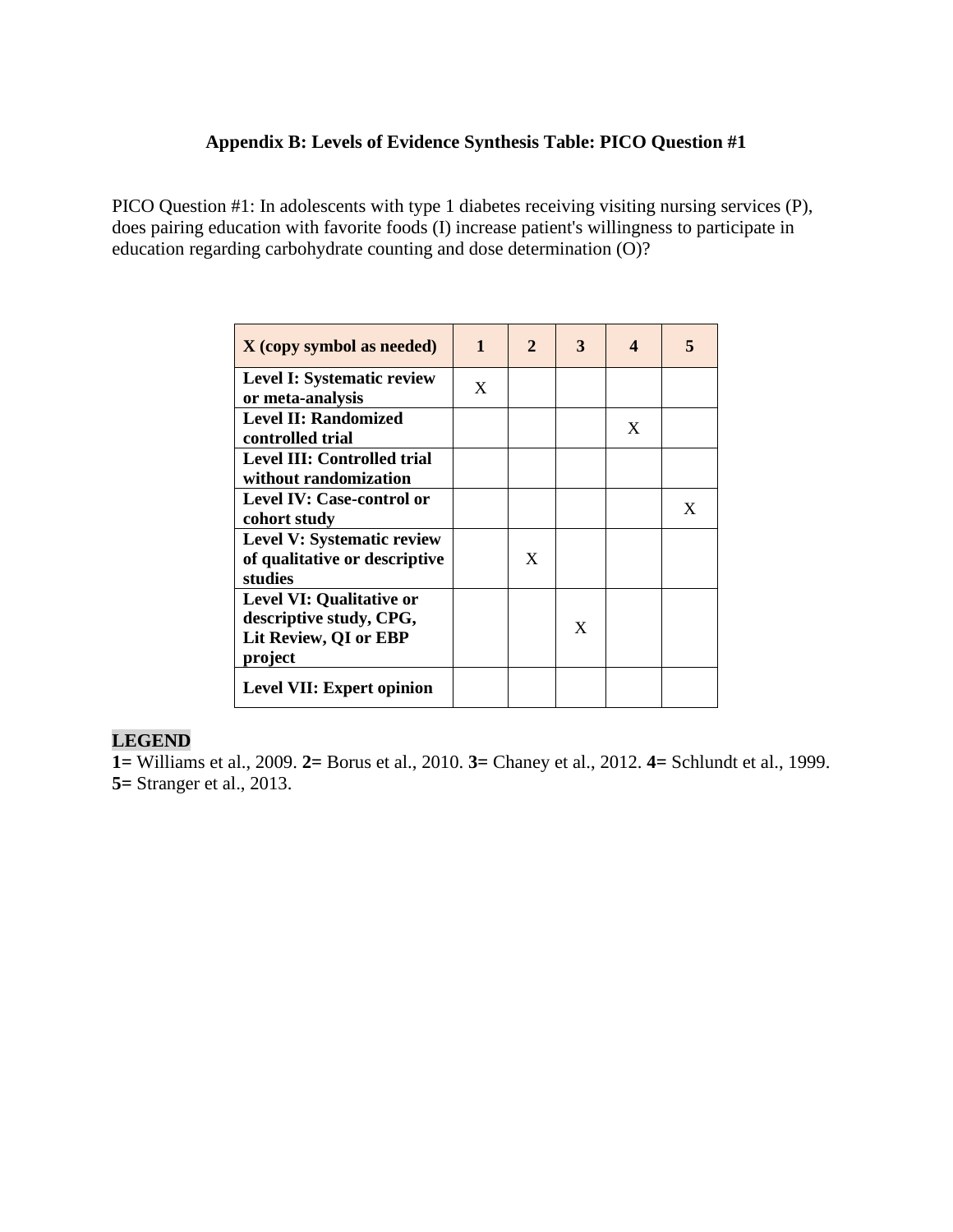### **Appendix B: Levels of Evidence Synthesis Table: PICO Question #1**

<span id="page-39-0"></span>PICO Question #1: In adolescents with type 1 diabetes receiving visiting nursing services (P), does pairing education with favorite foods (I) increase patient's willingness to participate in education regarding carbohydrate counting and dose determination (O)?

| X (copy symbol as needed)                                                                      | 1 | 2 | 3 | 4 | 5 |
|------------------------------------------------------------------------------------------------|---|---|---|---|---|
| Level I: Systematic review<br>or meta-analysis                                                 | X |   |   |   |   |
| <b>Level II: Randomized</b><br>controlled trial                                                |   |   |   | X |   |
| <b>Level III: Controlled trial</b><br>without randomization                                    |   |   |   |   |   |
| Level IV: Case-control or<br>cohort study                                                      |   |   |   |   | X |
| Level V: Systematic review<br>of qualitative or descriptive<br>studies                         |   | X |   |   |   |
| <b>Level VI: Qualitative or</b><br>descriptive study, CPG,<br>Lit Review, QI or EBP<br>project |   |   | X |   |   |
| <b>Level VII: Expert opinion</b>                                                               |   |   |   |   |   |

### **LEGEND**

**1=** Williams et al., 2009. **2=** Borus et al., 2010. **3=** Chaney et al., 2012. **4=** Schlundt et al., 1999. **5=** Stranger et al., 2013.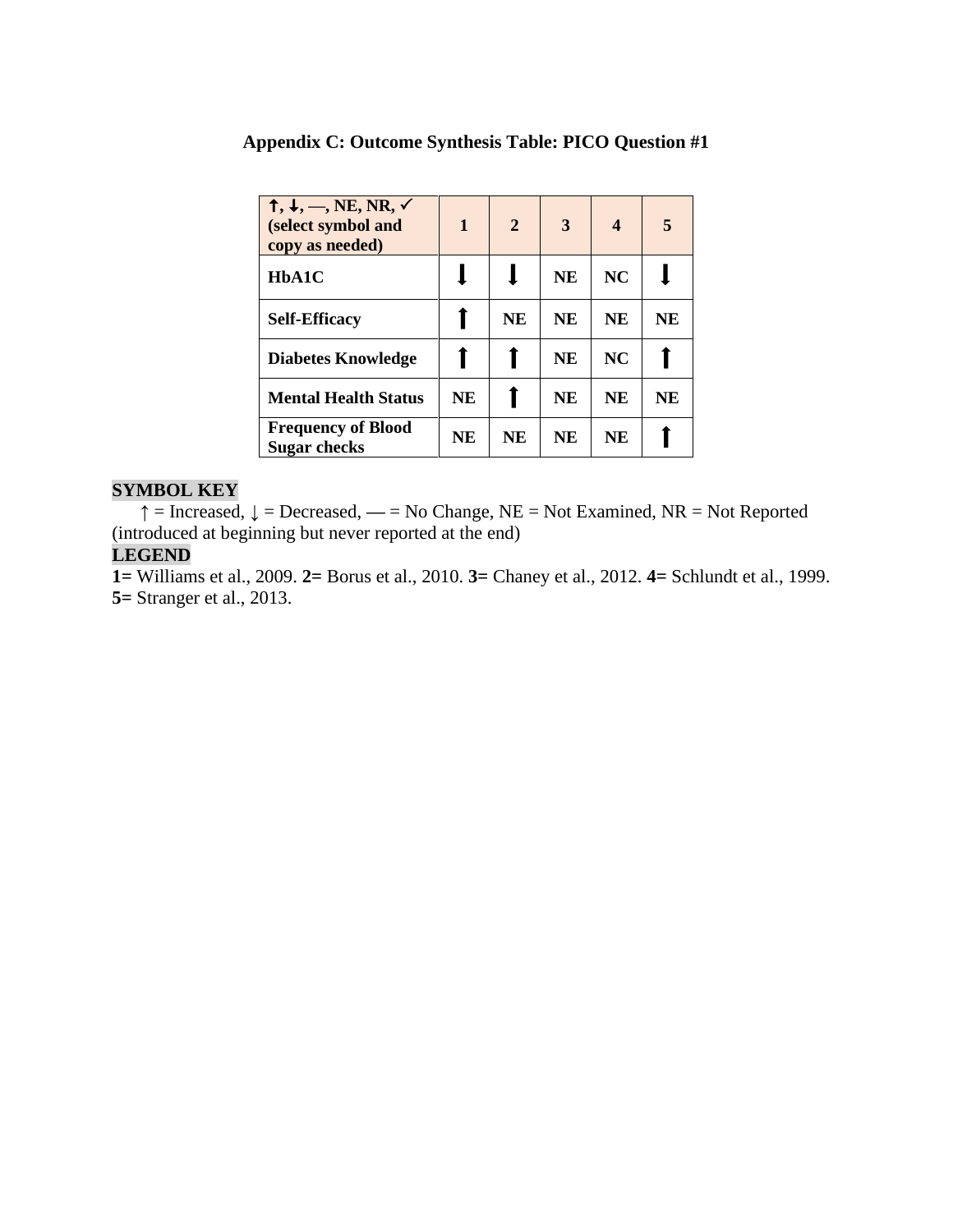| $\dagger, \downarrow, \_, \text{NE}, \text{NR}, \checkmark$<br>(select symbol and<br>copy as needed) | 1         | $\overline{2}$ | 3         | $\overline{\mathbf{4}}$ | 5  |
|------------------------------------------------------------------------------------------------------|-----------|----------------|-----------|-------------------------|----|
| HbA1C                                                                                                |           |                | <b>NE</b> | <b>NC</b>               |    |
| <b>Self-Efficacy</b>                                                                                 |           | <b>NE</b>      | <b>NE</b> | <b>NE</b>               | NE |
| <b>Diabetes Knowledge</b>                                                                            |           |                | <b>NE</b> | NC                      |    |
| <b>Mental Health Status</b>                                                                          | <b>NE</b> |                | <b>NE</b> | <b>NE</b>               | NE |
| <b>Frequency of Blood</b><br><b>Sugar checks</b>                                                     | <b>NE</b> | <b>NE</b>      | <b>NE</b> | NE                      |    |

### <span id="page-40-0"></span>**Appendix C: Outcome Synthesis Table: PICO Question #1**

### **SYMBOL KEY**

↑ = Increased, ↓ = Decreased, **—** = No Change, NE = Not Examined, NR = Not Reported (introduced at beginning but never reported at the end)

## **LEGEND**

**1=** Williams et al., 2009. **2=** Borus et al., 2010. **3=** Chaney et al., 2012. **4=** Schlundt et al., 1999. **5=** Stranger et al., 2013.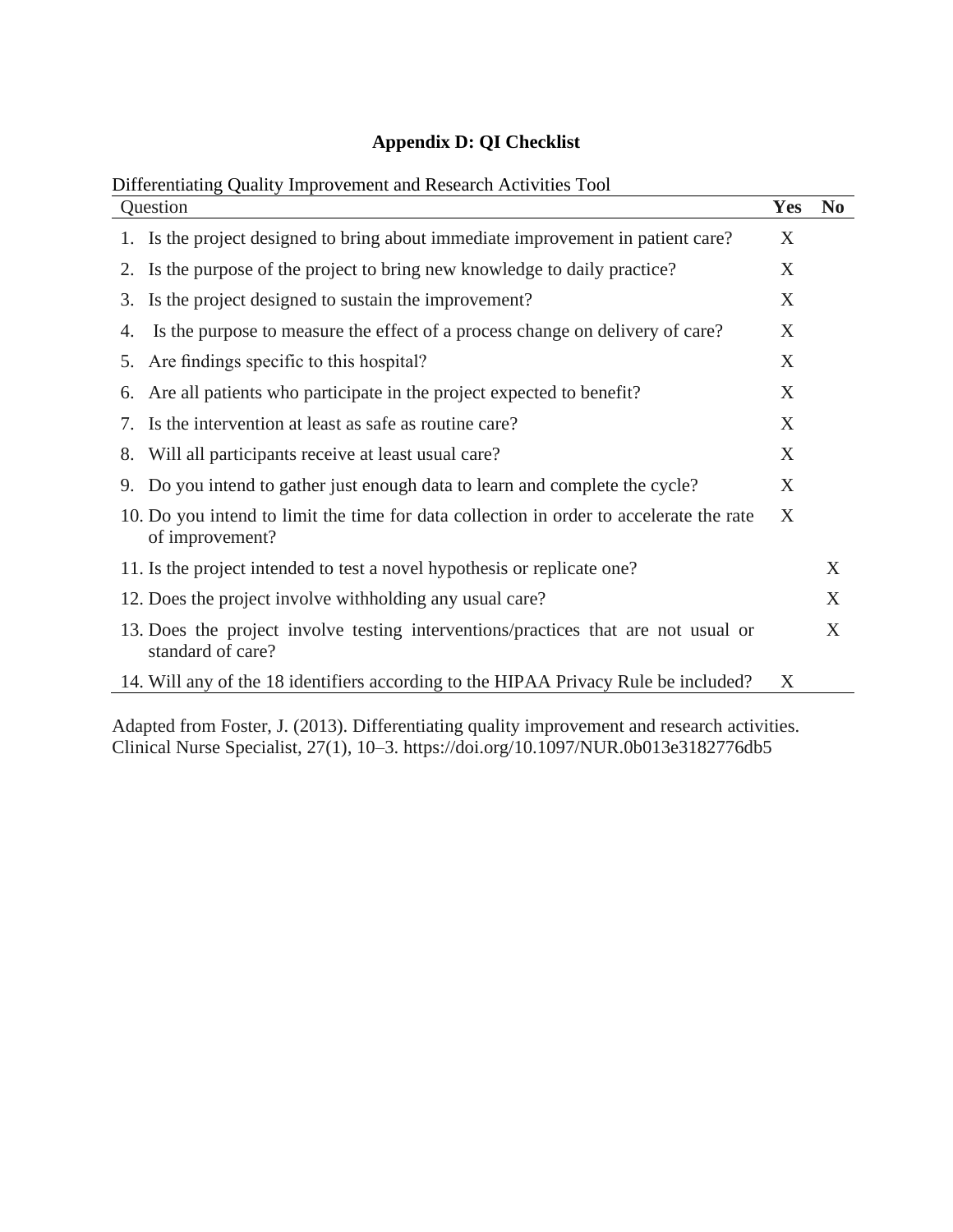## **Appendix D: QI Checklist**

## Differentiating Quality Improvement and Research Activities Tool

<span id="page-41-0"></span>

| Question                                                                                                   | <b>Yes</b> | N <sub>0</sub> |
|------------------------------------------------------------------------------------------------------------|------------|----------------|
| Is the project designed to bring about immediate improvement in patient care?<br>1.                        | X          |                |
| Is the purpose of the project to bring new knowledge to daily practice?<br>2.                              | X          |                |
| Is the project designed to sustain the improvement?<br>3.                                                  | X          |                |
| Is the purpose to measure the effect of a process change on delivery of care?<br>4.                        | X          |                |
| Are findings specific to this hospital?<br>5.                                                              | X          |                |
| Are all patients who participate in the project expected to benefit?<br>6.                                 | X          |                |
| Is the intervention at least as safe as routine care?<br>7.                                                | X          |                |
| Will all participants receive at least usual care?<br>8.                                                   | X          |                |
| Do you intend to gather just enough data to learn and complete the cycle?<br>9.                            | X          |                |
| 10. Do you intend to limit the time for data collection in order to accelerate the rate<br>of improvement? | X          |                |
| 11. Is the project intended to test a novel hypothesis or replicate one?                                   |            | X              |
| 12. Does the project involve with holding any usual care?                                                  |            | X              |
| 13. Does the project involve testing interventions/practices that are not usual or<br>standard of care?    |            | X              |
| 14. Will any of the 18 identifiers according to the HIPAA Privacy Rule be included?                        | X          |                |

Adapted from Foster, J. (2013). Differentiating quality improvement and research activities. Clinical Nurse Specialist, 27(1), 10–3. https://doi.org/10.1097/NUR.0b013e3182776db5